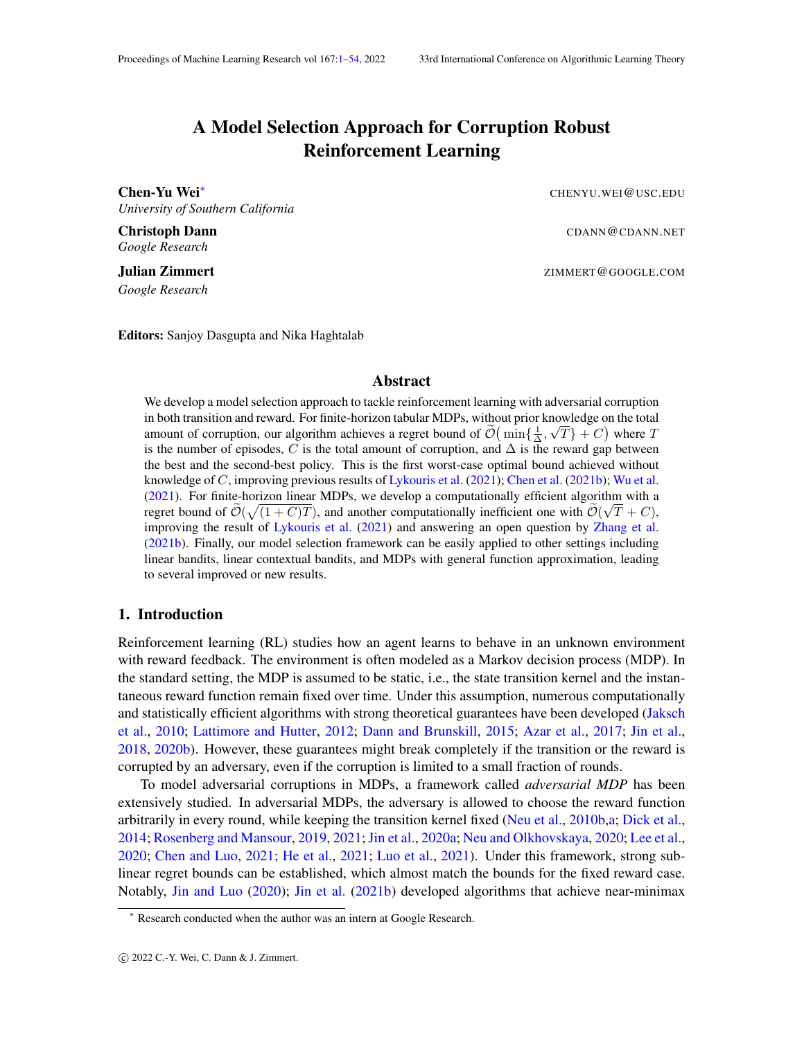# A Model Selection Approach for Corruption Robust Reinforcement Learning

<span id="page-0-1"></span><span id="page-0-0"></span>Chen-Yu Wei<sup>∗</sup> CHENYU.WEI@USC.EDU *University of Southern California*

**Christoph Dann** CDANN@CDANN.NET

*Google Research*

*Google Research*

Editors: Sanjoy Dasgupta and Nika Haghtalab

#### Abstract

We develop a model selection approach to tackle reinforcement learning with adversarial corruption in both transition and reward. For finite-horizon tabular MDPs, without prior knowledge on the total amount of corruption, our algorithm achieves a regret bound of  $\widetilde{\mathcal{O}}\left(\min\{\frac{1}{\Delta}, \sqrt{T}\} + C\right)$  where T is the number of episodes, C is the total amount of corruption, and  $\Delta$  is the reward gap between the best and the second-best policy. This is the first worst-case optimal bound achieved without knowledge of C, improving previous results of [Lykouris et al.](#page-18-0) [\(2021\)](#page-18-0); [Chen et al.](#page-16-0) [\(2021b\)](#page-16-0); [Wu et al.](#page-19-0) [\(2021\)](#page-19-0). For finite-horizon linear MDPs, we develop a computationally efficient algorithm with a regret bound of  $\tilde{\mathcal{O}}(\sqrt{(1+C)T})$ , and another computationally inefficient one with  $\tilde{\mathcal{O}}(\sqrt{T}+C)$ , improving the result of [Lykouris et al.](#page-18-0) [\(2021\)](#page-18-0) and answering an open question by [Zhang et al.](#page-19-1) [\(2021b\)](#page-19-1). Finally, our model selection framework can be easily applied to other settings including linear bandits, linear contextual bandits, and MDPs with general function approximation, leading to several improved or new results.

#### <span id="page-0-2"></span>1. Introduction

Reinforcement learning (RL) studies how an agent learns to behave in an unknown environment with reward feedback. The environment is often modeled as a Markov decision process (MDP). In the standard setting, the MDP is assumed to be static, i.e., the state transition kernel and the instantaneous reward function remain fixed over time. Under this assumption, numerous computationally and statistically efficient algorithms with strong theoretical guarantees have been developed [\(Jaksch](#page-17-0) [et al.,](#page-17-0) [2010;](#page-17-0) [Lattimore and Hutter,](#page-18-1) [2012;](#page-18-1) [Dann and Brunskill,](#page-16-1) [2015;](#page-16-1) [Azar et al.,](#page-16-2) [2017;](#page-16-2) [Jin et al.,](#page-17-1) [2018,](#page-17-1) [2020b\)](#page-17-2). However, these guarantees might break completely if the transition or the reward is corrupted by an adversary, even if the corruption is limited to a small fraction of rounds.

To model adversarial corruptions in MDPs, a framework called *adversarial MDP* has been extensively studied. In adversarial MDPs, the adversary is allowed to choose the reward function arbitrarily in every round, while keeping the transition kernel fixed [\(Neu et al.,](#page-18-2) [2010b,](#page-18-2)[a;](#page-18-3) [Dick et al.,](#page-17-3) [2014;](#page-17-3) [Rosenberg and Mansour,](#page-18-4) [2019,](#page-18-4) [2021;](#page-19-2)[Jin et al.,](#page-17-4) [2020a;](#page-17-4) [Neu and Olkhovskaya,](#page-18-5) [2020;](#page-18-5) [Lee et al.,](#page-18-6) [2020;](#page-18-6) [Chen and Luo,](#page-16-3) [2021;](#page-16-3) [He et al.,](#page-17-5) [2021;](#page-17-5) [Luo et al.,](#page-18-7) [2021\)](#page-18-7). Under this framework, strong sublinear regret bounds can be established, which almost match the bounds for the fixed reward case. Notably, [Jin and Luo](#page-17-6) [\(2020\)](#page-17-6); [Jin et al.](#page-18-8) [\(2021b\)](#page-18-8) developed algorithms that achieve near-minimax

**Julian Zimmert ZIMMERT@GOOGLE.COM** 

<sup>∗</sup> Research conducted when the author was an intern at Google Research.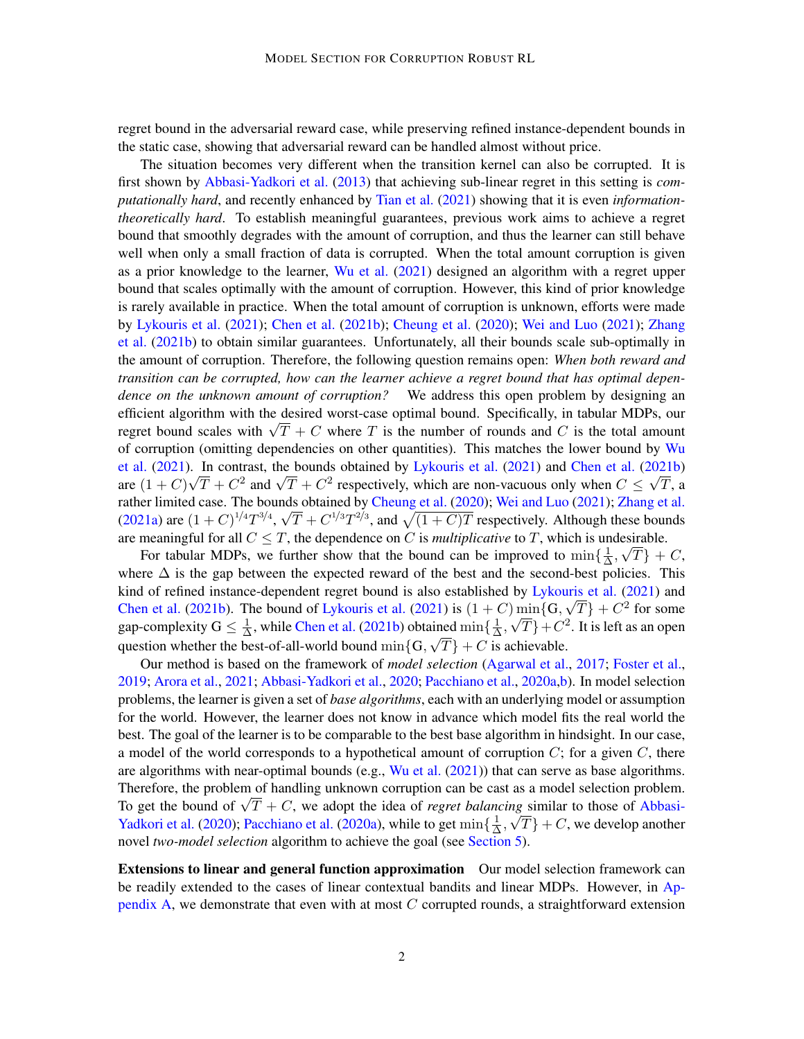regret bound in the adversarial reward case, while preserving refined instance-dependent bounds in the static case, showing that adversarial reward can be handled almost without price.

The situation becomes very different when the transition kernel can also be corrupted. It is first shown by [Abbasi-Yadkori et al.](#page-15-0) [\(2013\)](#page-15-0) that achieving sub-linear regret in this setting is *computationally hard*, and recently enhanced by [Tian et al.](#page-19-3) [\(2021\)](#page-19-3) showing that it is even *informationtheoretically hard*. To establish meaningful guarantees, previous work aims to achieve a regret bound that smoothly degrades with the amount of corruption, and thus the learner can still behave well when only a small fraction of data is corrupted. When the total amount corruption is given as a prior knowledge to the learner, [Wu et al.](#page-19-0) [\(2021\)](#page-19-0) designed an algorithm with a regret upper bound that scales optimally with the amount of corruption. However, this kind of prior knowledge is rarely available in practice. When the total amount of corruption is unknown, efforts were made by [Lykouris et al.](#page-18-0) [\(2021\)](#page-18-0); [Chen et al.](#page-16-0) [\(2021b\)](#page-16-0); [Cheung et al.](#page-16-4) [\(2020\)](#page-16-4); [Wei and Luo](#page-19-4) [\(2021\)](#page-19-4); [Zhang](#page-19-1) [et al.](#page-19-1) [\(2021b\)](#page-19-1) to obtain similar guarantees. Unfortunately, all their bounds scale sub-optimally in the amount of corruption. Therefore, the following question remains open: *When both reward and transition can be corrupted, how can the learner achieve a regret bound that has optimal dependence on the unknown amount of corruption?* We address this open problem by designing an efficient algorithm with the desired worst-case optimal bound. Specifically, in tabular MDPs, our emicient argorithm with the desired worst-case optimal bound. Specifically, in tabular MDPs, our regret bound scales with  $\sqrt{T} + C$  where T is the number of rounds and C is the total amount of corruption (omitting dependencies on other quantities). This matches the lower bound by [Wu](#page-19-0) [et al.](#page-19-0) [\(2021\)](#page-18-0). In contrast, the bounds obtained by [Lykouris et al.](#page-18-0) (2021) and [Chen et al.](#page-16-0) [\(2021b\)](#page-16-0) et al. (2021). In contrast, the bounds obtained by Lykouris et al. (2021) and Chen et al. (2021b)<br>are  $(1+C)\sqrt{T}+C^2$  and  $\sqrt{T}+C^2$  respectively, which are non-vacuous only when  $C \leq \sqrt{T}$ , a rather limited case. The bounds obtained by [Cheung et al.](#page-16-4) [\(2020\)](#page-16-4); [Wei and Luo](#page-19-4) [\(2021\)](#page-19-4); [Zhang et al.](#page-19-5) [\(2021a\)](#page-19-5) are  $(1+C)^{1/4}T^{3/4}$ ,  $\sqrt{T}+C^{1/3}T^{2/3}$ , and  $\sqrt{(1+C)T}$  respectively. Although these bounds are meaningful for all  $C \leq T$ , the dependence on C is *multiplicative* to T, which is undesirable.

For tabular MDPs, we further show that the bound can be improved to  $\min\{\frac{1}{\Delta}\}$  $\frac{1}{\Delta}$ ,  $\sqrt{T}$  + C, where  $\Delta$  is the gap between the expected reward of the best and the second-best policies. This kind of refined instance-dependent regret bound is also established by [Lykouris et al.](#page-18-0) [\(2021\)](#page-18-0) and [Chen et al.](#page-16-0) [\(2021b\)](#page-16-0). The bound of [Lykouris et al.](#page-18-0) [\(2021\)](#page-18-0) is  $(1+C)\min\{G, \sqrt{T}\} + C^2$  for some gap-complexity  $G \leq \frac{1}{\Delta}$  $\frac{1}{\Delta}$ , while [Chen et al.](#page-16-0) [\(2021b\)](#page-16-0) obtained  $\min\{\frac{1}{\Delta}\}$ ained  $\min\{\frac{1}{\Delta}, \sqrt{T}\}+C^2$ . It is left as an open question whether the best-of-all-world bound  $\min\{G, \sqrt{T}\} + C$  is achievable.

Our method is based on the framework of *model selection* [\(Agarwal et al.,](#page-15-1) [2017;](#page-15-1) [Foster et al.,](#page-17-7) [2019;](#page-17-7) [Arora et al.,](#page-15-2) [2021;](#page-15-2) [Abbasi-Yadkori et al.,](#page-15-3) [2020;](#page-15-3) [Pacchiano et al.,](#page-18-9) [2020a,](#page-18-9)[b\)](#page-18-10). In model selection problems, the learner is given a set of *base algorithms*, each with an underlying model or assumption for the world. However, the learner does not know in advance which model fits the real world the best. The goal of the learner is to be comparable to the best base algorithm in hindsight. In our case, a model of the world corresponds to a hypothetical amount of corruption  $C$ ; for a given  $C$ , there are algorithms with near-optimal bounds (e.g., [Wu et al.](#page-19-0) [\(2021\)](#page-19-0)) that can serve as base algorithms. Therefore, the problem of handling unknown corruption can be cast as a model selection problem. Therefore, the problem of nandling unknown corruption can be cast as a model selection problem.<br>To get the bound of  $\sqrt{T} + C$ , we adopt the idea of *regret balancing* similar to those of [Abbasi-](#page-15-3)[Yadkori et al.](#page-15-3) [\(2020\)](#page-15-3); [Pacchiano et al.](#page-18-9) [\(2020a\)](#page-18-9), while to get  $\min\{\frac{1}{\Delta}\}$  $\frac{1}{\Delta}$ ,  $\sqrt{T}$  + C, we develop another novel *two-model selection* algorithm to achieve the goal (see [Section 5\)](#page-11-0).

Extensions to linear and general function approximation Our model selection framework can be readily extended to the cases of linear contextual bandits and linear MDPs. However, in [Ap](#page-20-0)[pendix A,](#page-20-0) we demonstrate that even with at most  $C$  corrupted rounds, a straightforward extension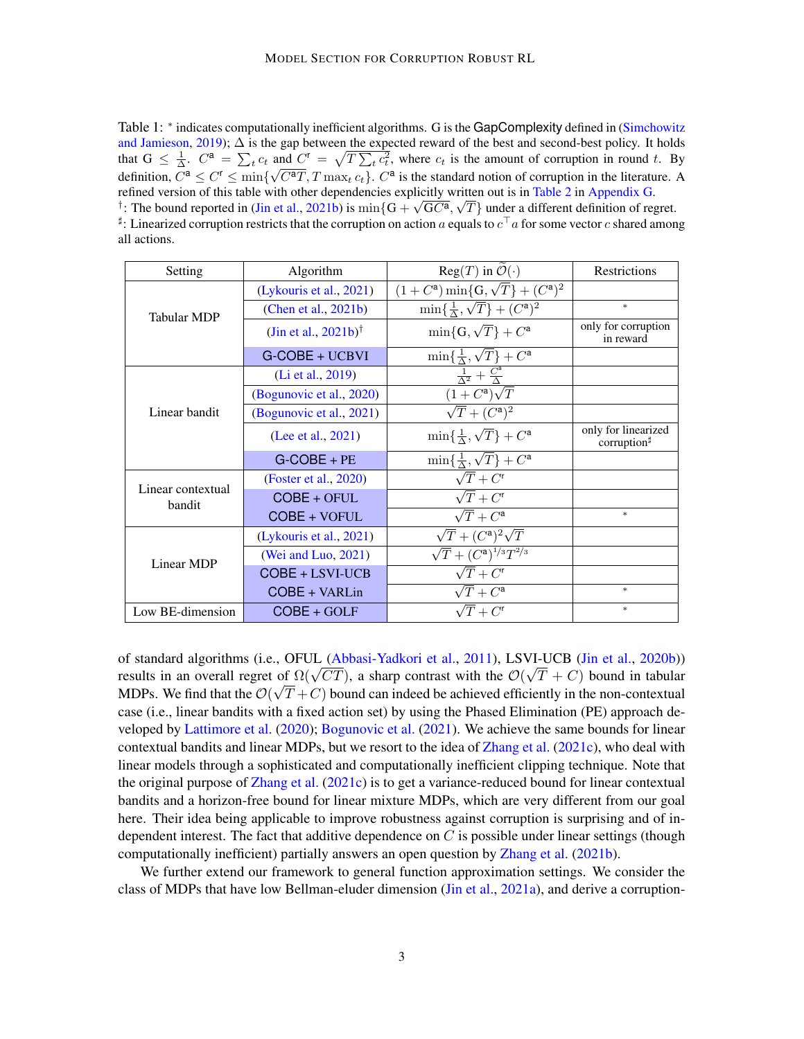<span id="page-2-0"></span>Table 1: \* indicates computationally inefficient algorithms. G is the GapComplexity defined in [\(Simchowitz](#page-19-6) [and Jamieson,](#page-19-6) [2019\)](#page-19-6); ∆ is the gap between the expected reward of the best and second-best policy. It holds that  $G \leq \frac{1}{\Delta}$ .  $C^{\mathsf{a}} = \sum_{t} c_t$  and  $C^{\mathsf{r}} = \sqrt{T \sum_{t} c_t^2}$ , where  $c_t$  is the amount of corruption in round t. By definition,  $C^{\mathsf{a}} \leq C^r \leq \min\{\sqrt{C^{\mathsf{a}}T}, T\max_{t} c_t\}$ .  $C^{\mathsf{a}}$  is the standard notion of corruption in the literature. A refined version of this table with other dependencies explicitly written out is in [Table 2](#page-36-0) in [Appendix G.](#page-36-1) <sup>†</sup>: The bound reported in [\(Jin et al.,](#page-18-8) [2021b\)](#page-18-8) is  $\min\{G + \sqrt{GC^a}, \sqrt{T}\}\$ under a different definition of regret.  $\sharp$ : Linearized corruption restricts that the corruption on action  $a$  equals to  $c^\top a$  for some vector  $c$  shared among all actions.

| Setting                     | Algorithm                           | $Reg(T)$ in $\mathcal{O}(\cdot)$                          | Restrictions                                   |
|-----------------------------|-------------------------------------|-----------------------------------------------------------|------------------------------------------------|
| <b>Tabular MDP</b>          | (Lykouris et al., 2021)             | $(1+C^{\mathsf{a}})\min\{G,\sqrt{T}\}+(C^{\mathsf{a}})^2$ |                                                |
|                             | (Chen et al., 2021b)                | $\min\{\frac{1}{\Delta},\sqrt{T}\}+(C^{\mathsf{a}})^2$    | $\ast$                                         |
|                             | (Jin et al., $2021b$ ) <sup>†</sup> | $\min\{G,\sqrt{T}\}+C^{\mathsf{a}}$                       | only for corruption<br>in reward               |
|                             | G-COBE + UCBVI                      | $\min\{\frac{1}{\Delta},\sqrt{T}\}+C^{\mathsf{a}}$        |                                                |
| Linear bandit               | (Li et al., 2019)                   | $\frac{1}{\Lambda^2}+\frac{C^a}{\Lambda}$                 |                                                |
|                             | (Bogunovic et al., 2020)            | $(1+C^{\mathsf{a}})\sqrt{T}$                              |                                                |
|                             | (Bogunovic et al., 2021)            | $\sqrt{T}+(C^{\mathsf{a}})^2$                             |                                                |
|                             | (Lee et al., 2021)                  | $\min\{\frac{1}{\Delta},\sqrt{T}\}+C^{\mathsf{a}}$        | only for linearized<br>corruption <sup>#</sup> |
|                             | $G-COBE + PE$                       | $\min\{\frac{1}{\Delta},\sqrt{T}\}+C^{\mathsf{a}}$        |                                                |
| Linear contextual<br>bandit | (Foster et al., 2020)               | $\overline{\sqrt{T}}$ + $C^r$                             |                                                |
|                             | $COBE + OFUL$                       | $\sqrt{T}+C^{\mathsf{r}}$                                 |                                                |
|                             | COBE + VOFUL                        | $\sqrt{T} + C^{\mathsf{a}}$                               | $\ast$                                         |
| Linear MDP                  | (Lykouris et al., 2021)             | $\sqrt{T} + (C^{\mathsf{a}})^2 \sqrt{T}$                  |                                                |
|                             | (Wei and Luo, $2021$ )              | $\sqrt{T} + (C^{a})^{1/3}T^{2/3}$                         |                                                |
|                             | COBE + LSVI-UCB                     | $\sqrt{T}+C^{\mathsf{r}}$                                 |                                                |
|                             | COBE + VARLin                       | $\sqrt{T} + C^{\mathsf{a}}$                               | $\ast$                                         |
| Low BE-dimension            | $COBE + GOLF$                       | $\sqrt{T} + C^r$                                          | $\ast$                                         |

of standard algorithms (i.e., OFUL [\(Abbasi-Yadkori et al.,](#page-15-4) [2011\)](#page-15-4), LSVI-UCB [\(Jin et al.,](#page-17-2) [2020b\)](#page-17-2)) or standard algorithms (i.e., OFUL (Abbasi-YadKori et al., 2011), LSVI-UCB (Jin et al., 2020b))<br>results in an overall regret of  $\Omega(\sqrt{CT})$ , a sharp contrast with the  $\mathcal{O}(\sqrt{T}+C)$  bound in tabular MDPs. We find that the  $\mathcal{O}(\sqrt{T}+C)$  bound can indeed be achieved efficiently in the non-contextual case (i.e., linear bandits with a fixed action set) by using the Phased Elimination (PE) approach developed by [Lattimore et al.](#page-18-13) [\(2020\)](#page-18-13); [Bogunovic et al.](#page-16-6) [\(2021\)](#page-16-6). We achieve the same bounds for linear contextual bandits and linear MDPs, but we resort to the idea of [Zhang et al.](#page-20-1) [\(2021c\)](#page-20-1), who deal with linear models through a sophisticated and computationally inefficient clipping technique. Note that the original purpose of [Zhang et al.](#page-20-1) [\(2021c\)](#page-20-1) is to get a variance-reduced bound for linear contextual bandits and a horizon-free bound for linear mixture MDPs, which are very different from our goal here. Their idea being applicable to improve robustness against corruption is surprising and of independent interest. The fact that additive dependence on  $C$  is possible under linear settings (though computationally inefficient) partially answers an open question by [Zhang et al.](#page-19-1) [\(2021b\)](#page-19-1).

We further extend our framework to general function approximation settings. We consider the class of MDPs that have low Bellman-eluder dimension [\(Jin et al.,](#page-17-9) [2021a\)](#page-17-9), and derive a corruption-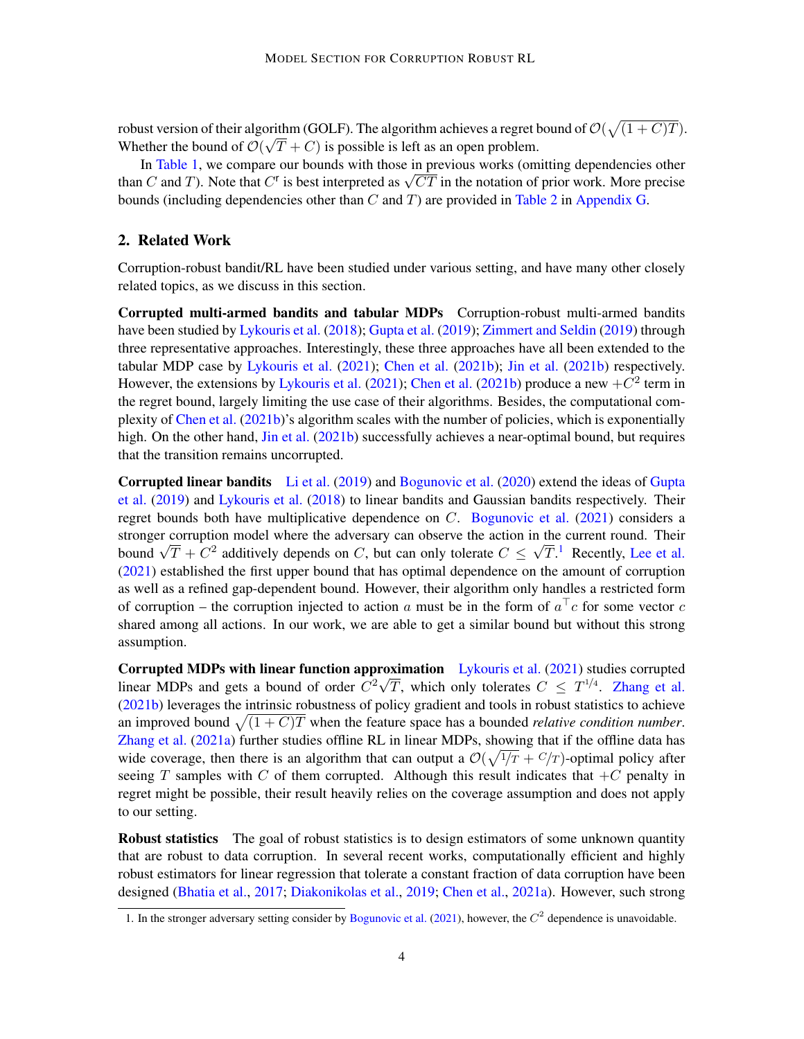robust version of their algorithm (GOLF). The algorithm achieves a regret bound of  $\mathcal{O}(\sqrt{(1+C)T})$ . Whether the bound of  $\mathcal{O}(\sqrt{T}+C)$  is possible is left as an open problem.

In [Table 1,](#page-2-0) we compare our bounds with those in previous works (omitting dependencies other In Table 1, we compare our bounds with those in previous works (omitting dependencies other than C and T). Note that  $C^r$  is best interpreted as  $\sqrt{CT}$  in the notation of prior work. More precise bounds (including dependencies other than  $C$  and  $T$ ) are provided in [Table 2](#page-36-0) in [Appendix G.](#page-36-1)

#### <span id="page-3-0"></span>2. Related Work

Corruption-robust bandit/RL have been studied under various setting, and have many other closely related topics, as we discuss in this section.

Corrupted multi-armed bandits and tabular MDPs Corruption-robust multi-armed bandits have been studied by [Lykouris et al.](#page-18-14) [\(2018\)](#page-18-14); [Gupta et al.](#page-17-10) [\(2019\)](#page-17-10); [Zimmert and Seldin](#page-20-2) [\(2019\)](#page-20-2) through three representative approaches. Interestingly, these three approaches have all been extended to the tabular MDP case by [Lykouris et al.](#page-18-0) [\(2021\)](#page-18-0); [Chen et al.](#page-16-0) [\(2021b\)](#page-16-0); [Jin et al.](#page-18-8) [\(2021b\)](#page-18-8) respectively. However, the extensions by [Lykouris et al.](#page-18-0) [\(2021\)](#page-18-0); [Chen et al.](#page-16-0) [\(2021b\)](#page-16-0) produce a new  $+C^2$  term in the regret bound, largely limiting the use case of their algorithms. Besides, the computational complexity of [Chen et al.](#page-16-0) [\(2021b\)](#page-16-0)'s algorithm scales with the number of policies, which is exponentially high. On the other hand, [Jin et al.](#page-18-8) [\(2021b\)](#page-18-8) successfully achieves a near-optimal bound, but requires that the transition remains uncorrupted.

Corrupted linear bandits [Li et al.](#page-18-11) [\(2019\)](#page-18-11) and [Bogunovic et al.](#page-16-5) [\(2020\)](#page-16-5) extend the ideas of [Gupta](#page-17-10) [et al.](#page-17-10) [\(2019\)](#page-17-10) and [Lykouris et al.](#page-18-14) [\(2018\)](#page-18-14) to linear bandits and Gaussian bandits respectively. Their regret bounds both have multiplicative dependence on  $C$ . [Bogunovic et al.](#page-16-6) [\(2021\)](#page-16-6) considers a stronger corruption model where the adversary can observe the action in the current round. Their stronger corruption model where the adversary can observe the action in the current round. Their<br>bound  $\sqrt{T} + C^2$  additively depends on C, but can only tolerate  $C \leq \sqrt{T}$ . Recently, [Lee et al.](#page-18-12) [\(2021\)](#page-18-12) established the first upper bound that has optimal dependence on the amount of corruption as well as a refined gap-dependent bound. However, their algorithm only handles a restricted form of corruption – the corruption injected to action a must be in the form of  $a^{\top}c$  for some vector c shared among all actions. In our work, we are able to get a similar bound but without this strong assumption.

Corrupted MDPs with linear function approximation [Lykouris et al.](#page-18-0)  $(2021)$  studies corrupted linear MDPs and gets a bound of order  $C^2\sqrt{T}$ , which only tolerates  $C \leq T^{1/4}$ . [Zhang et al.](#page-19-1) [\(2021b\)](#page-19-1) leverages the intrinsic robustness of policy gradient and tools in robust statistics to achieve an improved bound  $\sqrt{(1 + C)T}$  when the feature space has a bounded *relative condition number*. [Zhang et al.](#page-19-5) [\(2021a\)](#page-19-5) further studies offline RL in linear MDPs, showing that if the offline data has wide coverage, then there is an algorithm that can output a  $\mathcal{O}(\sqrt{1/T} + C/T)$ -optimal policy after seeing T samples with C of them corrupted. Although this result indicates that  $+C$  penalty in regret might be possible, their result heavily relies on the coverage assumption and does not apply to our setting.

**Robust statistics** The goal of robust statistics is to design estimators of some unknown quantity that are robust to data corruption. In several recent works, computationally efficient and highly robust estimators for linear regression that tolerate a constant fraction of data corruption have been designed [\(Bhatia et al.,](#page-16-7) [2017;](#page-16-7) [Diakonikolas et al.,](#page-17-11) [2019;](#page-17-11) [Chen et al.,](#page-16-8) [2021a\)](#page-16-8). However, such strong

<sup>1.</sup> In the stronger adversary setting consider by [Bogunovic et al.](#page-16-6) [\(2021\)](#page-16-6), however, the  $C<sup>2</sup>$  dependence is unavoidable.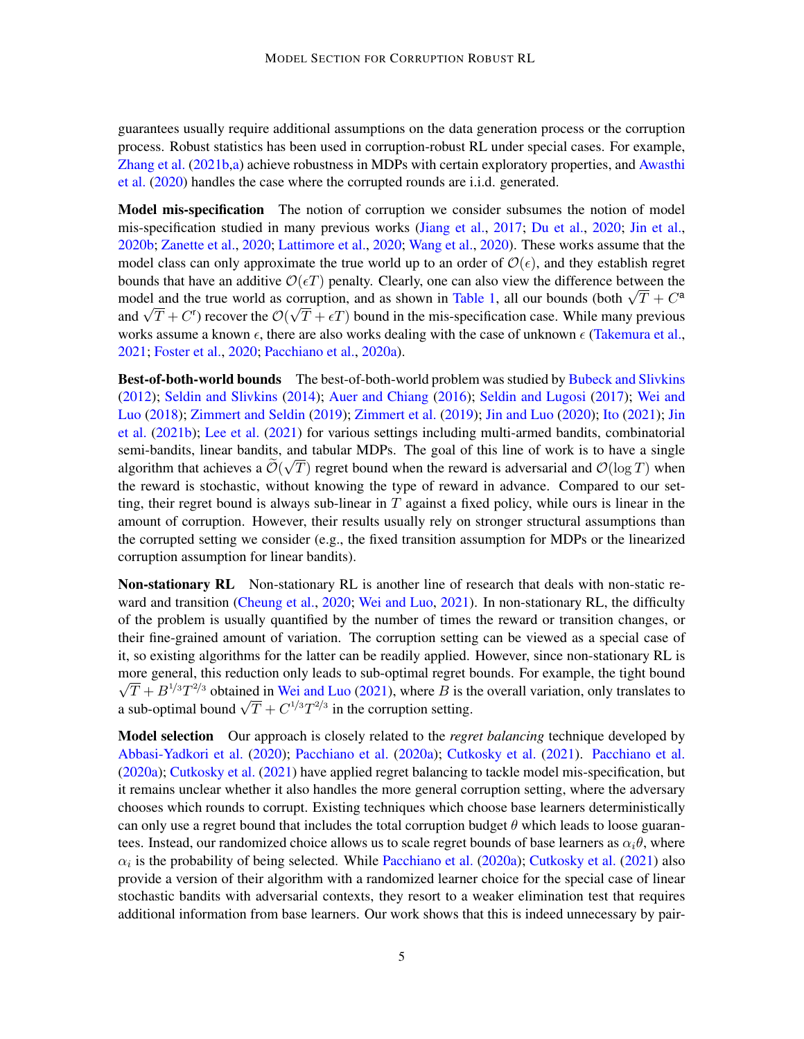guarantees usually require additional assumptions on the data generation process or the corruption process. Robust statistics has been used in corruption-robust RL under special cases. For example, [Zhang et al.](#page-19-1) [\(2021b,](#page-19-1)[a\)](#page-19-5) achieve robustness in MDPs with certain exploratory properties, and [Awasthi](#page-16-9) [et al.](#page-16-9) [\(2020\)](#page-16-9) handles the case where the corrupted rounds are i.i.d. generated.

Model mis-specification The notion of corruption we consider subsumes the notion of model mis-specification studied in many previous works [\(Jiang et al.,](#page-17-12) [2017;](#page-17-12) [Du et al.,](#page-17-13) [2020;](#page-17-13) [Jin et al.,](#page-17-2) [2020b;](#page-17-2) [Zanette et al.,](#page-19-7) [2020;](#page-19-7) [Lattimore et al.,](#page-18-13) [2020;](#page-18-13) [Wang et al.,](#page-19-8) [2020\)](#page-19-8). These works assume that the model class can only approximate the true world up to an order of  $\mathcal{O}(\epsilon)$ , and they establish regret bounds that have an additive  $\mathcal{O}(\epsilon T)$  penalty. Clearly, one can also view the difference between the bounds that have an additive  $O(\epsilon I)$  penalty. Clearly, one can also view the difference between the model and the true world as corruption, and as shown in [Table 1,](#page-2-0) all our bounds (both  $\sqrt{T} + C^a$ model and the true world as corruption, and as shown in Table 1, all our bounds (both  $\sqrt{T} + C^*$ ) and  $\sqrt{T} + C^r$ ) recover the  $\mathcal{O}(\sqrt{T} + \epsilon T)$  bound in the mis-specification case. While many previous works assume a known  $\epsilon$ , there are also works dealing with the case of unknown  $\epsilon$  [\(Takemura et al.,](#page-19-9) [2021;](#page-19-9) [Foster et al.,](#page-17-8) [2020;](#page-17-8) [Pacchiano et al.,](#page-18-9) [2020a\)](#page-18-9).

Best-of-both-world bounds The best-of-both-world problem was studied by [Bubeck and Slivkins](#page-16-10) [\(2012\)](#page-16-10); [Seldin and Slivkins](#page-19-10) [\(2014\)](#page-19-10); [Auer and Chiang](#page-16-11) [\(2016\)](#page-16-11); [Seldin and Lugosi](#page-19-11) [\(2017\)](#page-19-11); [Wei and](#page-19-12) [Luo](#page-19-12) [\(2018\)](#page-19-12); [Zimmert and Seldin](#page-20-2) [\(2019\)](#page-20-2); [Zimmert et al.](#page-20-3) [\(2019\)](#page-20-3); [Jin and Luo](#page-17-6) [\(2020\)](#page-17-6); [Ito](#page-17-14) [\(2021\)](#page-17-14); [Jin](#page-18-8) [et al.](#page-18-8) [\(2021b\)](#page-18-8); [Lee et al.](#page-18-12) [\(2021\)](#page-18-12) for various settings including multi-armed bandits, combinatorial semi-bandits, linear bandits, and tabular MDPs. The goal of this line of work is to have a single algorithm that achieves a  $\mathcal{O}(\sqrt{T})$  regret bound when the reward is adversarial and  $\mathcal{O}(\log T)$  when the reward is stochastic, without knowing the type of reward in advance. Compared to our setting, their regret bound is always sub-linear in  $T$  against a fixed policy, while ours is linear in the amount of corruption. However, their results usually rely on stronger structural assumptions than the corrupted setting we consider (e.g., the fixed transition assumption for MDPs or the linearized corruption assumption for linear bandits).

Non-stationary RL Non-stationary RL is another line of research that deals with non-static reward and transition [\(Cheung et al.,](#page-16-4) [2020;](#page-16-4) [Wei and Luo,](#page-19-4) [2021\)](#page-19-4). In non-stationary RL, the difficulty of the problem is usually quantified by the number of times the reward or transition changes, or their fine-grained amount of variation. The corruption setting can be viewed as a special case of it, so existing algorithms for the latter can be readily applied. However, since non-stationary RL is more general, this reduction only leads to sub-optimal regret bounds. For example, the tight bound  $\overline{T} + B^{1/3}T^{2/3}$  obtained in [Wei and Luo](#page-19-4) [\(2021\)](#page-19-4), where  $B$  is the overall variation, only translates to  $\sqrt{1 + B}$  /° 1 <sup>1</sup> obtained in Wei and Luo (2021), where *B* is the a sub-optimal bound  $\sqrt{T} + C^{1/3}T^{2/3}$  in the corruption setting.

Model selection Our approach is closely related to the *regret balancing* technique developed by [Abbasi-Yadkori et al.](#page-15-3) [\(2020\)](#page-15-3); [Pacchiano et al.](#page-18-9) [\(2020a\)](#page-18-9); [Cutkosky et al.](#page-16-12) [\(2021\)](#page-16-12). [Pacchiano et al.](#page-18-9) [\(2020a\)](#page-18-9); [Cutkosky et al.](#page-16-12) [\(2021\)](#page-16-12) have applied regret balancing to tackle model mis-specification, but it remains unclear whether it also handles the more general corruption setting, where the adversary chooses which rounds to corrupt. Existing techniques which choose base learners deterministically can only use a regret bound that includes the total corruption budget  $\theta$  which leads to loose guarantees. Instead, our randomized choice allows us to scale regret bounds of base learners as  $\alpha_i \theta$ , where  $\alpha_i$  is the probability of being selected. While [Pacchiano et al.](#page-18-9) [\(2020a\)](#page-18-9); [Cutkosky et al.](#page-16-12) [\(2021\)](#page-16-12) also provide a version of their algorithm with a randomized learner choice for the special case of linear stochastic bandits with adversarial contexts, they resort to a weaker elimination test that requires additional information from base learners. Our work shows that this is indeed unnecessary by pair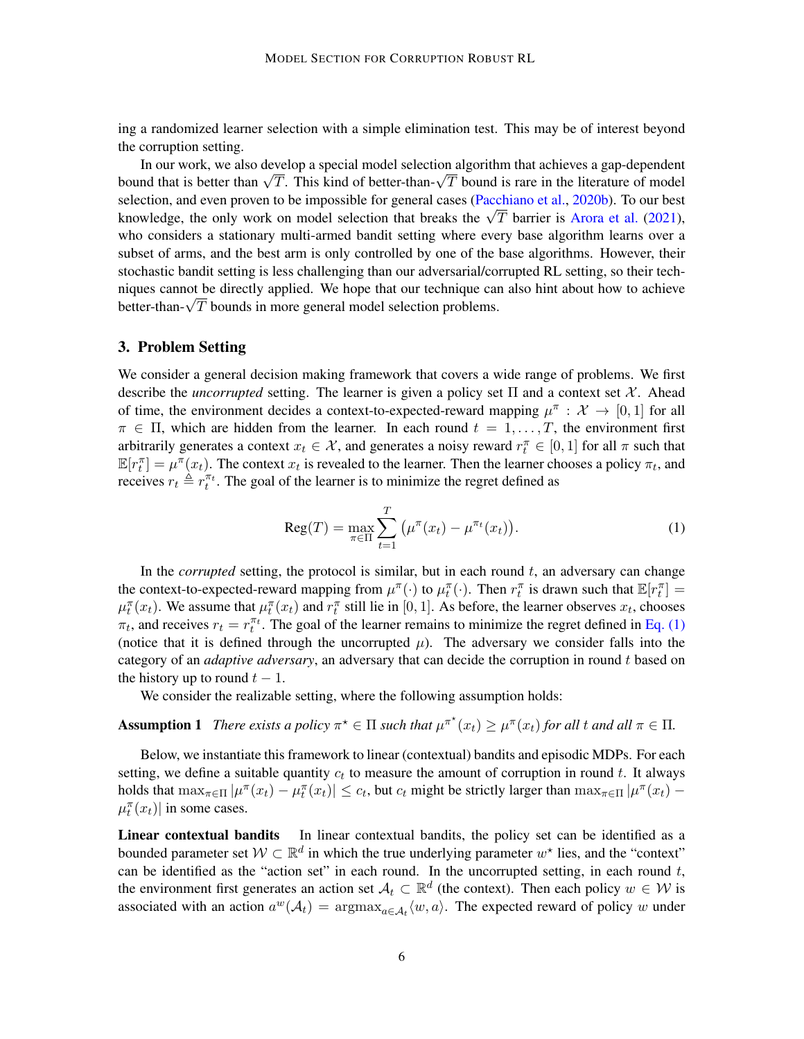ing a randomized learner selection with a simple elimination test. This may be of interest beyond the corruption setting.

In our work, we also develop a special model selection algorithm that achieves a gap-dependent In our work, we also develop a special model selection algorithm that achieves a gap-dependent<br>bound that is better than  $\sqrt{T}$ . This kind of better-than- $\sqrt{T}$  bound is rare in the literature of model selection, and even proven to be impossible for general cases [\(Pacchiano et al.,](#page-18-10) [2020b\)](#page-18-10). To our best selection, and even proven to be impossible for general cases (Pacchiano et al., 20206). To our best knowledge, the only work on model selection that breaks the  $\sqrt{T}$  barrier is [Arora et al.](#page-15-2) [\(2021\)](#page-15-2), who considers a stationary multi-armed bandit setting where every base algorithm learns over a subset of arms, and the best arm is only controlled by one of the base algorithms. However, their stochastic bandit setting is less challenging than our adversarial/corrupted RL setting, so their techniques cannot be directly applied. We hope that our technique can also hint about how to achieve mques cannot be directly applied. We nope that our technique can<br>better-than- $\sqrt{T}$  bounds in more general model selection problems.

#### <span id="page-5-2"></span>3. Problem Setting

We consider a general decision making framework that covers a wide range of problems. We first describe the *uncorrupted* setting. The learner is given a policy set  $\Pi$  and a context set  $\mathcal{X}$ . Ahead of time, the environment decides a context-to-expected-reward mapping  $\mu^{\pi}$  :  $\mathcal{X} \to [0,1]$  for all  $\pi \in \Pi$ , which are hidden from the learner. In each round  $t = 1, \ldots, T$ , the environment first arbitrarily generates a context  $x_t \in \mathcal{X}$ , and generates a noisy reward  $r_t^{\pi} \in [0, 1]$  for all  $\pi$  such that  $\mathbb{E}[r_t^{\pi}] = \mu^{\pi}(x_t)$ . The context  $x_t$  is revealed to the learner. Then the learner chooses a policy  $\pi_t$ , and receives  $r_t \triangleq r_t^{\pi_t}$ . The goal of the learner is to minimize the regret defined as

<span id="page-5-1"></span><span id="page-5-0"></span>
$$
Reg(T) = \max_{\pi \in \Pi} \sum_{t=1}^{T} (\mu^{\pi}(x_t) - \mu^{\pi_t}(x_t)).
$$
 (1)

In the *corrupted* setting, the protocol is similar, but in each round  $t$ , an adversary can change the context-to-expected-reward mapping from  $\mu^{\pi}(\cdot)$  to  $\mu^{\pi}_{t}(\cdot)$ . Then  $r^{\pi}_{t}$  is drawn such that  $\mathbb{E}[r^{\pi}_{t}]$  =  $\mu_t^{\pi}(x_t)$ . We assume that  $\mu_t^{\pi}(x_t)$  and  $r_t^{\pi}$  still lie in [0, 1]. As before, the learner observes  $x_t$ , chooses  $\pi_t$ , and receives  $r_t = r_t^{\pi_t}$ . The goal of the learner remains to minimize the regret defined in [Eq. \(1\)](#page-5-0) (notice that it is defined through the uncorrupted  $\mu$ ). The adversary we consider falls into the category of an *adaptive adversary*, an adversary that can decide the corruption in round t based on the history up to round  $t - 1$ .

We consider the realizable setting, where the following assumption holds:

# **Assumption 1** There exists a policy  $\pi^* \in \Pi$  such that  $\mu^{\pi^*}(x_t) \geq \mu^{\pi}(x_t)$  for all t and all  $\pi \in \Pi$ .

Below, we instantiate this framework to linear (contextual) bandits and episodic MDPs. For each setting, we define a suitable quantity  $c_t$  to measure the amount of corruption in round t. It always holds that  $\max_{\pi \in \Pi} |\mu^{\pi}(x_t) - \mu^{\pi}_t(x_t)| \leq c_t$ , but  $c_t$  might be strictly larger than  $\max_{\pi \in \Pi} |\mu^{\pi}(x_t) - \mu^{\pi}_t(x_t)|$  $\mu_t^{\pi}(x_t)$  in some cases.

Linear contextual bandits In linear contextual bandits, the policy set can be identified as a bounded parameter set  $W \subset \mathbb{R}^d$  in which the true underlying parameter  $w^*$  lies, and the "context" can be identified as the "action set" in each round. In the uncorrupted setting, in each round  $t$ , the environment first generates an action set  $A_t \subset \mathbb{R}^d$  (the context). Then each policy  $w \in \mathcal{W}$  is associated with an action  $a^w(\mathcal{A}_t) = \text{argmax}_{a \in \mathcal{A}_t} \langle w, a \rangle$ . The expected reward of policy w under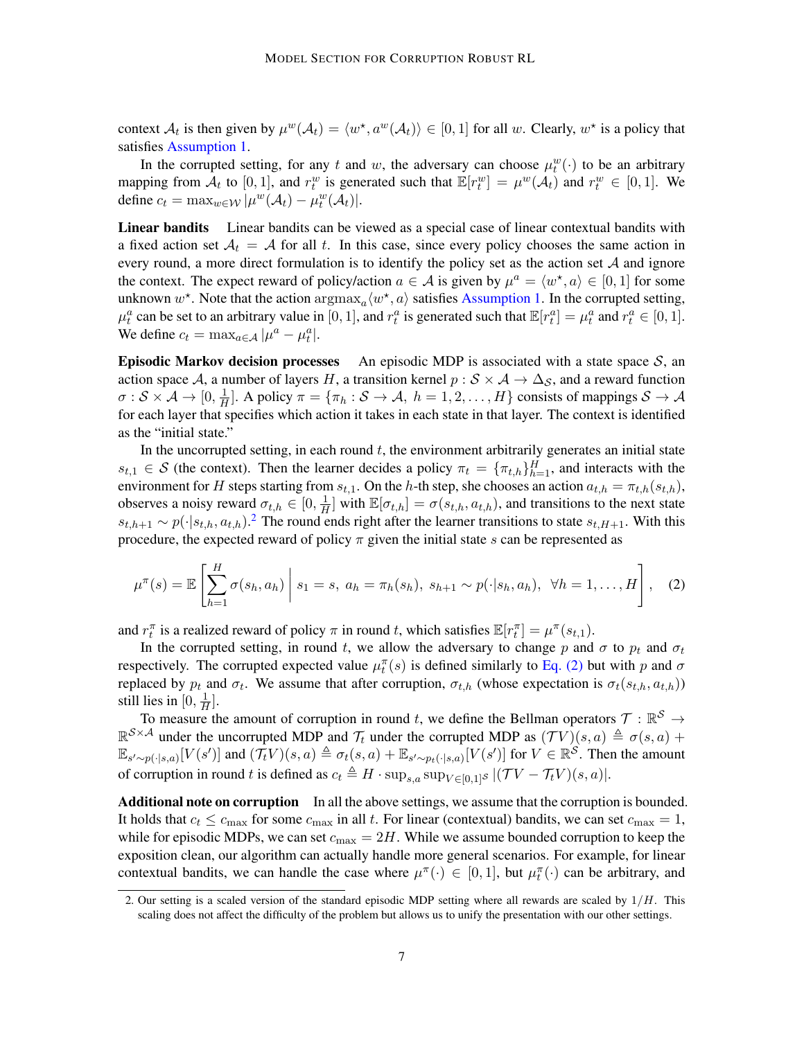context  $\mathcal{A}_t$  is then given by  $\mu^w(\mathcal{A}_t) = \langle w^*, a^w(\mathcal{A}_t) \rangle \in [0, 1]$  for all w. Clearly,  $w^*$  is a policy that satisfies [Assumption 1.](#page-5-1)

In the corrupted setting, for any t and w, the adversary can choose  $\mu_t^w(\cdot)$  to be an arbitrary mapping from  $\mathcal{A}_t$  to  $[0, 1]$ , and  $r_t^w$  is generated such that  $\mathbb{E}[r_t^w] = \mu^w(\mathcal{A}_t)$  and  $r_t^w \in [0, 1]$ . We define  $c_t = \max_{w \in \mathcal{W}} |\mu^w(\mathcal{A}_t) - \mu^w_t(\mathcal{A}_t)|$ .

Linear bandits Linear bandits can be viewed as a special case of linear contextual bandits with a fixed action set  $A_t = A$  for all t. In this case, since every policy chooses the same action in every round, a more direct formulation is to identify the policy set as the action set  $A$  and ignore the context. The expect reward of policy/action  $a \in \mathcal{A}$  is given by  $\mu^a = \langle w^*, a \rangle \in [0, 1]$  for some unknown  $w^*$ . Note that the action  $\arg \max_a \langle w^*, a \rangle$  satisfies [Assumption 1.](#page-5-1) In the corrupted setting,  $\mu_t^a$  can be set to an arbitrary value in [0, 1], and  $r_t^a$  is generated such that  $\mathbb{E}[r_t^a] = \mu_t^a$  and  $r_t^a \in [0, 1]$ . We define  $c_t = \max_{a \in \mathcal{A}} |\mu^a - \mu_t^a|$ .

**Episodic Markov decision processes** An episodic MDP is associated with a state space  $S$ , an action space A, a number of layers H, a transition kernel  $p : S \times A \rightarrow \Delta_S$ , and a reward function  $\sigma: \mathcal{S} \times \mathcal{A} \rightarrow [0, \frac{1}{H}]$  $\frac{1}{H}$ ]. A policy  $\pi = {\pi_h : S \to A, h = 1, 2, ..., H}$  consists of mappings  $S \to A$ for each layer that specifies which action it takes in each state in that layer. The context is identified as the "initial state."

In the uncorrupted setting, in each round  $t$ , the environment arbitrarily generates an initial state  $s_{t,1} \in S$  (the context). Then the learner decides a policy  $\pi_t = {\{\pi_{t,h}\}}_{h=1}^H$ , and interacts with the environment for H steps starting from  $s_{t,1}$ . On the h-th step, she chooses an action  $a_{t,h} = \pi_{t,h}(s_{t,h})$ , observes a noisy reward  $\sigma_{t,h} \in [0, \frac{1}{H}]$  $\frac{1}{H}$ ] with  $\mathbb{E}[\sigma_{t,h}] = \sigma(s_{t,h}, a_{t,h})$ , and transitions to the next state  $s_{t,h+1} \sim p(\cdot|s_{t,h}, a_{t,h})$ .<sup>[2](#page-0-1)</sup> The round ends right after the learner transitions to state  $s_{t,H+1}$ . With this procedure, the expected reward of policy  $\pi$  given the initial state s can be represented as

<span id="page-6-0"></span>
$$
\mu^{\pi}(s) = \mathbb{E}\left[\sum_{h=1}^{H} \sigma(s_h, a_h) \middle| s_1 = s, a_h = \pi_h(s_h), s_{h+1} \sim p(\cdot|s_h, a_h), \ \forall h = 1, ..., H\right], \quad (2)
$$

and  $r_t^{\pi}$  is a realized reward of policy  $\pi$  in round t, which satisfies  $\mathbb{E}[r_t^{\pi}] = \mu^{\pi}(s_{t,1})$ .

In the corrupted setting, in round t, we allow the adversary to change p and  $\sigma$  to  $p_t$  and  $\sigma_t$ respectively. The corrupted expected value  $\mu_t^{\pi}(s)$  is defined similarly to [Eq. \(2\)](#page-6-0) but with p and  $\sigma$ replaced by  $p_t$  and  $\sigma_t$ . We assume that after corruption,  $\sigma_{t,h}$  (whose expectation is  $\sigma_t(s_{t,h}, a_{t,h})$ ) still lies in  $[0, \frac{1}{H}]$  $\frac{1}{H}$ .

To measure the amount of corruption in round t, we define the Bellman operators  $\mathcal{T}: \mathbb{R}^{\mathcal{S}} \to$  $\mathbb{R}^{S \times A}$  under the uncorrupted MDP and  $\mathcal{T}_t$  under the corrupted MDP as  $(\mathcal{T}V)(s, a) \triangleq \sigma(s, a) +$  $\mathbb{E}_{s' \sim p(\cdot|s,a)}[V(s')]$  and  $(\mathcal{T}_t V)(s,a) \triangleq \sigma_t(s,a) + \mathbb{E}_{s' \sim p_t(\cdot|s,a)}[V(s')]$  for  $V \in \mathbb{R}^S$ . Then the amount of corruption in round t is defined as  $c_t \triangleq H \cdot \sup_{s,a} \sup_{V \in [0,1]^S} |(TV - \mathcal{T}_t V)(s, a)|$ .

Additional note on corruption In all the above settings, we assume that the corruption is bounded. It holds that  $c_t \leq c_{\text{max}}$  for some  $c_{\text{max}}$  in all t. For linear (contextual) bandits, we can set  $c_{\text{max}} = 1$ , while for episodic MDPs, we can set  $c_{\text{max}} = 2H$ . While we assume bounded corruption to keep the exposition clean, our algorithm can actually handle more general scenarios. For example, for linear contextual bandits, we can handle the case where  $\mu^{\pi}(\cdot) \in [0,1]$ , but  $\mu^{\pi}_{t}(\cdot)$  can be arbitrary, and

<sup>2.</sup> Our setting is a scaled version of the standard episodic MDP setting where all rewards are scaled by  $1/H$ . This scaling does not affect the difficulty of the problem but allows us to unify the presentation with our other settings.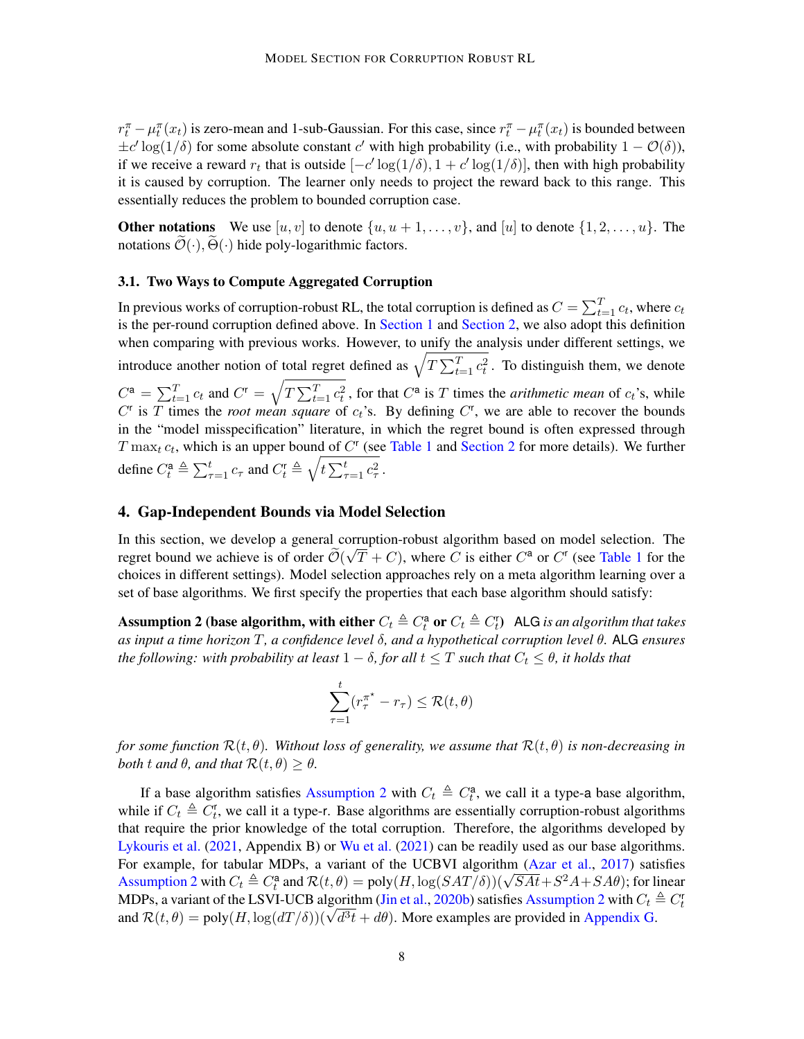$r_t^{\pi} - \mu_t^{\pi}(x_t)$  is zero-mean and 1-sub-Gaussian. For this case, since  $r_t^{\pi} - \mu_t^{\pi}(x_t)$  is bounded between  $\pm c' \log(1/\delta)$  for some absolute constant c' with high probability (i.e., with probability  $1 - \mathcal{O}(\delta)$ ), if we receive a reward  $r_t$  that is outside  $[-c' \log(1/\delta), 1 + c' \log(1/\delta)]$ , then with high probability it is caused by corruption. The learner only needs to project the reward back to this range. This essentially reduces the problem to bounded corruption case.

**Other notations** We use  $[u, v]$  to denote  $\{u, u + 1, \ldots, v\}$ , and  $[u]$  to denote  $\{1, 2, \ldots, u\}$ . The notations  $\mathcal{O}(\cdot)$ ,  $\Theta(\cdot)$  hide poly-logarithmic factors.

#### <span id="page-7-1"></span>3.1. Two Ways to Compute Aggregated Corruption

In previous works of corruption-robust RL, the total corruption is defined as  $C = \sum_{t=1}^{T} c_t$ , where  $c_t$ is the per-round corruption defined above. In [Section 1](#page-0-2) and [Section 2,](#page-3-0) we also adopt this definition when comparing with previous works. However, to unify the analysis under different settings, we introduce another notion of total regret defined as  $\sqrt{T \sum_{t=1}^{T} c_t^2}$ . To distinguish them, we denote  $C^{\mathsf{a}} = \sum_{t=1}^{T} c_t$  and  $C^{\mathsf{r}} = \sqrt{T \sum_{t=1}^{T} c_t^2}$ , for that  $C^{\mathsf{a}}$  is T times the *arithmetic mean* of  $c_t$ 's, while  $C^r$  is T times the *root mean square* of  $c_t$ 's. By defining  $C^r$ , we are able to recover the bounds in the "model misspecification" literature, in which the regret bound is often expressed through  $T$  max<sub>t</sub>  $c_t$ , which is an upper bound of  $C^r$  (see [Table 1](#page-2-0) and [Section 2](#page-3-0) for more details). We further define  $C_t^a \triangleq \sum_{\tau=1}^t c_\tau$  and  $C_t^r \triangleq \sqrt{t \sum_{\tau=1}^t c_\tau^2}$ .

#### <span id="page-7-2"></span>4. Gap-Independent Bounds via Model Selection

In this section, we develop a general corruption-robust algorithm based on model selection. The regret bound we achieve is of order  $\mathcal{O}(\sqrt{T} + C)$ , where C is either  $C^a$  or  $C^r$  (see [Table 1](#page-2-0) for the choices in different settings). Model selection approaches rely on a meta algorithm learning over a set of base algorithms. We first specify the properties that each base algorithm should satisfy:

Assumption 2 (base algorithm, with either  $C_t \triangleq C_t^{\mathsf{a}}$  or  $C_t \triangleq C_t^{\mathsf{r}}$ ) ALG *is an algorithm that takes as input a time horizon* T*, a confidence level* δ*, and a hypothetical corruption level* θ*.* ALG *ensures the following: with probability at least*  $1 - \delta$ , *for all*  $t \leq T$  *such that*  $C_t \leq \theta$ , *it holds that* 

<span id="page-7-0"></span>
$$
\sum_{\tau=1}^t (r_\tau^{\pi^\star} - r_\tau) \le \mathcal{R}(t,\theta)
$$

*for some function*  $\mathcal{R}(t, \theta)$ *. Without loss of generality, we assume that*  $\mathcal{R}(t, \theta)$  *is non-decreasing in both*  $t$  *and*  $\theta$ *, and that*  $\mathcal{R}(t, \theta) \geq \theta$ *.* 

If a base algorithm satisfies [Assumption 2](#page-7-0) with  $C_t \triangleq C_t^a$ , we call it a type-a base algorithm, while if  $C_t \triangleq C_t^r$ , we call it a type-r. Base algorithms are essentially corruption-robust algorithms that require the prior knowledge of the total corruption. Therefore, the algorithms developed by [Lykouris et al.](#page-18-0) [\(2021,](#page-18-0) Appendix B) or [Wu et al.](#page-19-0) [\(2021\)](#page-19-0) can be readily used as our base algorithms. For example, for tabular MDPs, a variant of the UCBVI algorithm [\(Azar et al.,](#page-16-2) [2017\)](#page-16-2) satisfies For example, for tabular MDPs, a variant of the UCBVT algorithm (Azar et al., 2017) satisfies<br>[Assumption 2](#page-7-0) with  $C_t \triangleq C_t^a$  and  $\mathcal{R}(t, \theta) = \text{poly}(H, \log(SAT/\delta))(\sqrt{SAt} + S^2A + SA\theta)$ ; for linear MDPs, a variant of the LSVI-UCB algorithm [\(Jin et al.,](#page-17-2) [2020b\)](#page-17-2) satisfies [Assumption 2](#page-7-0) with  $C_t \triangleq C_t^r$ MDPs, a variant of the LSVI-UCB aigorithm (Jin et al., 2020b) satisfies Assumption 2 with  $C_t$  and  $\mathcal{R}(t, \theta) = \text{poly}(H, \log(dT/\delta))(\sqrt{d^3t} + d\theta)$ . More examples are provided in [Appendix G.](#page-36-1)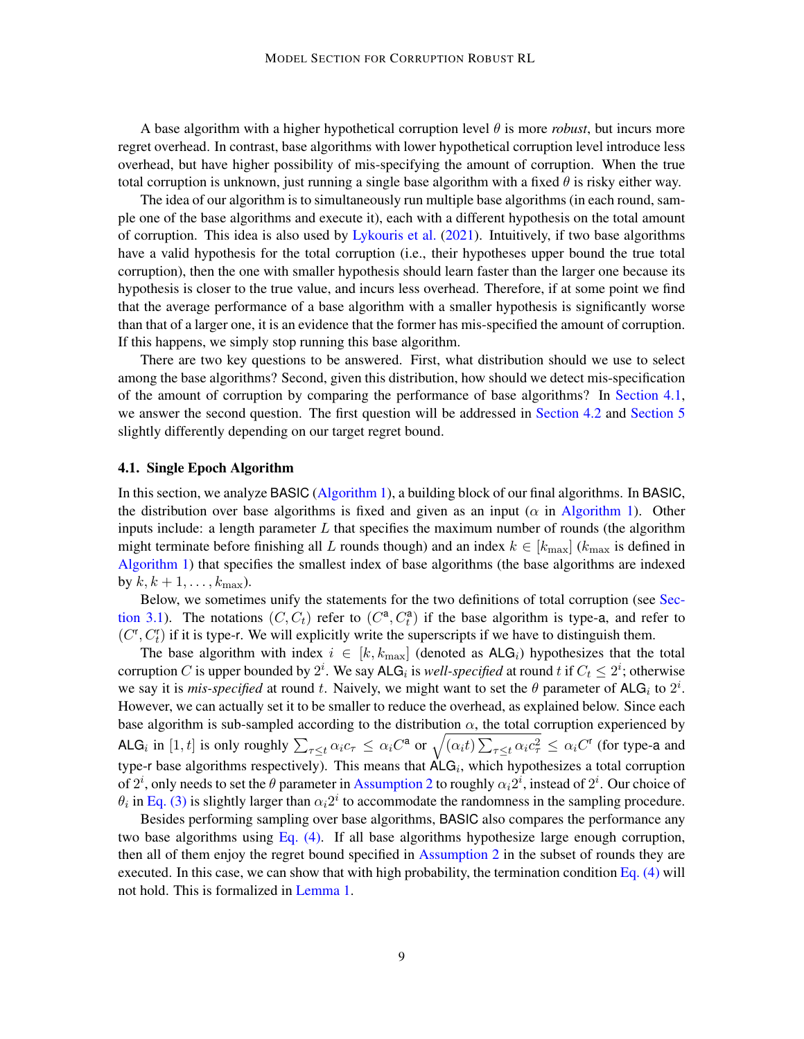A base algorithm with a higher hypothetical corruption level  $\theta$  is more *robust*, but incurs more regret overhead. In contrast, base algorithms with lower hypothetical corruption level introduce less overhead, but have higher possibility of mis-specifying the amount of corruption. When the true total corruption is unknown, just running a single base algorithm with a fixed  $\theta$  is risky either way.

The idea of our algorithm is to simultaneously run multiple base algorithms (in each round, sample one of the base algorithms and execute it), each with a different hypothesis on the total amount of corruption. This idea is also used by [Lykouris et al.](#page-18-0) [\(2021\)](#page-18-0). Intuitively, if two base algorithms have a valid hypothesis for the total corruption (i.e., their hypotheses upper bound the true total corruption), then the one with smaller hypothesis should learn faster than the larger one because its hypothesis is closer to the true value, and incurs less overhead. Therefore, if at some point we find that the average performance of a base algorithm with a smaller hypothesis is significantly worse than that of a larger one, it is an evidence that the former has mis-specified the amount of corruption. If this happens, we simply stop running this base algorithm.

There are two key questions to be answered. First, what distribution should we use to select among the base algorithms? Second, given this distribution, how should we detect mis-specification of the amount of corruption by comparing the performance of base algorithms? In [Section 4.1,](#page-8-0) we answer the second question. The first question will be addressed in [Section 4.2](#page-10-0) and [Section 5](#page-11-0) slightly differently depending on our target regret bound.

#### <span id="page-8-0"></span>4.1. Single Epoch Algorithm

In this section, we analyze BASIC [\(Algorithm 1\)](#page-9-0), a building block of our final algorithms. In BASIC, the distribution over base algorithms is fixed and given as an input ( $\alpha$  in [Algorithm 1\)](#page-9-0). Other inputs include: a length parameter  $L$  that specifies the maximum number of rounds (the algorithm might terminate before finishing all L rounds though) and an index  $k \in [k_{\text{max}}]$  ( $k_{\text{max}}$  is defined in [Algorithm 1\)](#page-9-0) that specifies the smallest index of base algorithms (the base algorithms are indexed by  $k, k+1, \ldots, k_{\text{max}}$ ).

Below, we sometimes unify the statements for the two definitions of total corruption (see [Sec](#page-7-1)[tion 3.1\)](#page-7-1). The notations  $(C, C_t)$  refer to  $(C^a, C^a_t)$  if the base algorithm is type-a, and refer to  $(C^{\mathsf{r}}, C_t^{\mathsf{r}})$  if it is type-r. We will explicitly write the superscripts if we have to distinguish them.

The base algorithm with index  $i \in [k, k_{\text{max}}]$  (denoted as  $\mathsf{ALG}_i$ ) hypothesizes that the total corruption C is upper bounded by  $2^i$ . We say ALG<sub>i</sub> is *well-specified* at round t if  $C_t \leq 2^i$ ; otherwise we say it is *mis-specified* at round t. Naively, we might want to set the  $\theta$  parameter of ALG<sub>i</sub> to  $2^i$ . However, we can actually set it to be smaller to reduce the overhead, as explained below. Since each base algorithm is sub-sampled according to the distribution  $\alpha$ , the total corruption experienced by ALG<sub>i</sub> in [1, t] is only roughly  $\sum_{\tau \leq t} \alpha_i c_\tau \leq \alpha_i C^{\mathsf{a}}$  or  $\sqrt{(\alpha_i t) \sum_{\tau \leq t} \alpha_i c_\tau^2} \leq \alpha_i C^{\mathsf{r}}$  (for type-a and type-r base algorithms respectively). This means that  $ALG_i$ , which hypothesizes a total corruption of  $2^i$ , only needs to set the  $\theta$  parameter in [Assumption 2](#page-7-0) to roughly  $\alpha_i 2^i$ , instead of  $2^i$ . Our choice of  $\theta_i$  in [Eq. \(3\)](#page-9-1) is slightly larger than  $\alpha_i 2^i$  to accommodate the randomness in the sampling procedure.

<span id="page-8-1"></span>Besides performing sampling over base algorithms, BASIC also compares the performance any two base algorithms using [Eq. \(4\).](#page-9-2) If all base algorithms hypothesize large enough corruption, then all of them enjoy the regret bound specified in [Assumption 2](#page-7-0) in the subset of rounds they are executed. In this case, we can show that with high probability, the termination condition Eq.  $(4)$  will not hold. This is formalized in [Lemma 1.](#page-8-1)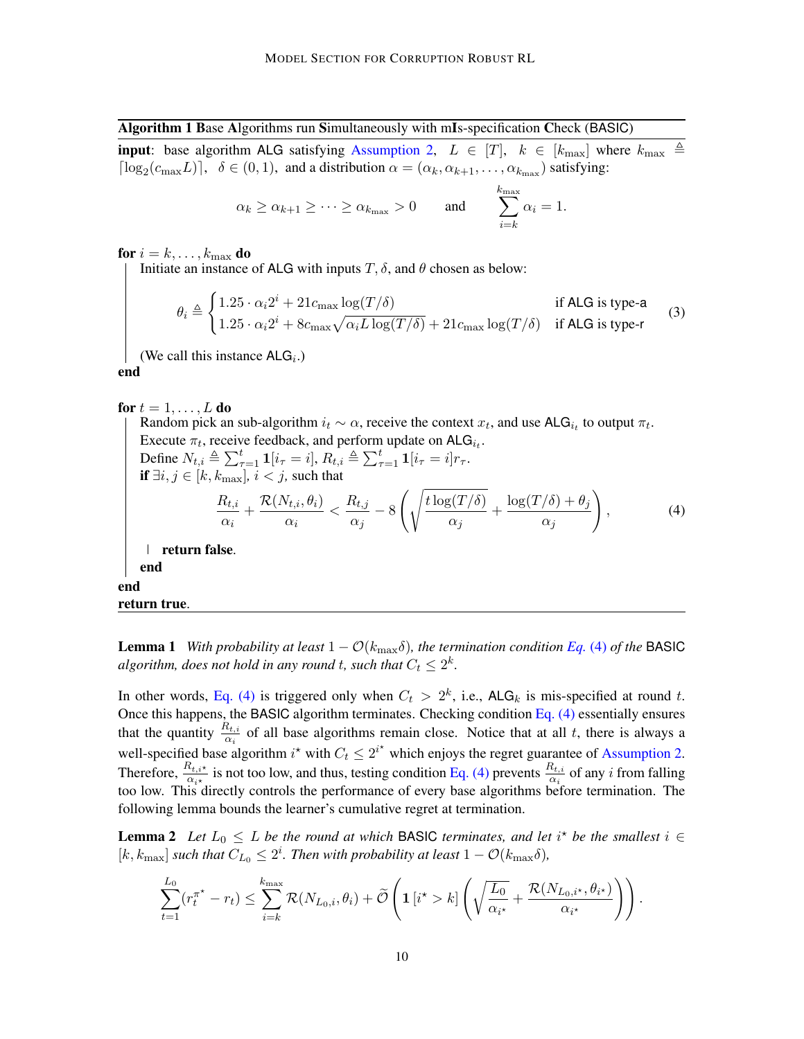<span id="page-9-0"></span>Algorithm 1 Base Algorithms run Simultaneously with mIs-specification Check (BASIC) **input**: base algorithm ALG satisfying [Assumption 2,](#page-7-0)  $L \in [T]$ ,  $k \in [k_{\text{max}}]$  where  $k_{\text{max}} \triangleq$  $\lceil \log_2(c_{\max}L) \rceil$ ,  $\delta \in (0,1)$ , and a distribution  $\alpha = (\alpha_k, \alpha_{k+1}, \dots, \alpha_{k_{\max}})$  satisfying:

<span id="page-9-2"></span><span id="page-9-1"></span>
$$
\alpha_k \ge \alpha_{k+1} \ge \cdots \ge \alpha_{k_{\max}} > 0
$$
 and  $\sum_{i=k}^{k_{\max}} \alpha_i = 1$ .

for  $i = k, \ldots, k_{\text{max}}$  do

Initiate an instance of ALG with inputs  $T$ ,  $\delta$ , and  $\theta$  chosen as below:

$$
\theta_i \triangleq \begin{cases} 1.25 \cdot \alpha_i 2^i + 21 c_{\text{max}} \log(T/\delta) & \text{if ALG is type-a} \\ 1.25 \cdot \alpha_i 2^i + 8 c_{\text{max}} \sqrt{\alpha_i L \log(T/\delta)} + 21 c_{\text{max}} \log(T/\delta) & \text{if ALG is type-r} \end{cases} \tag{3}
$$

(We call this instance  $ALG_i$ .)

end

for  $t = 1, \ldots, L$  do Random pick an sub-algorithm  $i_t \sim \alpha$ , receive the context  $x_t$ , and use ALG $i_t$  to output  $\pi_t$ . Execute  $\pi_t$ , receive feedback, and perform update on ALG $_{i_t}$ . Define  $N_{t,i} \triangleq \sum_{\tau=1}^t \mathbf{1}[i_{\tau} = i], R_{t,i} \triangleq \sum_{\tau=1}^t \mathbf{1}[i_{\tau} = i]r_{\tau}.$ if  $\exists i, j \in [k, k_{\text{max}}], i < j$ , such that  $R_{t,i}$  $\frac{R_{t,i}}{\alpha_i} + \frac{\mathcal{R}(N_{t,i}, \theta_i)}{\alpha_i}$  $\frac{\partial V_{t,i},\theta_i)}{\partial x_i} < \frac{R_{t,j}}{\alpha_j}$  $\frac{\alpha_{i,j}}{\alpha_j} - 8$  $\int$   $\sqrt{t \log(T/\delta)}$  $\frac{\log(T/\delta) }{\alpha_j} + \frac{\log(T/\delta) + \theta_j}{\alpha_j}$  $\alpha_j$  $\setminus$  $(4)$ | return false. end end

return true.

**Lemma 1** *With probability at least*  $1 - \mathcal{O}(k_{\text{max}}\delta)$ *, the termination condition [Eq.](#page-9-2)* (4) *of the* BASIC algorithm, does not hold in any round  $t$ , such that  $C_t \leq 2^k$ .

In other words, [Eq. \(4\)](#page-9-2) is triggered only when  $C_t > 2^k$ , i.e., ALG<sub>k</sub> is mis-specified at round t. Once this happens, the BASIC algorithm terminates. Checking condition Eq.  $(4)$  essentially ensures that the quantity  $\frac{R_{t,i}}{\alpha_i}$  of all base algorithms remain close. Notice that at all t, there is always a well-specified base algorithm  $i^*$  with  $C_t \leq 2^{i^*}$  which enjoys the regret guarantee of [Assumption 2.](#page-7-0) Therefore,  $\frac{R_{t,i^*}}{\alpha_i}$  is not too low, and thus, testing condition [Eq. \(4\)](#page-9-2) prevents  $\frac{R_{t,i}}{\alpha_i}$  of any i from falling too low. This directly controls the performance of every base algorithms before termination. The following lemma bounds the learner's cumulative regret at termination.

**Lemma 2** Let  $L_0 \leq L$  be the round at which BASIC terminates, and let i<sup>\*</sup> be the smallest i  $\in$  $[k, k_{\text{max}}]$  *such that*  $C_{L_0} \leq 2^i$ *. Then with probability at least*  $1 - \mathcal{O}(k_{\text{max}}\delta)$ *,* 

<span id="page-9-3"></span>
$$
\sum_{t=1}^{L_0} (r_t^{\pi^\star} - r_t) \leq \sum_{i=k}^{k_{\text{max}}} \mathcal{R}(N_{L_0,i}, \theta_i) + \widetilde{\mathcal{O}}\left(\mathbf{1}\left[i^\star > k\right] \left(\sqrt{\frac{L_0}{\alpha_{i^\star}}} + \frac{\mathcal{R}(N_{L_0,i^\star}, \theta_{i^\star})}{\alpha_{i^\star}}\right)\right).
$$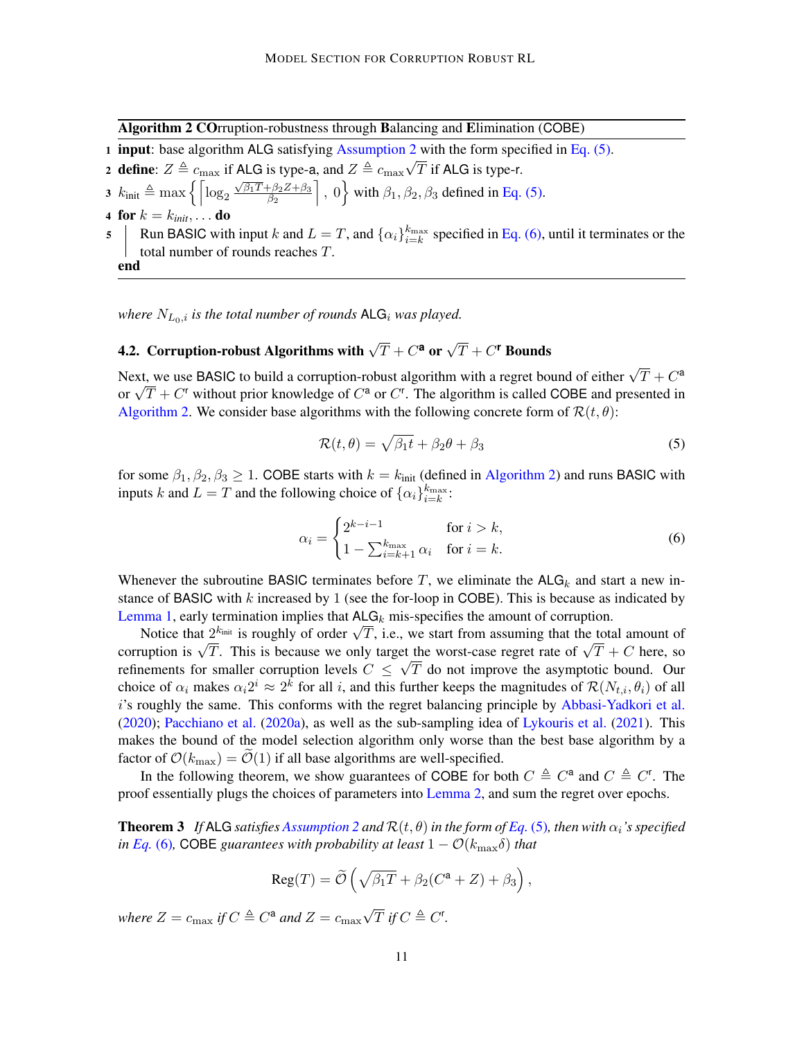<span id="page-10-3"></span>Algorithm 2 COrruption-robustness through Balancing and Elimination (COBE)

- 1 **input**: base algorithm ALG satisfying [Assumption 2](#page-7-0) with the form specified in Eq.  $(5)$ .
- 2 define:  $Z \triangleq c_{\text{max}}$  if ALG is type-a, and  $Z \triangleq c_{\text{max}}\sqrt{T}$  if ALG is type-r.
- 3  $k_{\text{init}} \triangleq \max \left\{ \left[ \log_2 \frac{\sqrt{\beta_1 T} + \beta_2 Z + \beta_3}{\beta_2} \right] \right\}$  $\overline{\beta_2}$  $\Big]$ , 0 with  $\beta_1, \beta_2, \beta_3$  defined in [Eq. \(5\).](#page-10-1)
- <span id="page-10-4"></span>4 for  $k = k_{init}, \ldots$  do
- <span id="page-10-6"></span>5 Run BASIC with input k and  $L = T$ , and  $\{\alpha_i\}_{i=k}^{k_{\text{max}}}$  specified in [Eq. \(6\),](#page-10-2) until it terminates or the total number of rounds reaches T. end

*where*  $N_{L_0,i}$  *is the total number of rounds*  $\mathsf{ALG}_i$  *was played.* 

# <span id="page-10-0"></span>4.2. Corruption-robust Algorithms with  $\sqrt{T}+C^{\mathbf{a}}$  or  $\sqrt{T}+C^{\mathbf{r}}$  Bounds

Next, we use BASIC to build a corruption-robust algorithm with a regret bound of either  $\sqrt{T} + C^{\mathsf{a}}$ Next, we use BASIC to build a corruption-robust algorithm with a regret bound of either  $\sqrt{I} + C^*$  or  $\sqrt{T} + C^*$  without prior knowledge of  $C^a$  or  $C^r$ . The algorithm is called COBE and presented in [Algorithm 2.](#page-10-3) We consider base algorithms with the following concrete form of  $\mathcal{R}(t, \theta)$ :

<span id="page-10-2"></span><span id="page-10-1"></span>
$$
\mathcal{R}(t,\theta) = \sqrt{\beta_1 t} + \beta_2 \theta + \beta_3 \tag{5}
$$

for some  $\beta_1, \beta_2, \beta_3 \ge 1$ . COBE starts with  $k = k_{init}$  (defined in [Algorithm 2\)](#page-10-3) and runs BASIC with inputs k and  $L = T$  and the following choice of  $\{\alpha_i\}_{i=k}^{k_{\text{max}}}$ :

$$
\alpha_i = \begin{cases} 2^{k-i-1} & \text{for } i > k, \\ 1 - \sum_{i=k+1}^{k_{\text{max}}} \alpha_i & \text{for } i = k. \end{cases} \tag{6}
$$

Whenever the subroutine BASIC terminates before T, we eliminate the  $ALG_k$  and start a new instance of BASIC with  $k$  increased by 1 (see the for-loop in COBE). This is because as indicated by [Lemma 1,](#page-8-1) early termination implies that  $ALG_k$  mis-specifies the amount of corruption.

I and it can be trained in the state  $\text{ALG}_k$  mis-specifies the amount of corruption.<br>Notice that  $2^{k_{\text{init}}}$  is roughly of order  $\sqrt{T}$ , i.e., we start from assuming that the total amount of Notice that  $2^{n_{\text{max}}}$  is roughly of order  $\sqrt{I}$ , i.e., we start from assuming that the total amount of corruption is  $\sqrt{T}$ . This is because we only target the worst-case regret rate of  $\sqrt{T} + C$  here, so refinements for smaller corruption levels  $C \leq \sqrt{T}$  do not improve the asymptotic bound. Our choice of  $\alpha_i$  makes  $\alpha_i 2^i \approx 2^k$  for all i, and this further keeps the magnitudes of  $\mathcal{R}(N_{t,i}, \theta_i)$  of all i's roughly the same. This conforms with the regret balancing principle by [Abbasi-Yadkori et al.](#page-15-3) [\(2020\)](#page-15-3); [Pacchiano et al.](#page-18-9) [\(2020a\)](#page-18-9), as well as the sub-sampling idea of [Lykouris et al.](#page-18-0) [\(2021\)](#page-18-0). This makes the bound of the model selection algorithm only worse than the best base algorithm by a factor of  $\mathcal{O}(k_{\text{max}}) = \widetilde{\mathcal{O}}(1)$  if all base algorithms are well-specified.

In the following theorem, we show guarantees of COBE for both  $C \triangleq C^{\mathsf{a}}$  and  $C \triangleq C^{\mathsf{r}}$ . The proof essentially plugs the choices of parameters into [Lemma 2,](#page-9-3) and sum the regret over epochs.

<span id="page-10-5"></span>**Theorem 3** If ALG satisfies [Assumption 2](#page-7-0) and  $\mathcal{R}(t, \theta)$  in the form of [Eq.](#page-10-1) (5), then with  $\alpha_i$ 's specified *in [Eq.](#page-10-2)* (6), COBE guarantees with probability at least  $1 - \mathcal{O}(k_{\text{max}}\delta)$  *that* 

$$
Reg(T) = \widetilde{\mathcal{O}}\left(\sqrt{\beta_1 T} + \beta_2 (C^{\mathsf{a}} + Z) + \beta_3\right),
$$

*where*  $Z = c_{\text{max}}$  *if*  $C \triangleq C^{\mathsf{a}}$  *and*  $Z = c_{\text{max}}$  $\sqrt{T}$  *if*  $C \triangleq C^r$ .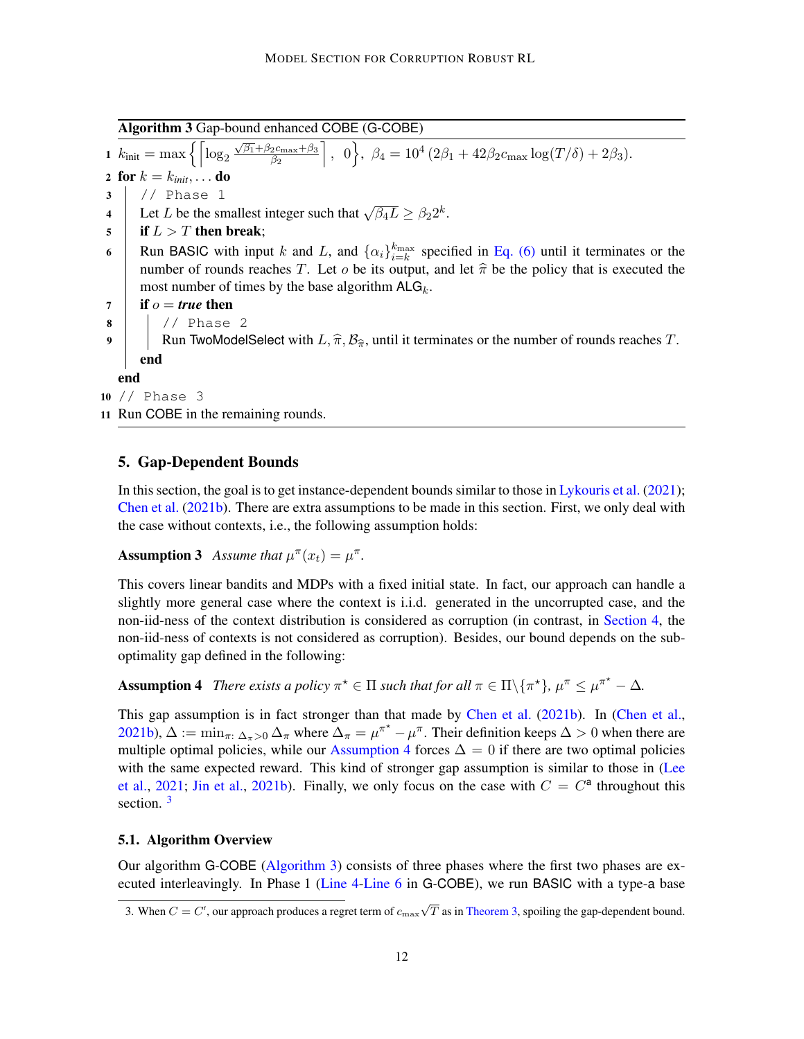<span id="page-11-2"></span>Algorithm 3 Gap-bound enhanced COBE (G-COBE)

<span id="page-11-3"></span> $\frac{1}{k_{\text{init}}} = \max \left\{ \left[ \log_2 \frac{\sqrt{\beta_1} + \beta_2 c_{\text{max}} + \beta_3}{\beta_2} \right] \right\}$  $\overline{\beta_2}$ , 0,  $\beta_4 = 10^4 (2\beta_1 + 42\beta_2 c_{\text{max}} \log(T/\delta) + 2\beta_3).$ 2 for  $k = k_{init}, \ldots$  do  $3$  // Phase 1 4 Let L be the smallest integer such that  $\sqrt{\beta_4 L} \ge \beta_2 2^k$ .  $5$  if  $L > T$  then break; 6 Run BASIC with input k and L, and  $\{\alpha_i\}_{i=k}^{k_{\text{max}}}$  specified in [Eq. \(6\)](#page-10-2) until it terminates or the number of rounds reaches T. Let  $o$  be its output, and let  $\hat{\pi}$  be the policy that is executed the most number of times by the base algorithm  $ALG_k$ .  $7 \mid \text{if } o = \text{true} \text{ then}$  $8$  |  $\frac{\sqrt{2}}{2}$  Phase 2 9 Run TwoModelSelect with  $L, \hat{\pi}, \mathcal{B}_{\hat{\pi}}$ , until it terminates or the number of rounds reaches T. end end 10 // Phase 3

<span id="page-11-4"></span>11 Run COBE in the remaining rounds.

### <span id="page-11-0"></span>5. Gap-Dependent Bounds

In this section, the goal is to get instance-dependent bounds similar to those in [Lykouris et al.](#page-18-0) [\(2021\)](#page-18-0); [Chen et al.](#page-16-0) [\(2021b\)](#page-16-0). There are extra assumptions to be made in this section. First, we only deal with the case without contexts, i.e., the following assumption holds:

**Assumption 3** *Assume that*  $\mu^{\pi}(x_t) = \mu^{\pi}$ *.* 

This covers linear bandits and MDPs with a fixed initial state. In fact, our approach can handle a slightly more general case where the context is i.i.d. generated in the uncorrupted case, and the non-iid-ness of the context distribution is considered as corruption (in contrast, in [Section 4,](#page-7-2) the non-iid-ness of contexts is not considered as corruption). Besides, our bound depends on the suboptimality gap defined in the following:

<span id="page-11-1"></span>**Assumption 4** *There exists a policy*  $\pi^* \in \Pi$  *such that for all*  $\pi \in \Pi \setminus \{ \pi^* \}, \mu^{\pi} \leq \mu^{\pi^*} - \Delta$ *.* 

This gap assumption is in fact stronger than that made by [Chen et al.](#page-16-0) [\(2021b\)](#page-16-0). In [\(Chen et al.,](#page-16-0) [2021b\)](#page-16-0),  $\Delta := \min_{\pi: \Delta_{\pi} > 0} \Delta_{\pi}$  where  $\Delta_{\pi} = \mu^{\pi^*} - \mu^{\pi}$ . Their definition keeps  $\Delta > 0$  when there are multiple optimal policies, while our [Assumption 4](#page-11-1) forces  $\Delta = 0$  if there are two optimal policies with the same expected reward. This kind of stronger gap assumption is similar to those in [\(Lee](#page-18-12) [et al.,](#page-18-12) [2021;](#page-18-12) [Jin et al.,](#page-18-8) [2021b\)](#page-18-8). Finally, we only focus on the case with  $C = C^a$  throughout this section.  $3$ 

#### 5.1. Algorithm Overview

Our algorithm G-COBE [\(Algorithm 3\)](#page-11-2) consists of three phases where the first two phases are executed interleavingly. In Phase 1 [\(Line 4](#page-10-4)[-Line 6](#page-11-3) in G-COBE), we run BASIC with a type-a base

<sup>3.</sup> When  $C = C^{\dagger}$ , our approach produces a regret term of  $c_{\text{max}}\sqrt{T}$  as in [Theorem 3,](#page-10-5) spoiling the gap-dependent bound.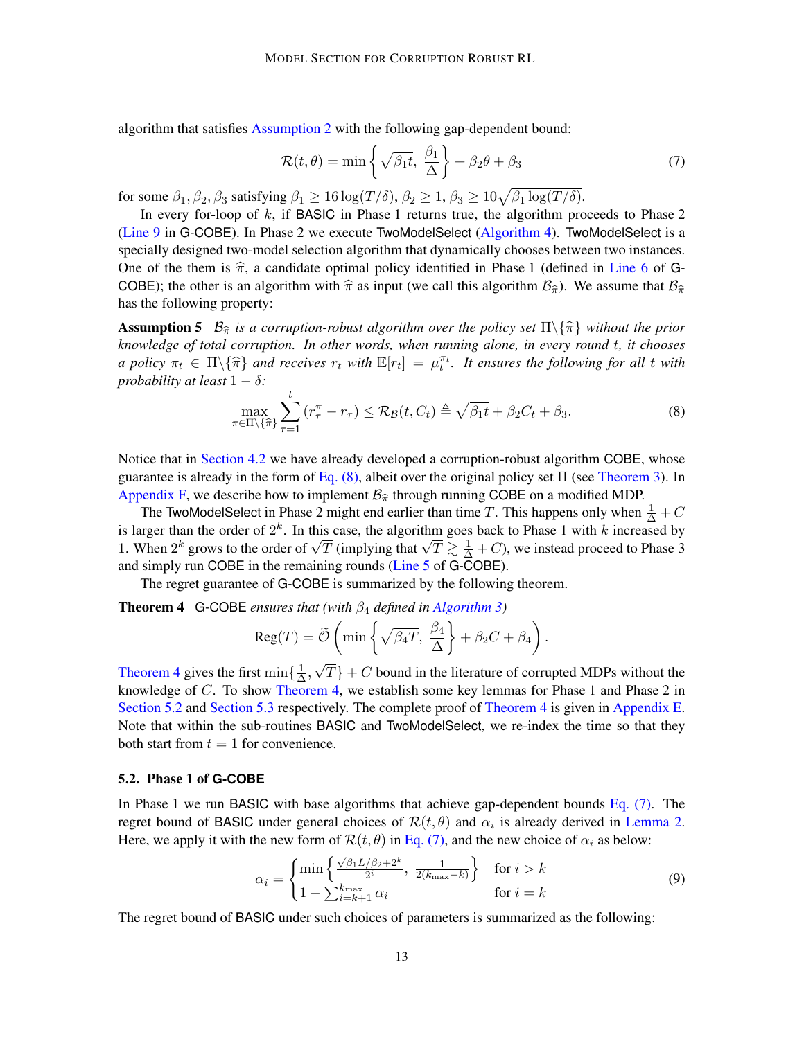algorithm that satisfies [Assumption 2](#page-7-0) with the following gap-dependent bound:

<span id="page-12-3"></span>
$$
\mathcal{R}(t,\theta) = \min\left\{\sqrt{\beta_1 t}, \frac{\beta_1}{\Delta}\right\} + \beta_2 \theta + \beta_3 \tag{7}
$$

for some  $\beta_1, \beta_2, \beta_3$  satisfying  $\beta_1 \ge 16 \log(T/\delta)$ ,  $\beta_2 \ge 1$ ,  $\beta_3 \ge 10\sqrt{\beta_1 \log(T/\delta)}$ .

In every for-loop of  $k$ , if BASIC in Phase 1 returns true, the algorithm proceeds to Phase 2 [\(Line 9](#page-11-4) in G-COBE). In Phase 2 we execute TwoModelSelect [\(Algorithm 4\)](#page-14-0). TwoModelSelect is a specially designed two-model selection algorithm that dynamically chooses between two instances. One of the them is  $\hat{\pi}$ , a candidate optimal policy identified in Phase 1 (defined in [Line 6](#page-11-3) of G-COBE); the other is an algorithm with  $\hat{\pi}$  as input (we call this algorithm  $B_{\hat{\pi}}$ ). We assume that  $B_{\hat{\pi}}$ has the following property:

**Assumption 5**  $\mathcal{B}_{\hat{\pi}}$  *is a corruption-robust algorithm over the policy set*  $\Pi \setminus {\hat{\pi}}$  *without the prior knowledge of total corruption. In other words, when running alone, in every round* t*, it chooses a policy*  $\pi_t \in \Pi \setminus {\hat{\pi}}$  *and receives*  $r_t$  *with*  $\mathbb{E}[r_t] = \mu_t^{\pi_t}$ . It ensures the following for all t with probability at least 1  $\delta$ . *probability at least*  $1 - \delta$ *:* 

<span id="page-12-6"></span><span id="page-12-0"></span>
$$
\max_{\pi \in \Pi \setminus \{\hat{\pi}\}} \sum_{\tau=1}^t \left( r_\tau^\pi - r_\tau \right) \leq \mathcal{R}_{\mathcal{B}}(t, C_t) \triangleq \sqrt{\beta_1 t} + \beta_2 C_t + \beta_3. \tag{8}
$$

Notice that in [Section 4.2](#page-10-0) we have already developed a corruption-robust algorithm COBE, whose guarantee is already in the form of Eq.  $(8)$ , albeit over the original policy set  $\Pi$  (see [Theorem 3\)](#page-10-5). In [Appendix F,](#page-35-0) we describe how to implement  $\mathcal{B}_{\hat{\pi}}$  through running COBE on a modified MDP.

The TwoModelSelect in Phase 2 might end earlier than time T. This happens only when  $\frac{1}{\Delta} + C$ is larger than the order of  $2^k$ . In this case, the algorithm goes back to Phase 1 with k increased by Is larger than the order of  $2^{\infty}$ . In this case, the algorithm goes back to Phase 1 with  $\kappa$  increased by 1. When  $2^k$  grows to the order of  $\sqrt{T}$  (implying that  $\sqrt{T} \gtrsim \frac{1}{\Delta} + C$ ), we instead proceed to Phase 3 and simply run COBE in the remaining rounds [\(Line 5](#page-10-6) of G-COBE).

The regret guarantee of G-COBE is summarized by the following theorem.

Theorem 4 G-COBE *ensures that (with* β<sup>4</sup> *defined in [Algorithm 3\)](#page-11-2)*

<span id="page-12-1"></span>
$$
Reg(T) = \widetilde{\mathcal{O}}\left(\min\left\{\sqrt{\beta_4 T}, \frac{\beta_4}{\Delta}\right\} + \beta_2 C + \beta_4\right).
$$

[Theorem 4](#page-12-1) gives the first  $\min\{\frac{1}{\Delta}\}$  $\frac{1}{\Delta}$ ,  $T$ } + C bound in the literature of corrupted MDPs without the knowledge of  $C$ . To show [Theorem 4,](#page-12-1) we establish some key lemmas for Phase 1 and Phase 2 in [Section 5.2](#page-12-2) and [Section 5.3](#page-13-0) respectively. The complete proof of [Theorem 4](#page-12-1) is given in [Appendix E.](#page-29-0) Note that within the sub-routines BASIC and TwoModelSelect, we re-index the time so that they both start from  $t = 1$  for convenience.

#### <span id="page-12-2"></span>5.2. Phase 1 of **G-COBE**

In Phase 1 we run BASIC with base algorithms that achieve gap-dependent bounds [Eq. \(7\).](#page-12-3) The regret bound of BASIC under general choices of  $\mathcal{R}(t, \theta)$  and  $\alpha_i$  is already derived in [Lemma 2.](#page-9-3) Here, we apply it with the new form of  $\mathcal{R}(t, \theta)$  in [Eq. \(7\),](#page-12-3) and the new choice of  $\alpha_i$  as below:

<span id="page-12-5"></span><span id="page-12-4"></span>
$$
\alpha_i = \begin{cases} \min\left\{ \frac{\sqrt{\beta_1 L}/\beta_2 + 2^k}{2^i}, \frac{1}{2(k_{\text{max}} - k)} \right\} & \text{for } i > k\\ 1 - \sum_{i=k+1}^{k_{\text{max}}} \alpha_i & \text{for } i = k \end{cases} \tag{9}
$$

The regret bound of BASIC under such choices of parameters is summarized as the following: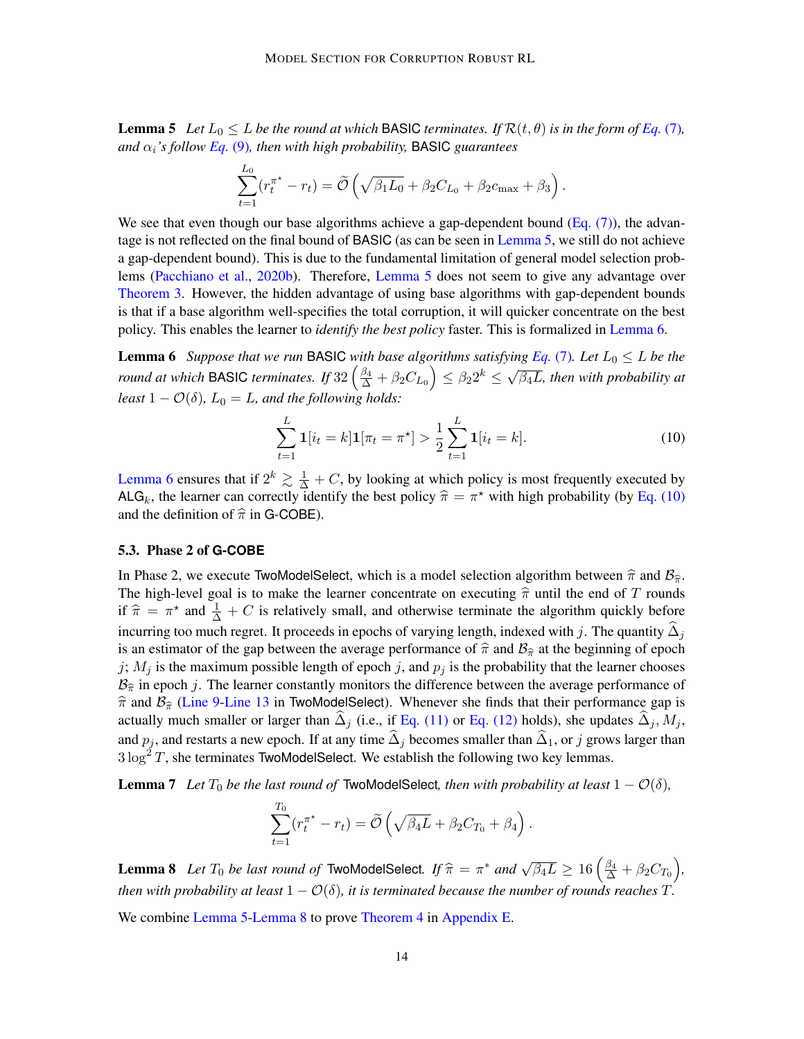**Lemma 5** *Let*  $L_0 \leq L$  *be the round at which* BASIC *terminates. If*  $\mathcal{R}(t, \theta)$  *is in the form of*  $Eq. (7)$  $Eq. (7)$ *,*  $\alpha_i$ 's follow *[Eq.](#page-12-4)* (9), then with high probability, **BASIC** guarantees

$$
\sum_{t=1}^{L_0} (r_t^{\pi^*} - r_t) = \widetilde{\mathcal{O}}\left(\sqrt{\beta_1 L_0} + \beta_2 C_{L_0} + \beta_2 c_{\max} + \beta_3\right).
$$

We see that even though our base algorithms achieve a gap-dependent bound  $(Eq. (7))$ , the advantage is not reflected on the final bound of BASIC (as can be seen in [Lemma 5,](#page-12-5) we still do not achieve a gap-dependent bound). This is due to the fundamental limitation of general model selection problems [\(Pacchiano et al.,](#page-18-10) [2020b\)](#page-18-10). Therefore, [Lemma 5](#page-12-5) does not seem to give any advantage over [Theorem 3.](#page-10-5) However, the hidden advantage of using base algorithms with gap-dependent bounds is that if a base algorithm well-specifies the total corruption, it will quicker concentrate on the best policy. This enables the learner to *identify the best policy* faster. This is formalized in [Lemma 6.](#page-13-1)

<span id="page-13-1"></span>**Lemma 6** *Suppose that we run* BASIC *with base algorithms satisfying [Eq.](#page-12-3)* (7)*. Let*  $L_0 \leq L$  *be the round at which* BASIC *terminates.* If  $32\left(\frac{\beta_4}{\Delta} + \beta_2 C_{L_0}\right) \leq \beta_2 2^k \leq \sqrt{\beta_4}$ β4L*, then with probability at least*  $1 - \mathcal{O}(\delta)$ *,*  $L_0 = L$ *, and the following holds:* 

<span id="page-13-2"></span>
$$
\sum_{t=1}^{L} \mathbf{1}[i_t = k] \mathbf{1}[\pi_t = \pi^*] > \frac{1}{2} \sum_{t=1}^{L} \mathbf{1}[i_t = k].
$$
\n(10)

[Lemma 6](#page-13-1) ensures that if  $2^k \gtrsim \frac{1}{\Delta} + C$ , by looking at which policy is most frequently executed by ALG<sub>k</sub>, the learner can correctly identify the best policy  $\hat{\pi} = \pi^*$  with high probability (by [Eq. \(10\)](#page-13-2) and the definition of  $\hat{\pi}$  in G COBE). and the definition of  $\hat{\pi}$  in G-COBE).

#### <span id="page-13-0"></span>5.3. Phase 2 of **G-COBE**

In Phase 2, we execute TwoModelSelect, which is a model selection algorithm between  $\hat{\pi}$  and  $\mathcal{B}_{\hat{\pi}}$ . The high-level goal is to make the learner concentrate on executing  $\hat{\pi}$  until the end of T rounds if  $\hat{\pi} = \pi^*$  and  $\frac{1}{\Delta} + C$  is relatively small, and otherwise terminate the algorithm quickly before incurring too much regret. It proceeds in epochs of varying length, indexed with j. The quantity  $\Delta_i$ is an estimator of the gap between the average performance of  $\hat{\pi}$  and  $\mathcal{B}_{\hat{\pi}}$  at the beginning of epoch j;  $M_j$  is the maximum possible length of epoch j, and  $p_j$  is the probability that the learner chooses  $\mathcal{B}_{\hat{\pi}}$  in epoch j. The learner constantly monitors the difference between the average performance of  $\hat{\pi}$  and  $\mathcal{B}_{\hat{\pi}}$  [\(Line 9](#page-11-4)[-Line 13](#page-14-1) in TwoModelSelect). Whenever she finds that their performance gap is actually much smaller or larger than  $\Delta_i$  (i.e., if [Eq. \(11\)](#page-14-2) or [Eq. \(12\)](#page-14-3) holds), she updates  $\Delta_i$ ,  $M_i$ , and  $p_j$ , and restarts a new epoch. If at any time  $\hat{\Delta}_j$  becomes smaller than  $\hat{\Delta}_1$ , or j grows larger than  $3 \log^2 T$ , she terminates TwoModelSelect. We establish the following two key lemmas.

<span id="page-13-4"></span>**Lemma 7** *Let*  $T_0$  *be the last round of* TwoModelSelect, *then with probability at least*  $1 - \mathcal{O}(\delta)$ *,* 

$$
\sum_{t=1}^{T_0} (r_t^{\pi^*} - r_t) = \widetilde{\mathcal{O}}\left(\sqrt{\beta_4 L} + \beta_2 C_{T_0} + \beta_4\right).
$$

<span id="page-13-3"></span>**Lemma 8** *Let*  $T_0$  *be last round of* TwoModelSelect*. If*  $\hat{\pi} = \pi^*$  *and*  $\sqrt{\beta_4 L} \ge 16 \left( \frac{\beta_4}{\Delta} + \beta_2 C_{T_0} \right)$ , *then with probability at least*  $1 - \mathcal{O}(\delta)$ *, it is terminated because the number of rounds reaches*  $T$ *.* 

We combine [Lemma 5](#page-12-5)[-Lemma 8](#page-13-3) to prove [Theorem 4](#page-12-1) in [Appendix E.](#page-29-0)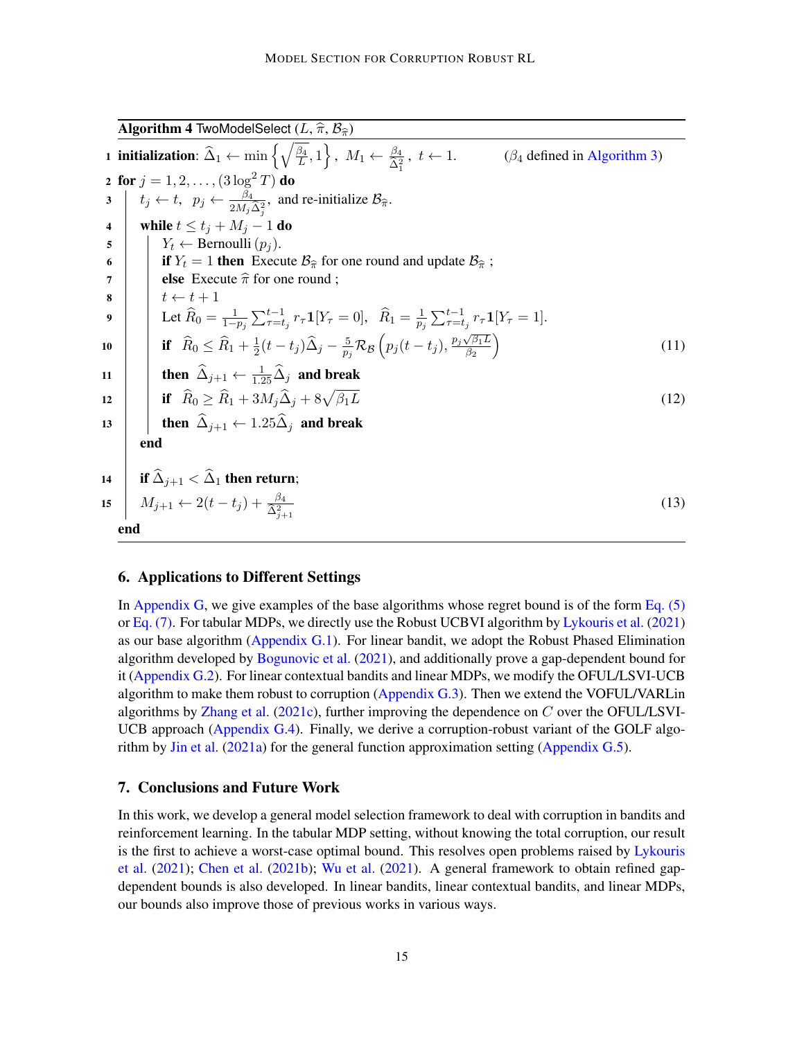<span id="page-14-0"></span>Algorithm 4 TwoModelSelect  $(L, \hat{\pi}, \mathcal{B}_{\hat{\pi}})$ 1 initialization:  $\widehat{\Delta}_1 \leftarrow \min \left\{ \sqrt{\frac{\beta_4}{L}} \right\}$  $\left\{\frac{\beta_4}{L}, 1\right\}, M_1 \leftarrow \frac{\beta_4}{\hat{\Delta}_1^2}$  $(\beta_4$  defined in [Algorithm 3\)](#page-11-2) 2 for  $j = 1, 2, \ldots, (3 \log^2 T)$  do  $3 \mid t_j \leftarrow t, \ \ p_j \leftarrow \frac{\beta_4}{2M_j\hat{\Delta}_j^2}, \text{ and re-initalize } \mathcal{B}_{\hat{\pi}}.$ 4 while  $t \le t_j + M_j - 1$  do 5 |  $Y_t \leftarrow \text{Bernoulli}(p_i)$ . 6 if  $Y_t = 1$  then Execute  $\mathcal{B}_{\hat{\pi}}$  for one round and update  $\mathcal{B}_{\hat{\pi}}$ ;<br>
selse Execute  $\hat{\pi}$  for one round ; 7 **else** Execute  $\hat{\pi}$  for one round ;<br>8  $t \leftarrow t + 1$  $t \leftarrow t + 1$  $\mathbf{9} \quad | \quad \Big| \quad \text{Let } \widehat{R}_0 = \frac{1}{1-p_j} \sum_{\tau=t_j}^{t-1} r_\tau \mathbf{1}[Y_\tau = 0], \ \ \widehat{R}_1 = \frac{1}{p_j}$  $\frac{1}{p_j} \sum_{\tau=t_j}^{t-1} r_{\tau} \mathbf{1}[Y_{\tau} = 1].$ 10 if  $\widehat R_0 \le \widehat R_1 + \frac{1}{2}$  $\frac{1}{2}(t-t_j) \widehat{\Delta}_{j} - \frac{5}{p_j}$  $\frac{5}{p_j} \mathcal{R}_{\mathcal{B}}\left(p_j(t-t_j),\frac{p_j \sqrt{\beta_1 L}}{\beta_2}\right)$  $\overline{\beta_2}$  $\setminus$ (11) 11 then  $\widehat{\Delta}_{j+1} \leftarrow \frac{1}{1.25} \widehat{\Delta}_{j}$  and break 12 if  $\widehat{R}_0 > \widehat{R}_1 + 3M_i\widehat{\Delta}_i + 8\sqrt{\beta_1L}$  $\beta_1 L$  (12) 13  $\parallel$  then  $\widehat{\Delta}_{j+1} \leftarrow 1.25\widehat{\Delta}_{j}$  and break end 14 if  $\widehat{\Delta}_{i+1} < \widehat{\Delta}_1$  then return; 15  $M_{j+1} \leftarrow 2(t-t_j) + \frac{\beta_4}{\hat{\Delta}_{j+1}^2}$ (13) end

#### <span id="page-14-4"></span><span id="page-14-3"></span><span id="page-14-2"></span><span id="page-14-1"></span>6. Applications to Different Settings

In [Appendix G,](#page-36-1) we give examples of the base algorithms whose regret bound is of the form  $Eq. (5)$ or [Eq. \(7\).](#page-12-3) For tabular MDPs, we directly use the Robust UCBVI algorithm by [Lykouris et al.](#page-18-0) [\(2021\)](#page-18-0) as our base algorithm [\(Appendix G.1\)](#page-36-2). For linear bandit, we adopt the Robust Phased Elimination algorithm developed by [Bogunovic et al.](#page-16-6)  $(2021)$ , and additionally prove a gap-dependent bound for it [\(Appendix G.2\)](#page-39-0). For linear contextual bandits and linear MDPs, we modify the OFUL/LSVI-UCB algorithm to make them robust to corruption (Appendix  $G(3)$ ). Then we extend the VOFUL/VARLin algorithms by [Zhang et al.](#page-20-1) [\(2021c\)](#page-20-1), further improving the dependence on  $C$  over the OFUL/LSVI-UCB approach [\(Appendix G.4\)](#page-46-0). Finally, we derive a corruption-robust variant of the GOLF algorithm by [Jin et al.](#page-17-9) [\(2021a\)](#page-17-9) for the general function approximation setting [\(Appendix G.5\)](#page-50-0).

#### 7. Conclusions and Future Work

In this work, we develop a general model selection framework to deal with corruption in bandits and reinforcement learning. In the tabular MDP setting, without knowing the total corruption, our result is the first to achieve a worst-case optimal bound. This resolves open problems raised by [Lykouris](#page-18-0) [et al.](#page-18-0) [\(2021\)](#page-18-0); [Chen et al.](#page-16-0) [\(2021b\)](#page-16-0); [Wu et al.](#page-19-0) [\(2021\)](#page-19-0). A general framework to obtain refined gapdependent bounds is also developed. In linear bandits, linear contextual bandits, and linear MDPs, our bounds also improve those of previous works in various ways.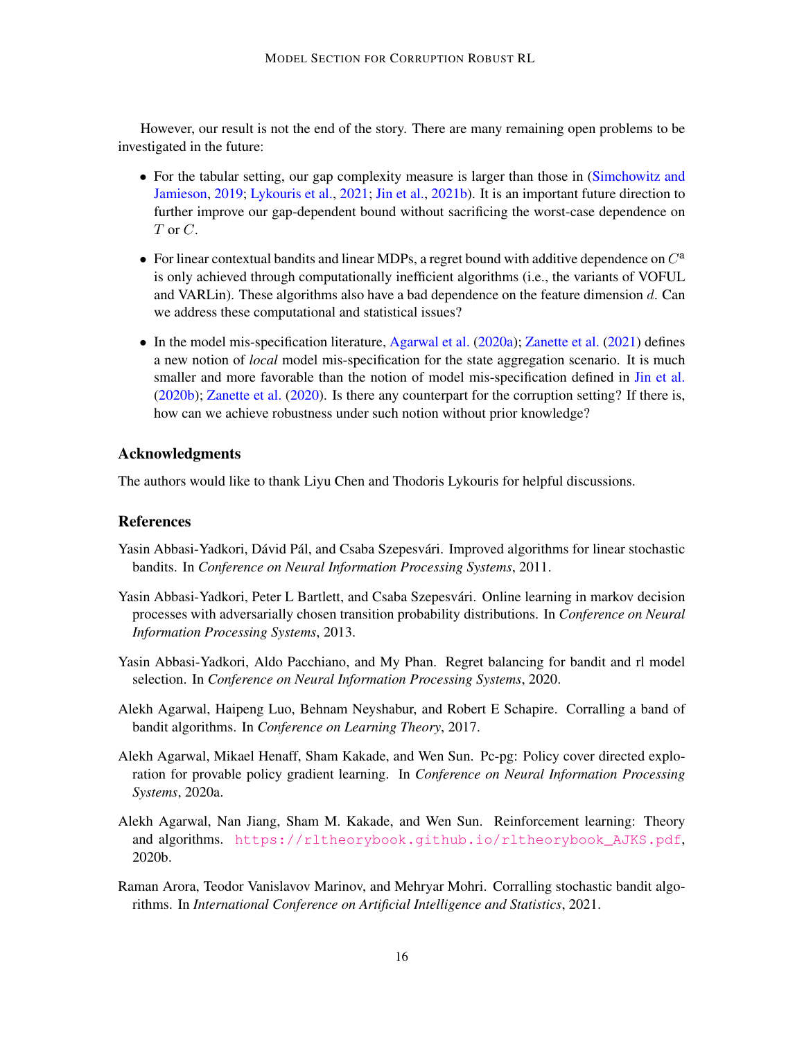However, our result is not the end of the story. There are many remaining open problems to be investigated in the future:

- For the tabular setting, our gap complexity measure is larger than those in [\(Simchowitz and](#page-19-6) [Jamieson,](#page-19-6) [2019;](#page-19-6) [Lykouris et al.,](#page-18-0) [2021;](#page-18-0) [Jin et al.,](#page-18-8) [2021b\)](#page-18-8). It is an important future direction to further improve our gap-dependent bound without sacrificing the worst-case dependence on  $T$  or  $C$ .
- For linear contextual bandits and linear MDPs, a regret bound with additive dependence on  $C^a$ is only achieved through computationally inefficient algorithms (i.e., the variants of VOFUL and VARLin). These algorithms also have a bad dependence on the feature dimension  $d$ . Can we address these computational and statistical issues?
- In the model mis-specification literature, [Agarwal et al.](#page-15-5) [\(2020a\)](#page-15-5); [Zanette et al.](#page-19-13) [\(2021\)](#page-19-13) defines a new notion of *local* model mis-specification for the state aggregation scenario. It is much smaller and more favorable than the notion of model mis-specification defined in [Jin et al.](#page-17-2) [\(2020b\)](#page-17-2); [Zanette et al.](#page-19-7) [\(2020\)](#page-19-7). Is there any counterpart for the corruption setting? If there is, how can we achieve robustness under such notion without prior knowledge?

#### Acknowledgments

The authors would like to thank Liyu Chen and Thodoris Lykouris for helpful discussions.

#### References

- <span id="page-15-4"></span>Yasin Abbasi-Yadkori, Dávid Pál, and Csaba Szepesvári. Improved algorithms for linear stochastic bandits. In *Conference on Neural Information Processing Systems*, 2011.
- <span id="page-15-0"></span>Yasin Abbasi-Yadkori, Peter L Bartlett, and Csaba Szepesvári. Online learning in markov decision processes with adversarially chosen transition probability distributions. In *Conference on Neural Information Processing Systems*, 2013.
- <span id="page-15-3"></span>Yasin Abbasi-Yadkori, Aldo Pacchiano, and My Phan. Regret balancing for bandit and rl model selection. In *Conference on Neural Information Processing Systems*, 2020.
- <span id="page-15-1"></span>Alekh Agarwal, Haipeng Luo, Behnam Neyshabur, and Robert E Schapire. Corralling a band of bandit algorithms. In *Conference on Learning Theory*, 2017.
- <span id="page-15-5"></span>Alekh Agarwal, Mikael Henaff, Sham Kakade, and Wen Sun. Pc-pg: Policy cover directed exploration for provable policy gradient learning. In *Conference on Neural Information Processing Systems*, 2020a.
- <span id="page-15-6"></span>Alekh Agarwal, Nan Jiang, Sham M. Kakade, and Wen Sun. Reinforcement learning: Theory and algorithms. [https://rltheorybook.github.io/rltheorybook\\_AJKS.pdf](https://rltheorybook.github.io/rltheorybook_AJKS.pdf), 2020b.
- <span id="page-15-2"></span>Raman Arora, Teodor Vanislavov Marinov, and Mehryar Mohri. Corralling stochastic bandit algorithms. In *International Conference on Artificial Intelligence and Statistics*, 2021.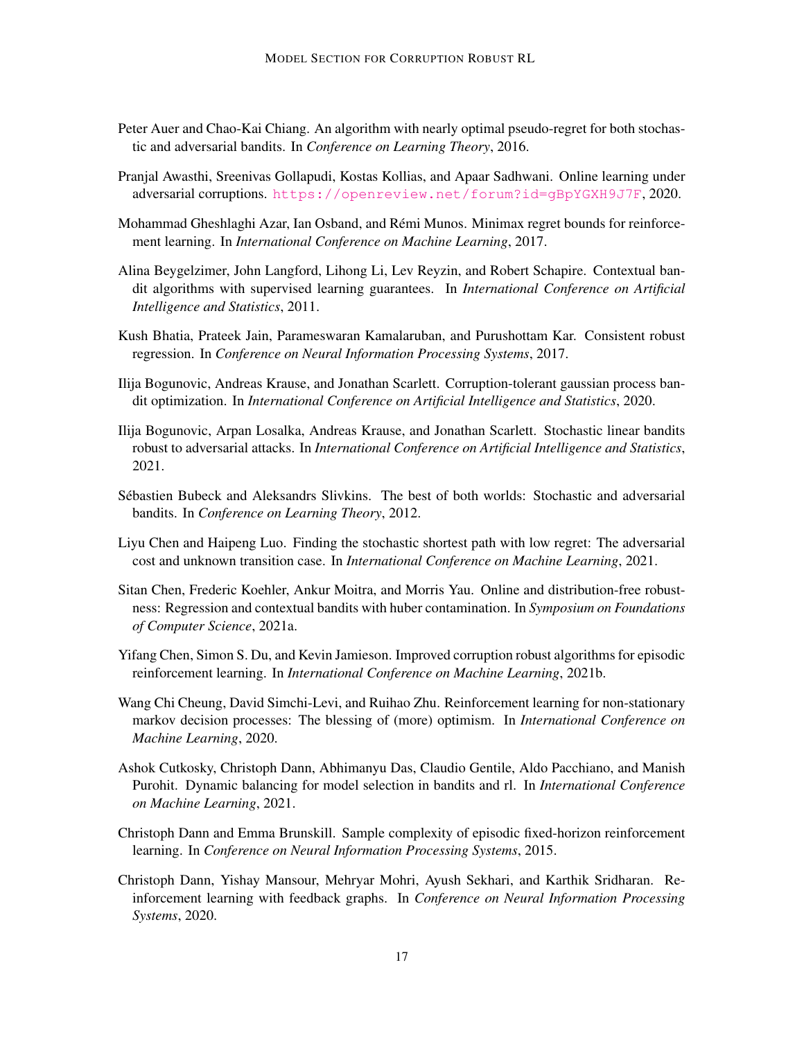- <span id="page-16-11"></span>Peter Auer and Chao-Kai Chiang. An algorithm with nearly optimal pseudo-regret for both stochastic and adversarial bandits. In *Conference on Learning Theory*, 2016.
- <span id="page-16-9"></span>Pranjal Awasthi, Sreenivas Gollapudi, Kostas Kollias, and Apaar Sadhwani. Online learning under adversarial corruptions. <https://openreview.net/forum?id=gBpYGXH9J7F>, 2020.
- <span id="page-16-2"></span>Mohammad Gheshlaghi Azar, Ian Osband, and Rémi Munos. Minimax regret bounds for reinforcement learning. In *International Conference on Machine Learning*, 2017.
- <span id="page-16-13"></span>Alina Beygelzimer, John Langford, Lihong Li, Lev Reyzin, and Robert Schapire. Contextual bandit algorithms with supervised learning guarantees. In *International Conference on Artificial Intelligence and Statistics*, 2011.
- <span id="page-16-7"></span>Kush Bhatia, Prateek Jain, Parameswaran Kamalaruban, and Purushottam Kar. Consistent robust regression. In *Conference on Neural Information Processing Systems*, 2017.
- <span id="page-16-5"></span>Ilija Bogunovic, Andreas Krause, and Jonathan Scarlett. Corruption-tolerant gaussian process bandit optimization. In *International Conference on Artificial Intelligence and Statistics*, 2020.
- <span id="page-16-6"></span>Ilija Bogunovic, Arpan Losalka, Andreas Krause, and Jonathan Scarlett. Stochastic linear bandits robust to adversarial attacks. In *International Conference on Artificial Intelligence and Statistics*, 2021.
- <span id="page-16-10"></span>Sébastien Bubeck and Aleksandrs Slivkins. The best of both worlds: Stochastic and adversarial bandits. In *Conference on Learning Theory*, 2012.
- <span id="page-16-3"></span>Liyu Chen and Haipeng Luo. Finding the stochastic shortest path with low regret: The adversarial cost and unknown transition case. In *International Conference on Machine Learning*, 2021.
- <span id="page-16-8"></span>Sitan Chen, Frederic Koehler, Ankur Moitra, and Morris Yau. Online and distribution-free robustness: Regression and contextual bandits with huber contamination. In *Symposium on Foundations of Computer Science*, 2021a.
- <span id="page-16-0"></span>Yifang Chen, Simon S. Du, and Kevin Jamieson. Improved corruption robust algorithms for episodic reinforcement learning. In *International Conference on Machine Learning*, 2021b.
- <span id="page-16-4"></span>Wang Chi Cheung, David Simchi-Levi, and Ruihao Zhu. Reinforcement learning for non-stationary markov decision processes: The blessing of (more) optimism. In *International Conference on Machine Learning*, 2020.
- <span id="page-16-12"></span>Ashok Cutkosky, Christoph Dann, Abhimanyu Das, Claudio Gentile, Aldo Pacchiano, and Manish Purohit. Dynamic balancing for model selection in bandits and rl. In *International Conference on Machine Learning*, 2021.
- <span id="page-16-1"></span>Christoph Dann and Emma Brunskill. Sample complexity of episodic fixed-horizon reinforcement learning. In *Conference on Neural Information Processing Systems*, 2015.
- <span id="page-16-14"></span>Christoph Dann, Yishay Mansour, Mehryar Mohri, Ayush Sekhari, and Karthik Sridharan. Reinforcement learning with feedback graphs. In *Conference on Neural Information Processing Systems*, 2020.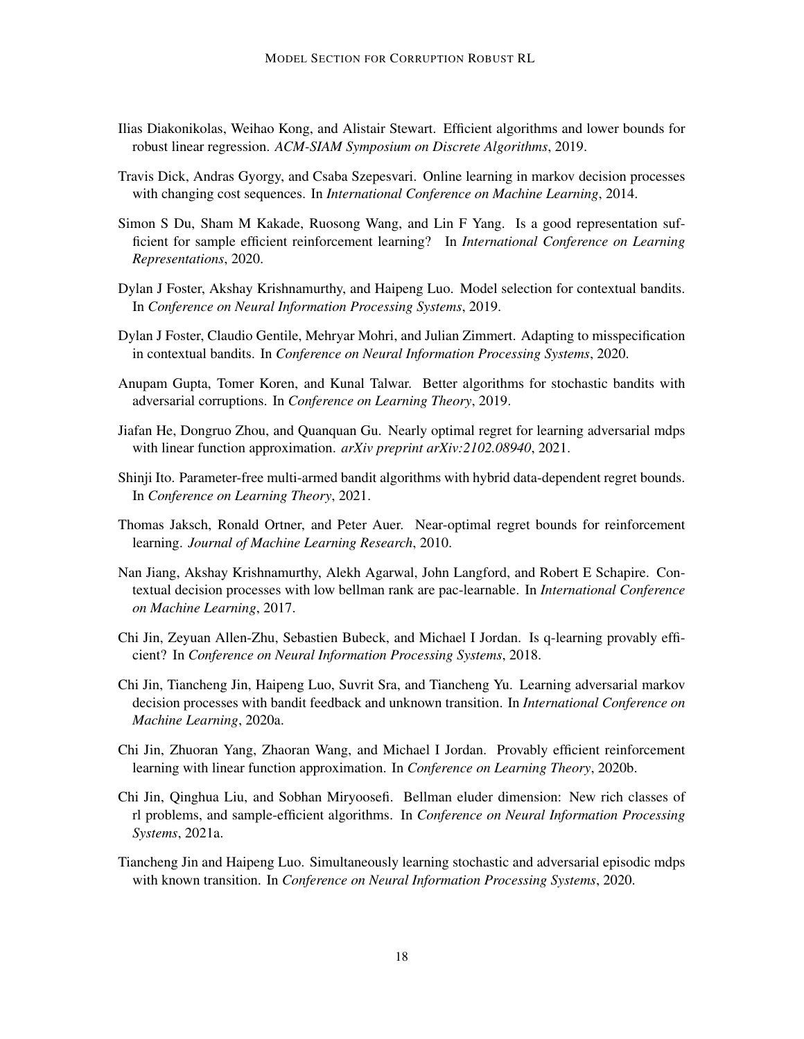- <span id="page-17-11"></span>Ilias Diakonikolas, Weihao Kong, and Alistair Stewart. Efficient algorithms and lower bounds for robust linear regression. *ACM-SIAM Symposium on Discrete Algorithms*, 2019.
- <span id="page-17-3"></span>Travis Dick, Andras Gyorgy, and Csaba Szepesvari. Online learning in markov decision processes with changing cost sequences. In *International Conference on Machine Learning*, 2014.
- <span id="page-17-13"></span>Simon S Du, Sham M Kakade, Ruosong Wang, and Lin F Yang. Is a good representation sufficient for sample efficient reinforcement learning? In *International Conference on Learning Representations*, 2020.
- <span id="page-17-7"></span>Dylan J Foster, Akshay Krishnamurthy, and Haipeng Luo. Model selection for contextual bandits. In *Conference on Neural Information Processing Systems*, 2019.
- <span id="page-17-8"></span>Dylan J Foster, Claudio Gentile, Mehryar Mohri, and Julian Zimmert. Adapting to misspecification in contextual bandits. In *Conference on Neural Information Processing Systems*, 2020.
- <span id="page-17-10"></span>Anupam Gupta, Tomer Koren, and Kunal Talwar. Better algorithms for stochastic bandits with adversarial corruptions. In *Conference on Learning Theory*, 2019.
- <span id="page-17-5"></span>Jiafan He, Dongruo Zhou, and Quanquan Gu. Nearly optimal regret for learning adversarial mdps with linear function approximation. *arXiv preprint arXiv:2102.08940*, 2021.
- <span id="page-17-14"></span>Shinji Ito. Parameter-free multi-armed bandit algorithms with hybrid data-dependent regret bounds. In *Conference on Learning Theory*, 2021.
- <span id="page-17-0"></span>Thomas Jaksch, Ronald Ortner, and Peter Auer. Near-optimal regret bounds for reinforcement learning. *Journal of Machine Learning Research*, 2010.
- <span id="page-17-12"></span>Nan Jiang, Akshay Krishnamurthy, Alekh Agarwal, John Langford, and Robert E Schapire. Contextual decision processes with low bellman rank are pac-learnable. In *International Conference on Machine Learning*, 2017.
- <span id="page-17-1"></span>Chi Jin, Zeyuan Allen-Zhu, Sebastien Bubeck, and Michael I Jordan. Is q-learning provably efficient? In *Conference on Neural Information Processing Systems*, 2018.
- <span id="page-17-4"></span>Chi Jin, Tiancheng Jin, Haipeng Luo, Suvrit Sra, and Tiancheng Yu. Learning adversarial markov decision processes with bandit feedback and unknown transition. In *International Conference on Machine Learning*, 2020a.
- <span id="page-17-2"></span>Chi Jin, Zhuoran Yang, Zhaoran Wang, and Michael I Jordan. Provably efficient reinforcement learning with linear function approximation. In *Conference on Learning Theory*, 2020b.
- <span id="page-17-9"></span>Chi Jin, Qinghua Liu, and Sobhan Miryoosefi. Bellman eluder dimension: New rich classes of rl problems, and sample-efficient algorithms. In *Conference on Neural Information Processing Systems*, 2021a.
- <span id="page-17-6"></span>Tiancheng Jin and Haipeng Luo. Simultaneously learning stochastic and adversarial episodic mdps with known transition. In *Conference on Neural Information Processing Systems*, 2020.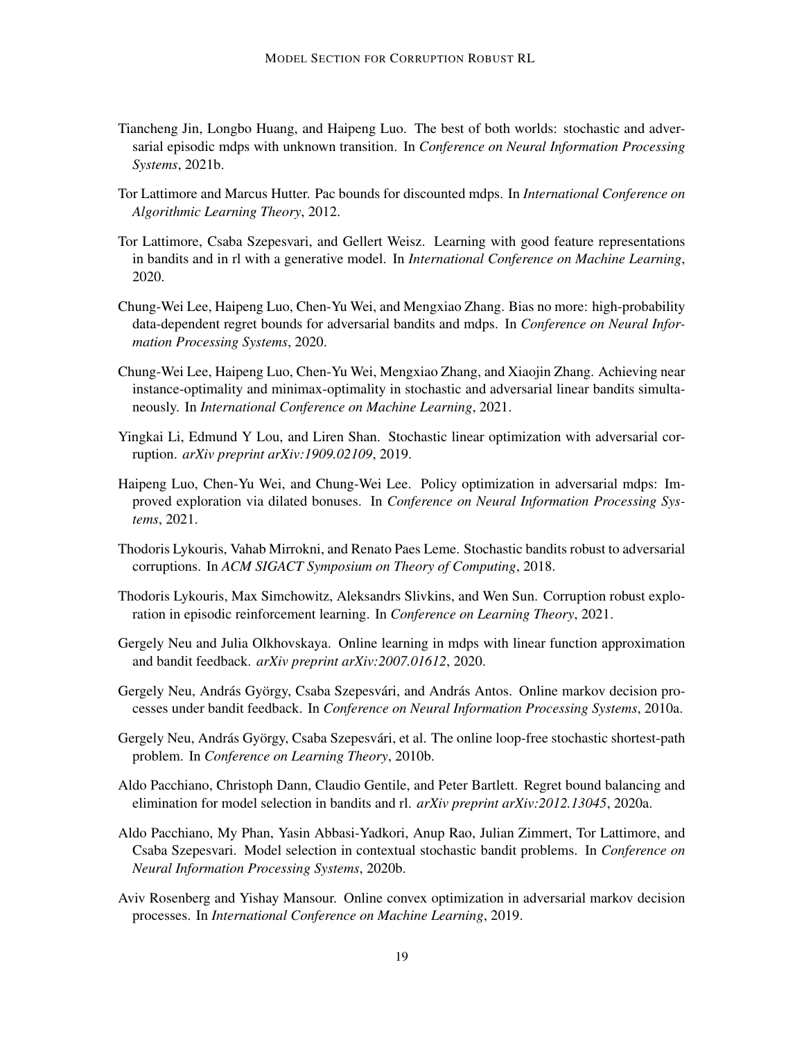- <span id="page-18-8"></span>Tiancheng Jin, Longbo Huang, and Haipeng Luo. The best of both worlds: stochastic and adversarial episodic mdps with unknown transition. In *Conference on Neural Information Processing Systems*, 2021b.
- <span id="page-18-1"></span>Tor Lattimore and Marcus Hutter. Pac bounds for discounted mdps. In *International Conference on Algorithmic Learning Theory*, 2012.
- <span id="page-18-13"></span>Tor Lattimore, Csaba Szepesvari, and Gellert Weisz. Learning with good feature representations in bandits and in rl with a generative model. In *International Conference on Machine Learning*, 2020.
- <span id="page-18-6"></span>Chung-Wei Lee, Haipeng Luo, Chen-Yu Wei, and Mengxiao Zhang. Bias no more: high-probability data-dependent regret bounds for adversarial bandits and mdps. In *Conference on Neural Information Processing Systems*, 2020.
- <span id="page-18-12"></span>Chung-Wei Lee, Haipeng Luo, Chen-Yu Wei, Mengxiao Zhang, and Xiaojin Zhang. Achieving near instance-optimality and minimax-optimality in stochastic and adversarial linear bandits simultaneously. In *International Conference on Machine Learning*, 2021.
- <span id="page-18-11"></span>Yingkai Li, Edmund Y Lou, and Liren Shan. Stochastic linear optimization with adversarial corruption. *arXiv preprint arXiv:1909.02109*, 2019.
- <span id="page-18-7"></span>Haipeng Luo, Chen-Yu Wei, and Chung-Wei Lee. Policy optimization in adversarial mdps: Improved exploration via dilated bonuses. In *Conference on Neural Information Processing Systems*, 2021.
- <span id="page-18-14"></span>Thodoris Lykouris, Vahab Mirrokni, and Renato Paes Leme. Stochastic bandits robust to adversarial corruptions. In *ACM SIGACT Symposium on Theory of Computing*, 2018.
- <span id="page-18-0"></span>Thodoris Lykouris, Max Simchowitz, Aleksandrs Slivkins, and Wen Sun. Corruption robust exploration in episodic reinforcement learning. In *Conference on Learning Theory*, 2021.
- <span id="page-18-5"></span>Gergely Neu and Julia Olkhovskaya. Online learning in mdps with linear function approximation and bandit feedback. *arXiv preprint arXiv:2007.01612*, 2020.
- <span id="page-18-3"></span>Gergely Neu, András György, Csaba Szepesvári, and András Antos. Online markov decision processes under bandit feedback. In *Conference on Neural Information Processing Systems*, 2010a.
- <span id="page-18-2"></span>Gergely Neu, András György, Csaba Szepesvári, et al. The online loop-free stochastic shortest-path problem. In *Conference on Learning Theory*, 2010b.
- <span id="page-18-9"></span>Aldo Pacchiano, Christoph Dann, Claudio Gentile, and Peter Bartlett. Regret bound balancing and elimination for model selection in bandits and rl. *arXiv preprint arXiv:2012.13045*, 2020a.
- <span id="page-18-10"></span>Aldo Pacchiano, My Phan, Yasin Abbasi-Yadkori, Anup Rao, Julian Zimmert, Tor Lattimore, and Csaba Szepesvari. Model selection in contextual stochastic bandit problems. In *Conference on Neural Information Processing Systems*, 2020b.
- <span id="page-18-4"></span>Aviv Rosenberg and Yishay Mansour. Online convex optimization in adversarial markov decision processes. In *International Conference on Machine Learning*, 2019.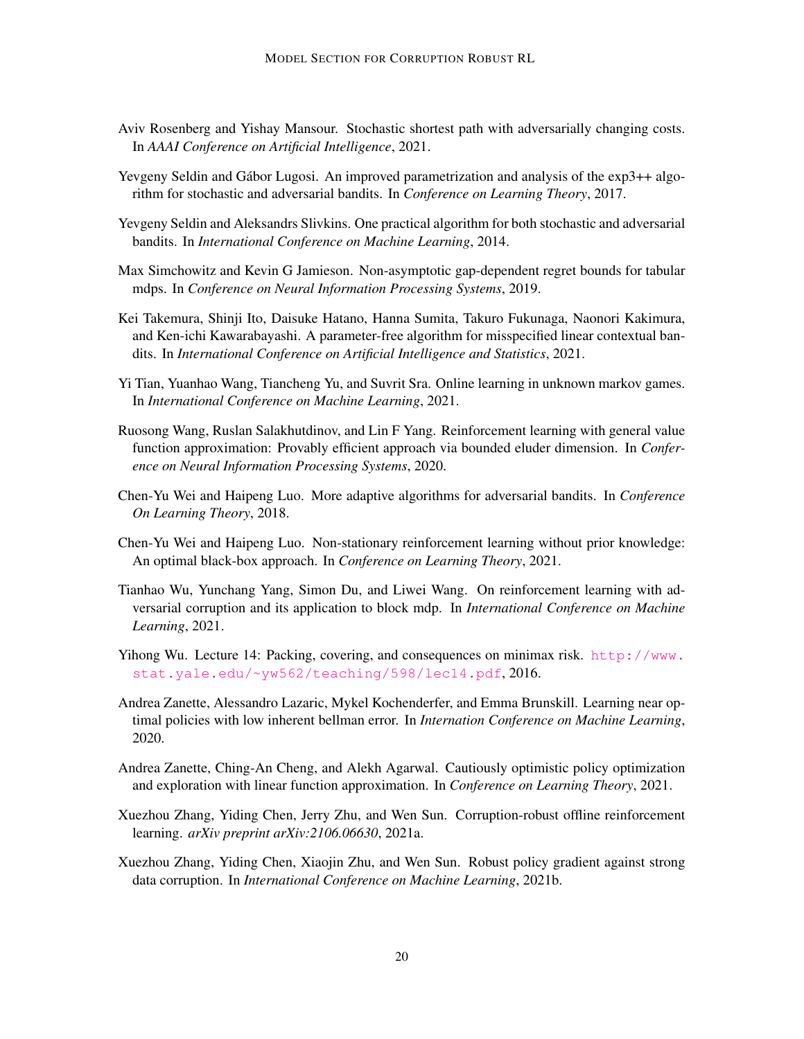- <span id="page-19-2"></span>Aviv Rosenberg and Yishay Mansour. Stochastic shortest path with adversarially changing costs. In *AAAI Conference on Artificial Intelligence*, 2021.
- <span id="page-19-11"></span>Yevgeny Seldin and Gábor Lugosi. An improved parametrization and analysis of the exp3++ algorithm for stochastic and adversarial bandits. In *Conference on Learning Theory*, 2017.
- <span id="page-19-10"></span>Yevgeny Seldin and Aleksandrs Slivkins. One practical algorithm for both stochastic and adversarial bandits. In *International Conference on Machine Learning*, 2014.
- <span id="page-19-6"></span>Max Simchowitz and Kevin G Jamieson. Non-asymptotic gap-dependent regret bounds for tabular mdps. In *Conference on Neural Information Processing Systems*, 2019.
- <span id="page-19-9"></span>Kei Takemura, Shinji Ito, Daisuke Hatano, Hanna Sumita, Takuro Fukunaga, Naonori Kakimura, and Ken-ichi Kawarabayashi. A parameter-free algorithm for misspecified linear contextual bandits. In *International Conference on Artificial Intelligence and Statistics*, 2021.
- <span id="page-19-3"></span>Yi Tian, Yuanhao Wang, Tiancheng Yu, and Suvrit Sra. Online learning in unknown markov games. In *International Conference on Machine Learning*, 2021.
- <span id="page-19-8"></span>Ruosong Wang, Ruslan Salakhutdinov, and Lin F Yang. Reinforcement learning with general value function approximation: Provably efficient approach via bounded eluder dimension. In *Conference on Neural Information Processing Systems*, 2020.
- <span id="page-19-12"></span>Chen-Yu Wei and Haipeng Luo. More adaptive algorithms for adversarial bandits. In *Conference On Learning Theory*, 2018.
- <span id="page-19-4"></span>Chen-Yu Wei and Haipeng Luo. Non-stationary reinforcement learning without prior knowledge: An optimal black-box approach. In *Conference on Learning Theory*, 2021.
- <span id="page-19-0"></span>Tianhao Wu, Yunchang Yang, Simon Du, and Liwei Wang. On reinforcement learning with adversarial corruption and its application to block mdp. In *International Conference on Machine Learning*, 2021.
- <span id="page-19-14"></span>Yihong Wu. Lecture 14: Packing, covering, and consequences on minimax risk. [http://www.](http://www.stat.yale.edu/~yw562/teaching/598/lec14.pdf) [stat.yale.edu/~yw562/teaching/598/lec14.pdf](http://www.stat.yale.edu/~yw562/teaching/598/lec14.pdf), 2016.
- <span id="page-19-7"></span>Andrea Zanette, Alessandro Lazaric, Mykel Kochenderfer, and Emma Brunskill. Learning near optimal policies with low inherent bellman error. In *Internation Conference on Machine Learning*, 2020.
- <span id="page-19-13"></span>Andrea Zanette, Ching-An Cheng, and Alekh Agarwal. Cautiously optimistic policy optimization and exploration with linear function approximation. In *Conference on Learning Theory*, 2021.
- <span id="page-19-5"></span>Xuezhou Zhang, Yiding Chen, Jerry Zhu, and Wen Sun. Corruption-robust offline reinforcement learning. *arXiv preprint arXiv:2106.06630*, 2021a.
- <span id="page-19-1"></span>Xuezhou Zhang, Yiding Chen, Xiaojin Zhu, and Wen Sun. Robust policy gradient against strong data corruption. In *International Conference on Machine Learning*, 2021b.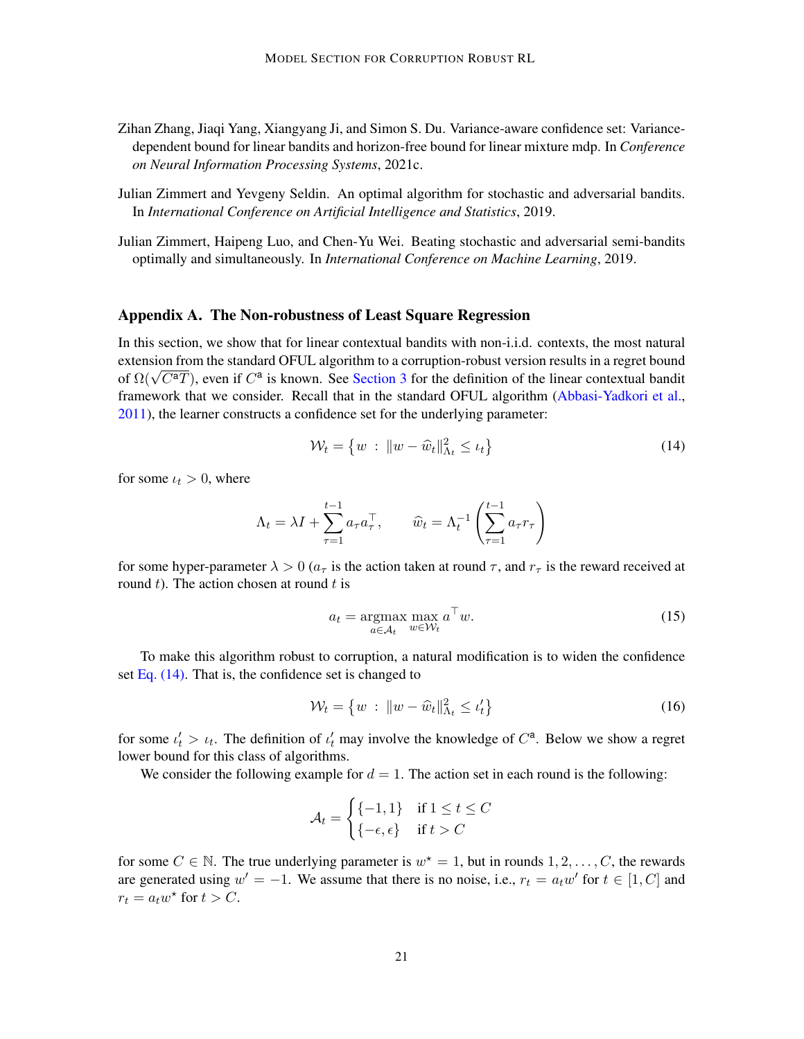- <span id="page-20-1"></span>Zihan Zhang, Jiaqi Yang, Xiangyang Ji, and Simon S. Du. Variance-aware confidence set: Variancedependent bound for linear bandits and horizon-free bound for linear mixture mdp. In *Conference on Neural Information Processing Systems*, 2021c.
- <span id="page-20-2"></span>Julian Zimmert and Yevgeny Seldin. An optimal algorithm for stochastic and adversarial bandits. In *International Conference on Artificial Intelligence and Statistics*, 2019.
- <span id="page-20-3"></span>Julian Zimmert, Haipeng Luo, and Chen-Yu Wei. Beating stochastic and adversarial semi-bandits optimally and simultaneously. In *International Conference on Machine Learning*, 2019.

#### <span id="page-20-0"></span>Appendix A. The Non-robustness of Least Square Regression

In this section, we show that for linear contextual bandits with non-i.i.d. contexts, the most natural extension from the standard OFUL algorithm to a corruption-robust version results in a regret bound extension from the standard OFOL afgortum to a corruption-robust version results in a regret bound<br>of  $\Omega(\sqrt{C^aT})$ , even if  $C^a$  is known. See [Section 3](#page-5-2) for the definition of the linear contextual bandit framework that we consider. Recall that in the standard OFUL algorithm [\(Abbasi-Yadkori et al.,](#page-15-4) [2011\)](#page-15-4), the learner constructs a confidence set for the underlying parameter:

<span id="page-20-4"></span>
$$
\mathcal{W}_t = \left\{ w \; : \; \|w - \widehat{w}_t\|_{\Lambda_t}^2 \le \iota_t \right\} \tag{14}
$$

for some  $u_t > 0$ , where

$$
\Lambda_t = \lambda I + \sum_{\tau=1}^{t-1} a_\tau a_\tau^\top, \qquad \widehat{w}_t = \Lambda_t^{-1} \left( \sum_{\tau=1}^{t-1} a_\tau r_\tau \right)
$$

for some hyper-parameter  $\lambda > 0$  ( $a_{\tau}$  is the action taken at round  $\tau$ , and  $r_{\tau}$  is the reward received at round  $t$ ). The action chosen at round  $t$  is

<span id="page-20-6"></span><span id="page-20-5"></span>
$$
a_t = \underset{a \in \mathcal{A}_t}{\operatorname{argmax}} \max_{w \in \mathcal{W}_t} a^{\top} w. \tag{15}
$$

To make this algorithm robust to corruption, a natural modification is to widen the confidence set Eq.  $(14)$ . That is, the confidence set is changed to

$$
\mathcal{W}_t = \left\{ w \ : \ \|w - \widehat{w}_t\|_{\Lambda_t}^2 \le \iota_t' \right\} \tag{16}
$$

for some  $t'_t > t_t$ . The definition of  $t'_t$  may involve the knowledge of  $C^a$ . Below we show a regret lower bound for this class of algorithms.

We consider the following example for  $d = 1$ . The action set in each round is the following:

$$
\mathcal{A}_t = \begin{cases} \{-1, 1\} & \text{if } 1 \le t \le C \\ \{-\epsilon, \epsilon\} & \text{if } t > C \end{cases}
$$

for some  $C \in \mathbb{N}$ . The true underlying parameter is  $w^* = 1$ , but in rounds  $1, 2, \ldots, C$ , the rewards are generated using  $w' = -1$ . We assume that there is no noise, i.e.,  $r_t = a_t w'$  for  $t \in [1, C]$  and  $r_t = a_t w^*$  for  $t > C$ .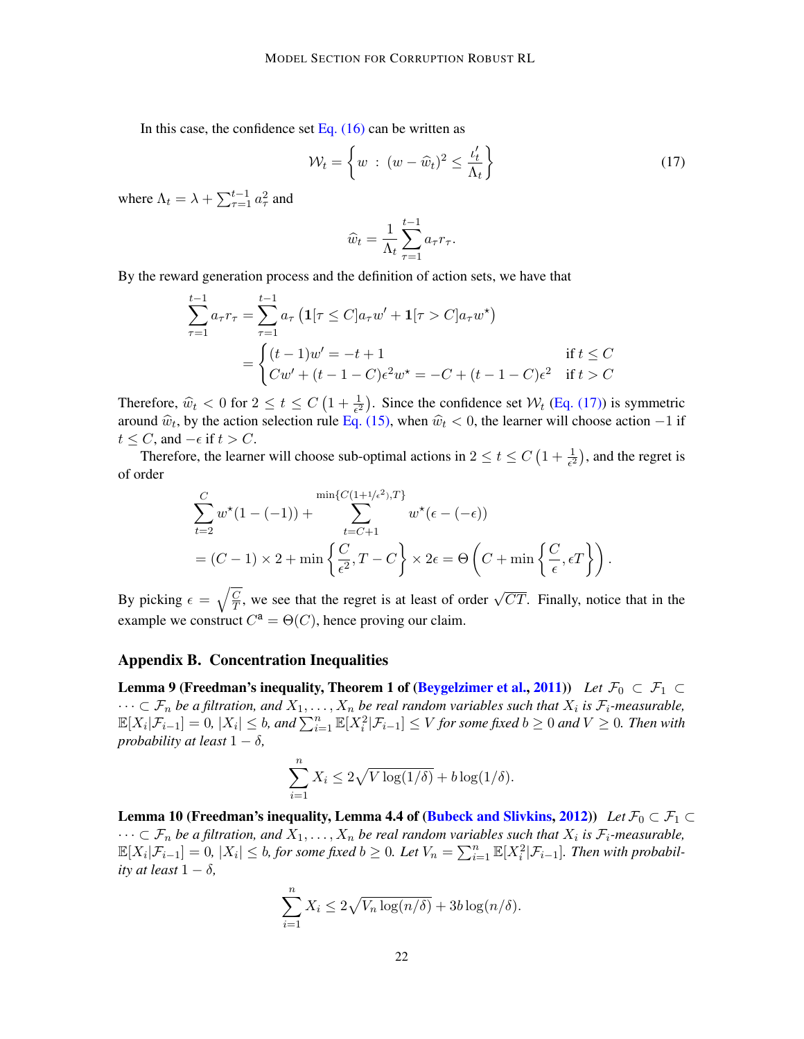In this case, the confidence set Eq.  $(16)$  can be written as

$$
\mathcal{W}_t = \left\{ w \ : \ (w - \widehat{w}_t)^2 \le \frac{\iota'_t}{\Lambda_t} \right\} \tag{17}
$$

where  $\Lambda_t = \lambda + \sum_{\tau=1}^{t-1} a_\tau^2$  and

<span id="page-21-0"></span>
$$
\widehat{w}_t = \frac{1}{\Lambda_t} \sum_{\tau=1}^{t-1} a_{\tau} r_{\tau}.
$$

By the reward generation process and the definition of action sets, we have that

$$
\sum_{\tau=1}^{t-1} a_{\tau} r_{\tau} = \sum_{\tau=1}^{t-1} a_{\tau} \left( \mathbf{1}[\tau \le C] a_{\tau} w' + \mathbf{1}[\tau > C] a_{\tau} w^{\star} \right)
$$

$$
= \begin{cases} (t-1)w' = -t+1 & \text{if } t \le C \\ Cw' + (t-1-C)\epsilon^2 w^{\star} = -C + (t-1-C)\epsilon^2 & \text{if } t > C \end{cases}
$$

Therefore,  $\hat{w}_t < 0$  for  $2 \le t \le C \left(1 + \frac{1}{\epsilon^2}\right)$ . Since the confidence set  $\mathcal{W}_t$  [\(Eq. \(17\)\)](#page-21-0) is symmetric around  $\hat{w}_t$ , by the action selection rule [Eq. \(15\),](#page-20-6) when  $\hat{w}_t < 0$ , the learner will choose action  $-1$  if  $t < C$  and  $\epsilon$  if  $t > C$  $t \leq C$ , and  $-\epsilon$  if  $t > C$ .

Therefore, the learner will choose sub-optimal actions in  $2 \le t \le C \left(1 + \frac{1}{\epsilon^2}\right)$ , and the regret is of order

$$
\sum_{t=2}^{C} w^*(1 - (-1)) + \sum_{t=C+1}^{\min\{C(1+1/\epsilon^2),T\}} w^*(\epsilon - (-\epsilon))
$$
  
=  $(C-1) \times 2 + \min\left\{\frac{C}{\epsilon^2}, T - C\right\} \times 2\epsilon = \Theta\left(C + \min\left\{\frac{C}{\epsilon}, \epsilon T\right\}\right).$ 

By picking  $\epsilon = \sqrt{\frac{C}{T}}$  $\overline{\frac{C}{T}}$ , we see that the regret is at least of order  $\sqrt{CT}$ . Finally, notice that in the example we construct  $C^a = \Theta(C)$ , hence proving our claim.

#### Appendix B. Concentration Inequalities

<span id="page-21-3"></span>**Lemma 9 (Freedman's inequality, Theorem 1 of [\(Beygelzimer et al.,](#page-16-13) [2011\)](#page-16-13))** *Let*  $\mathcal{F}_0 \subset \mathcal{F}_1 \subset$  $\cdots \subset \mathcal{F}_n$  be a filtration, and  $X_1, \ldots, X_n$  be real random variables such that  $X_i$  is  $\mathcal{F}_i$ -measurable,  $\mathbb{E}[X_i|\mathcal{F}_{i-1}]=0$ ,  $|X_i|\leq b$ , and  $\sum_{i=1}^n\mathbb{E}[X_i^2|\mathcal{F}_{i-1}]\leq V$  for some fixed  $b\geq 0$  and  $V\geq 0$ . Then with *probability at least*  $1 - \delta$ *,* 

$$
\sum_{i=1}^{n} X_i \le 2\sqrt{V \log(1/\delta)} + b \log(1/\delta).
$$

<span id="page-21-2"></span><span id="page-21-1"></span>Lemma 10 (Freedman's inequality, Lemma 4.4 of [\(Bubeck and Slivkins,](#page-16-10) [2012\)](#page-16-10)) *Let*  $\mathcal{F}_0 \subset \mathcal{F}_1 \subset$  $\cdots \subset \mathcal{F}_n$  be a filtration, and  $X_1, \ldots, X_n$  be real random variables such that  $X_i$  is  $\mathcal{F}_i$ -measurable,  $\mathbb{E}[X_i|\mathcal{F}_{i-1}] = 0$ ,  $|X_i| \leq b$ , for some fixed  $b \geq 0$ . Let  $V_n = \sum_{i=1}^n \mathbb{E}[X_i^2|\mathcal{F}_{i-1}]$ . Then with probabil*ity at least*  $1 - \delta$ *,* 

$$
\sum_{i=1}^{n} X_i \le 2\sqrt{V_n \log(n/\delta)} + 3b \log(n/\delta).
$$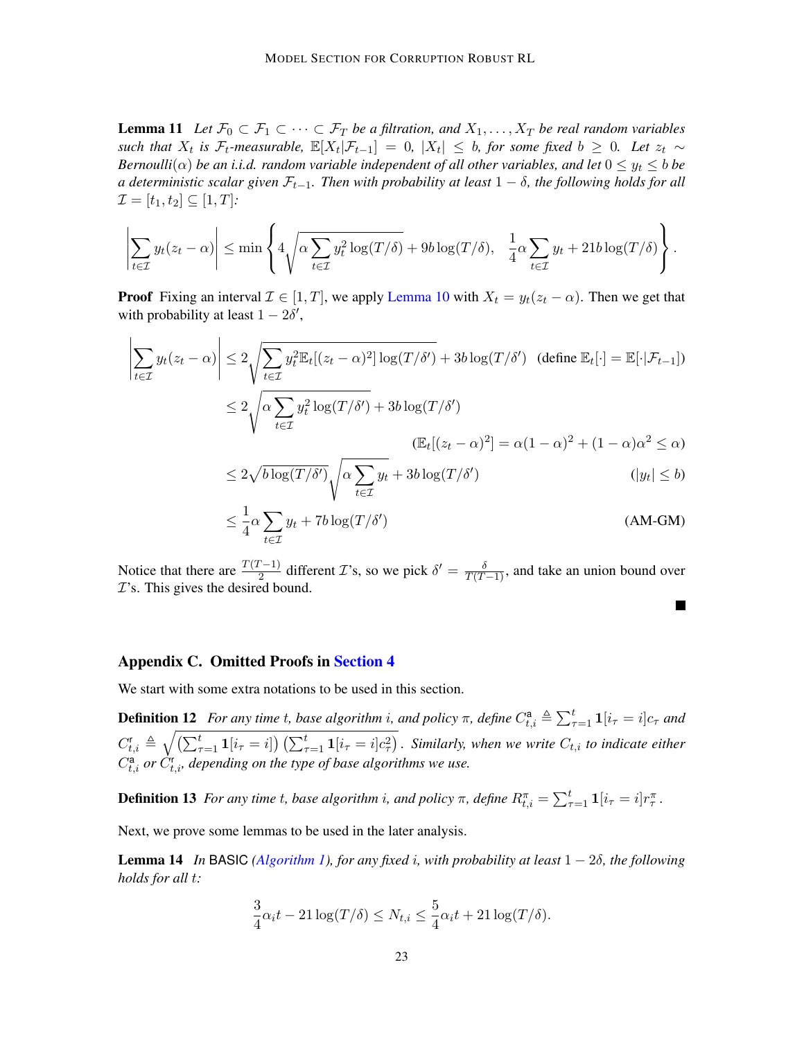**Lemma 11** Let  $\mathcal{F}_0 \subset \mathcal{F}_1 \subset \cdots \subset \mathcal{F}_T$  be a filtration, and  $X_1, \ldots, X_T$  be real random variables *such that*  $X_t$  *is*  $\mathcal{F}_t$ -measurable,  $\mathbb{E}[X_t | \mathcal{F}_{t-1}] = 0$ ,  $|X_t| \leq b$ , for some fixed  $b \geq 0$ . Let  $z_t \sim$ *Bernoulli*( $\alpha$ ) *be an i.i.d. random variable independent of all other variables, and let*  $0 \leq y_t \leq b$  *be a deterministic scalar given*  $\mathcal{F}_{t-1}$ *. Then with probability at least*  $1 - \delta$ *, the following holds for all*  $\mathcal{I} = [t_1, t_2] \subseteq [1, T]$ :

$$
\left|\sum_{t\in\mathcal{I}}y_t(z_t-\alpha)\right|\leq \min\left\{4\sqrt{\alpha\sum_{t\in\mathcal{I}}y_t^2\log(T/\delta)}+9b\log(T/\delta), \ \frac{1}{4}\alpha\sum_{t\in\mathcal{I}}y_t+21b\log(T/\delta)\right\}.
$$

**Proof** Fixing an interval  $\mathcal{I} \in [1, T]$ , we apply [Lemma 10](#page-21-1) with  $X_t = y_t(z_t - \alpha)$ . Then we get that with probability at least  $1 - 2\delta'$ ,

$$
\left| \sum_{t \in \mathcal{I}} y_t(z_t - \alpha) \right| \le 2 \sqrt{\sum_{t \in \mathcal{I}} y_t^2 \mathbb{E}_t[(z_t - \alpha)^2] \log(T/\delta')} + 3b \log(T/\delta') \quad (\text{define } \mathbb{E}_t[\cdot] = \mathbb{E}[\cdot | \mathcal{F}_{t-1}])
$$
  

$$
\le 2 \sqrt{\alpha \sum_{t \in \mathcal{I}} y_t^2 \log(T/\delta')} + 3b \log(T/\delta')
$$
  

$$
(\mathbb{E}_t[(z_t - \alpha)^2] = \alpha(1 - \alpha)^2 + (1 - \alpha)\alpha^2 \le \alpha)
$$
  

$$
\le 2 \sqrt{b \log(T/\delta')} \sqrt{\alpha \sum_{t \in \mathcal{I}} y_t} + 3b \log(T/\delta')
$$
  

$$
|y_t| \le b)
$$

$$
\leq \frac{1}{4}\alpha \sum_{t \in \mathcal{I}} y_t + 7b \log(T/\delta')
$$
 (AM-GM)

Notice that there are  $\frac{T(T-1)}{2}$  different *T*'s, so we pick  $\delta' = \frac{\delta}{T(T-1)}$ , and take an union bound over  $\mathcal{I}$ 's. This gives the desired bound.

#### Appendix C. Omitted Proofs in [Section 4](#page-7-2)

We start with some extra notations to be used in this section.

**Definition 12** For any time t, base algorithm i, and policy  $\pi$ , define  $C_{t,i}^{\mathsf{a}} \triangleq \sum_{\tau=1}^{t} \mathbf{1}[i_{\tau} = i]c_{\tau}$  and  $C_{t,i}^r \triangleq \sqrt{\left(\sum_{\tau=1}^t \mathbf{1}[i_{\tau}=i]\right)\left(\sum_{\tau=1}^t \mathbf{1}[i_{\tau}=i]c_{\tau}^2\right)}$ . Similarly, when we write  $C_{t,i}$  to indicate either  $C_{t,i}^{\mathsf{a}}$  *or*  $C_{t,i}^{\mathsf{r}}$ *, depending on the type of base algorithms we use.* 

**Definition 13** For any time t, base algorithm i, and policy  $\pi$ , define  $R_{t,i}^{\pi} = \sum_{\tau=1}^{t} \mathbf{1}[i_{\tau} = i]r_{\tau}^{\pi}$ .

Next, we prove some lemmas to be used in the later analysis.

**Lemma 14** *In* BASIC *[\(Algorithm 1\)](#page-9-0), for any fixed i<sub></sub>, with probability at least*  $1 - 2\delta$ *, the following holds for all* t*:*

<span id="page-22-0"></span>
$$
\frac{3}{4}\alpha_i t - 21\log(T/\delta) \le N_{t,i} \le \frac{5}{4}\alpha_i t + 21\log(T/\delta).
$$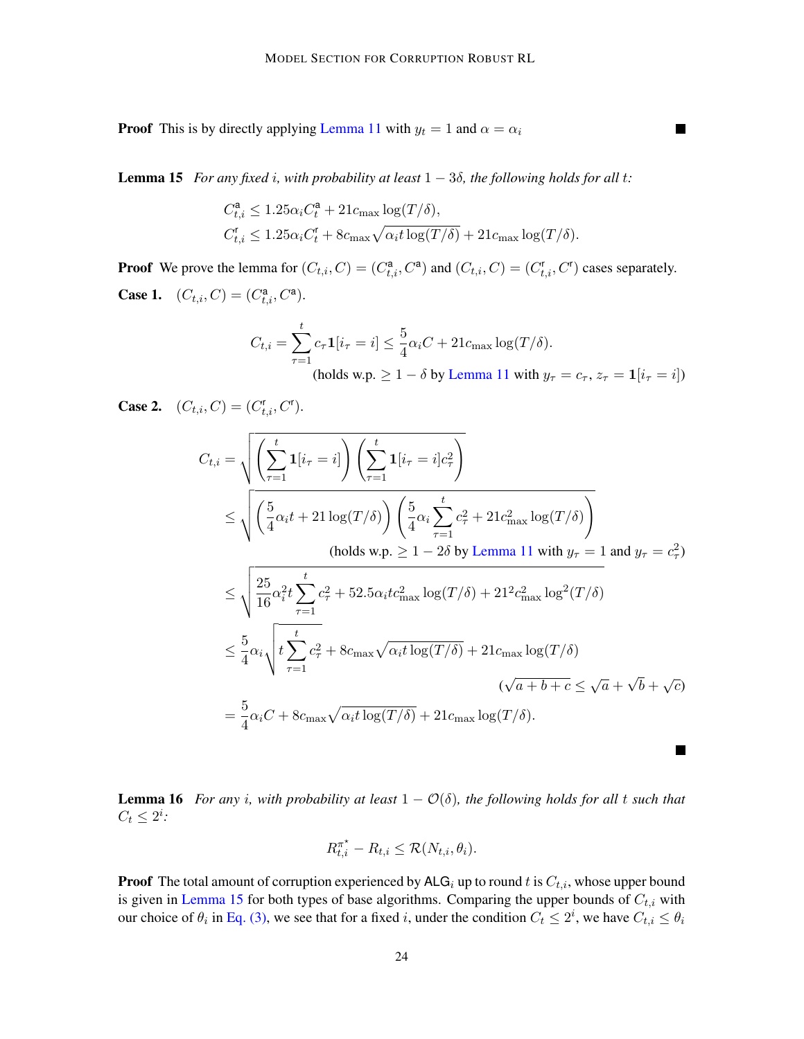**Proof** This is by directly applying [Lemma 11](#page-21-2) with  $y_t = 1$  and  $\alpha = \alpha_i$ 

<span id="page-23-0"></span>**Lemma 15** *For any fixed i, with probability at least*  $1 - 3\delta$ *, the following holds for all t:* 

$$
\begin{aligned} C_{t,i}^{\mathbf{a}} &\leq 1.25 \alpha_i C_t^{\mathbf{a}} + 21 c_{\text{max}} \log(T/\delta), \\ C_{t,i}^{\mathbf{r}} &\leq 1.25 \alpha_i C_t^{\mathbf{r}} + 8 c_{\text{max}} \sqrt{\alpha_i t \log(T/\delta)} + 21 c_{\text{max}} \log(T/\delta). \end{aligned}
$$

**Proof** We prove the lemma for  $(C_{t,i}, C) = (C_{t,i}^a, C^a)$  and  $(C_{t,i}, C) = (C_{t,i}^r, C^r)$  cases separately. **Case 1.**  $(C_{t,i}, C) = (C_{t,i}^a, C^a)$ .

$$
C_{t,i} = \sum_{\tau=1}^{t} c_{\tau} \mathbf{1}[i_{\tau} = i] \le \frac{5}{4} \alpha_i C + 21 c_{\text{max}} \log(T/\delta).
$$
  
(holds w.p.  $\ge 1 - \delta$  by Lemma 11 with  $y_{\tau} = c_{\tau}$ ,  $z_{\tau} = \mathbf{1}[i_{\tau} = i]$ )

**Case 2.**  $(C_{t,i}, C) = (C_{t,i}^r, C^r)$ .  $C_{t,i} = \sqrt{\left(\sum_{i=1}^{t} \right)^2}$  $\tau = 1$  $\mathbf{1}[i_\tau = i] \Big) \left( \sum^t \right)$  $\tau = 1$  $\mathbf{1}[i_\tau=i]c_\tau^2$  $\setminus$  $\leq \sqrt{\left(\frac{5}{4}\right)}$  $\frac{3}{4}\alpha_i t + 21\log(T/\delta)$  $\sqrt{5}$  $rac{3}{4}\alpha_i\sum$ t  $\tau=1$  $c_{\tau}^2 + 21c_{\max}^2 \log(T/\delta)$  $\setminus$ (holds w.p.  $\geq 1 - 2\delta$  by [Lemma 11](#page-21-2) with  $y_{\tau} = 1$  and  $y_{\tau} = c_{\tau}^2$ )  $\leq \sqrt{\frac{25}{16}}$  $\frac{25}{16} \alpha_i^2 t \sum$ t  $\tau = 1$  $c_{\tau}^2 + 52.5\alpha_i t c_{\text{max}}^2 \log(T/\delta) + 21^2 c_{\text{max}}^2 \log^2(T/\delta)$  $\leq \frac{5}{4}$  $rac{5}{4}\alpha_i\sqrt{t\sum_{i=1}^t}$ t  $\tau=1$  $c_{\tau}^2 + 8c_{\max}\sqrt{\alpha_i t \log(T/\delta)} + 21c_{\max}\log(T/\delta)$ ( √  $\overline{a+b+c} \leq \sqrt{a} +$ √  $\overline{b} + \sqrt{c}$  $=\frac{5}{4}$  $\frac{3}{4}\alpha_iC + 8c_{\text{max}}\sqrt{\alpha_i t \log(T/\delta)} + 21c_{\text{max}}\log(T/\delta).$ 

<span id="page-23-1"></span>**Lemma 16** For any *i*, with probability at least  $1 - \mathcal{O}(\delta)$ , the following holds for all t such that  $C_t \leq 2^i$ :

$$
R_{t,i}^{\pi^{\star}} - R_{t,i} \leq \mathcal{R}(N_{t,i}, \theta_i).
$$

**Proof** The total amount of corruption experienced by  $\text{ALG}_i$  up to round t is  $C_{t,i}$ , whose upper bound is given in [Lemma 15](#page-23-0) for both types of base algorithms. Comparing the upper bounds of  $C_{t,i}$  with our choice of  $\theta_i$  in [Eq. \(3\),](#page-9-1) we see that for a fixed i, under the condition  $C_t \leq 2^i$ , we have  $C_{t,i} \leq \theta_i$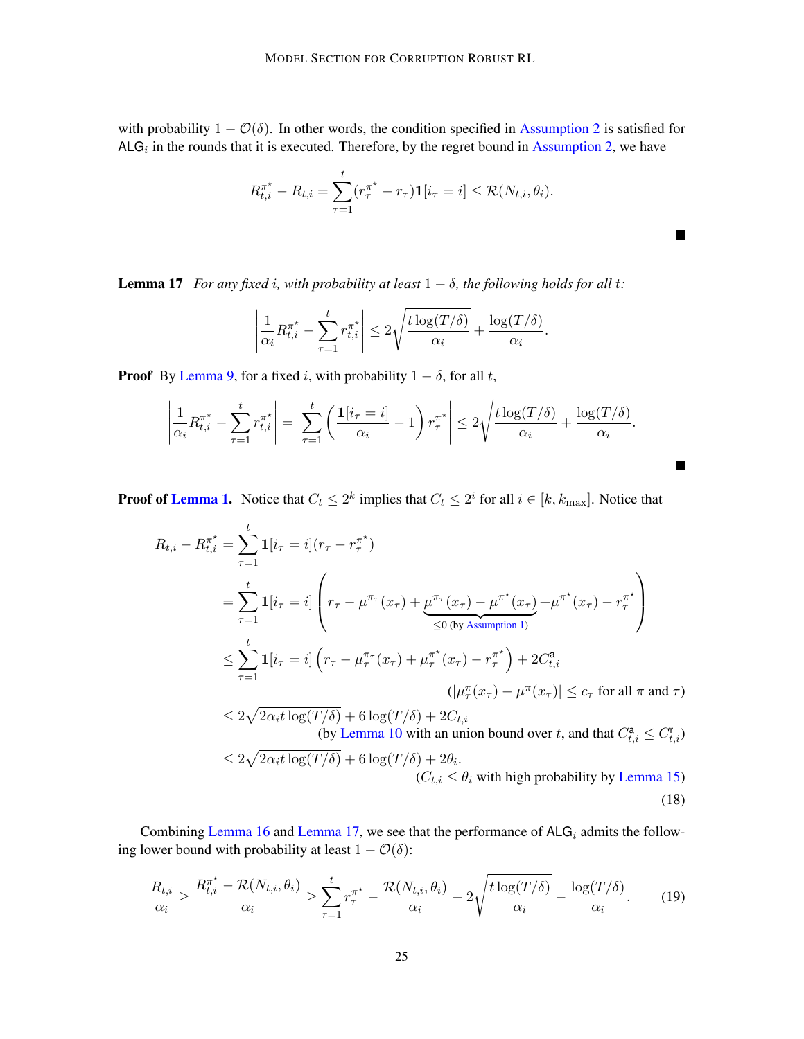with probability  $1 - \mathcal{O}(\delta)$ . In other words, the condition specified in [Assumption 2](#page-7-0) is satisfied for  $ALG_i$  in the rounds that it is executed. Therefore, by the regret bound in [Assumption 2,](#page-7-0) we have

$$
R_{t,i}^{\pi^*} - R_{t,i} = \sum_{\tau=1}^t (r_{\tau}^{\pi^*} - r_{\tau}) \mathbf{1}[i_{\tau} = i] \leq \mathcal{R}(N_{t,i}, \theta_i).
$$

 $\blacksquare$ 

<span id="page-24-2"></span><span id="page-24-1"></span> $\blacksquare$ 

<span id="page-24-0"></span>**Lemma 17** *For any fixed i, with probability at least*  $1 - \delta$ *, the following holds for all t:* 

$$
\left|\frac{1}{\alpha_i}R_{t,i}^{\pi^*} - \sum_{\tau=1}^t r_{t,i}^{\pi^*}\right| \leq 2\sqrt{\frac{t\log(T/\delta)}{\alpha_i}} + \frac{\log(T/\delta)}{\alpha_i}.
$$

**Proof** By [Lemma 9,](#page-21-3) for a fixed i, with probability  $1 - \delta$ , for all t,

$$
\left|\frac{1}{\alpha_i}R_{t,i}^{\pi^*} - \sum_{\tau=1}^t r_{t,i}^{\pi^*}\right| = \left|\sum_{\tau=1}^t \left(\frac{\mathbf{1}[i_{\tau}=i]}{\alpha_i} - 1\right)r_{\tau}^{\pi^*}\right| \leq 2\sqrt{\frac{t\log(T/\delta)}{\alpha_i}} + \frac{\log(T/\delta)}{\alpha_i}.
$$

**Proof of [Lemma 1.](#page-8-1)** Notice that  $C_t \leq 2^k$  implies that  $C_t \leq 2^i$  for all  $i \in [k, k_{\text{max}}]$ . Notice that

$$
R_{t,i} - R_{t,i}^{\pi^*} = \sum_{\tau=1}^t \mathbf{1}[i_{\tau} = i](r_{\tau} - r_{\tau}^{\pi^*})
$$
  
\n
$$
= \sum_{\tau=1}^t \mathbf{1}[i_{\tau} = i] \left(r_{\tau} - \mu^{\pi_{\tau}}(x_{\tau}) + \mu^{\pi_{\tau}}(x_{\tau}) - \mu^{\pi^*}(x_{\tau}) + \mu^{\pi^*}(x_{\tau}) - r_{\tau}^{\pi^*}\right)
$$
  
\n
$$
\leq \sum_{\tau=1}^t \mathbf{1}[i_{\tau} = i] \left(r_{\tau} - \mu_{\tau}^{\pi_{\tau}}(x_{\tau}) + \mu^{\pi^*}_{\tau}(x_{\tau}) - r_{\tau}^{\pi^*}\right) + 2C_{t,i}^{\mathbf{a}}
$$
  
\n
$$
(|\mu_{\tau}^{\pi}(x_{\tau}) - \mu^{\pi}(x_{\tau})| \leq c_{\tau} \text{ for all } \pi \text{ and } \tau)
$$
  
\n
$$
\leq 2\sqrt{2\alpha_i t} \log(T/\delta) + 6 \log(T/\delta) + 2C_{t,i}
$$
  
\n
$$
\text{(by Lemma 10 with an union bound over } t, \text{ and that } C_{t,i}^{\mathbf{a}} \leq C_{t,i}^{\mathbf{r}})
$$
  
\n
$$
\leq 2\sqrt{2\alpha_i t} \log(T/\delta) + 6 \log(T/\delta) + 2\theta_i.
$$
  
\n
$$
(C_{t,i} \leq \theta_i \text{ with high probability by Lemma 15)}
$$
  
\n(18)

Combining [Lemma 16](#page-23-1) and [Lemma 17,](#page-24-0) we see that the performance of  $ALG_i$  admits the following lower bound with probability at least  $1 - \mathcal{O}(\delta)$ :

$$
\frac{R_{t,i}}{\alpha_i} \ge \frac{R_{t,i}^{\pi^*} - \mathcal{R}(N_{t,i}, \theta_i)}{\alpha_i} \ge \sum_{\tau=1}^t r_{\tau}^{\pi^*} - \frac{\mathcal{R}(N_{t,i}, \theta_i)}{\alpha_i} - 2\sqrt{\frac{t \log(T/\delta)}{\alpha_i}} - \frac{\log(T/\delta)}{\alpha_i}.
$$
 (19)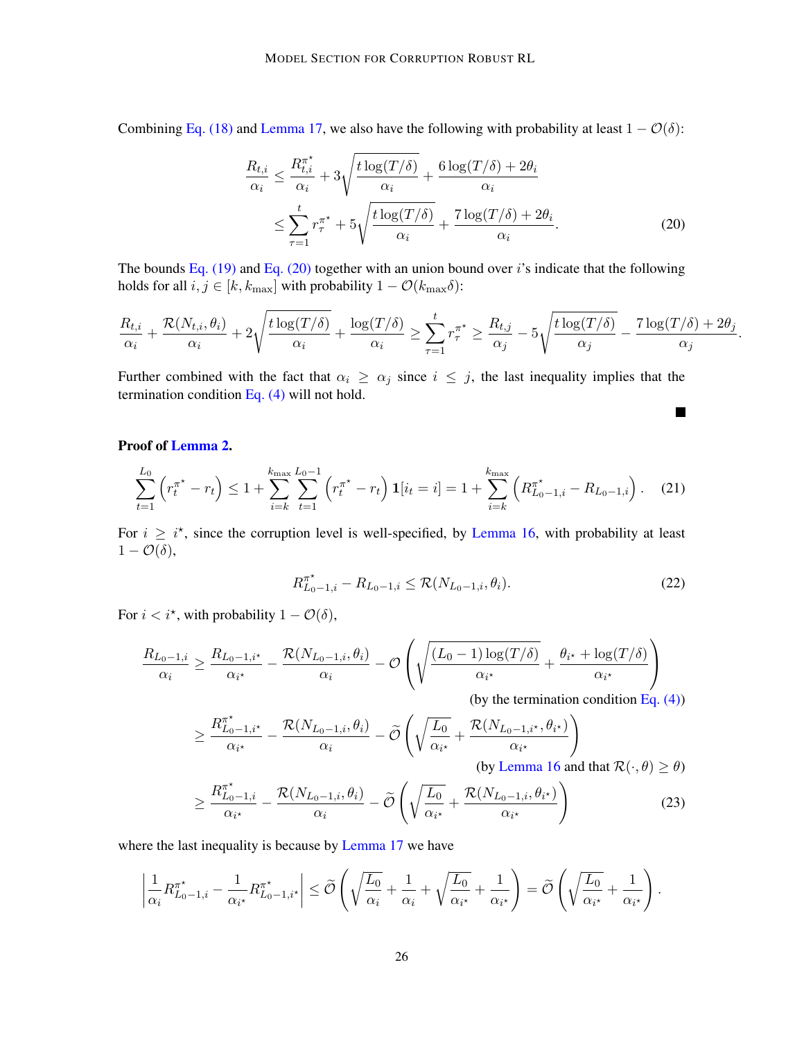Combining [Eq. \(18\)](#page-24-1) and [Lemma 17,](#page-24-0) we also have the following with probability at least  $1 - \mathcal{O}(\delta)$ :

$$
\frac{R_{t,i}}{\alpha_i} \le \frac{R_{t,i}^{\pi^*}}{\alpha_i} + 3\sqrt{\frac{t \log(T/\delta)}{\alpha_i}} + \frac{6 \log(T/\delta) + 2\theta_i}{\alpha_i}
$$
\n
$$
\le \sum_{\tau=1}^t r_{\tau}^{\pi^*} + 5\sqrt{\frac{t \log(T/\delta)}{\alpha_i}} + \frac{7 \log(T/\delta) + 2\theta_i}{\alpha_i}.
$$
\n(20)

The bounds [Eq. \(19\)](#page-24-2) and [Eq. \(20\)](#page-25-0) together with an union bound over i's indicate that the following holds for all  $i, j \in [k, k_{\text{max}}]$  with probability  $1 - \mathcal{O}(k_{\text{max}}\delta)$ :

$$
\frac{R_{t,i}}{\alpha_i} + \frac{\mathcal{R}(N_{t,i}, \theta_i)}{\alpha_i} + 2\sqrt{\frac{t \log(T/\delta)}{\alpha_i}} + \frac{\log(T/\delta)}{\alpha_i} \ge \sum_{\tau=1}^t r_{\tau}^{\pi^*} \ge \frac{R_{t,j}}{\alpha_j} - 5\sqrt{\frac{t \log(T/\delta)}{\alpha_j}} - \frac{7 \log(T/\delta) + 2\theta_j}{\alpha_j}.
$$

Further combined with the fact that  $\alpha_i \geq \alpha_j$  since  $i \leq j$ , the last inequality implies that the termination condition [Eq. \(4\)](#page-9-2) will not hold.

Proof of [Lemma 2.](#page-9-3)

$$
\sum_{t=1}^{L_0} \left( r_t^{\pi^*} - r_t \right) \le 1 + \sum_{i=k}^{k_{\text{max}}} \sum_{t=1}^{L_0 - 1} \left( r_t^{\pi^*} - r_t \right) \mathbf{1}[i_t = i] = 1 + \sum_{i=k}^{k_{\text{max}}} \left( R_{L_0 - 1, i}^{\pi^*} - R_{L_0 - 1, i} \right). \tag{21}
$$

For  $i \geq i^*$ , since the corruption level is well-specified, by [Lemma 16,](#page-23-1) with probability at least  $1 - \mathcal{O}(\delta),$ 

$$
R_{L_0-1,i}^{\pi^*} - R_{L_0-1,i} \le \mathcal{R}(N_{L_0-1,i}, \theta_i). \tag{22}
$$

<span id="page-25-3"></span><span id="page-25-2"></span><span id="page-25-1"></span><span id="page-25-0"></span> $\blacksquare$ 

For  $i < i^*$ , with probability  $1 - \mathcal{O}(\delta)$ ,

$$
\frac{R_{L_0-1,i}}{\alpha_i} \ge \frac{R_{L_0-1,i^{\star}}}{\alpha_{i^{\star}}} - \frac{\mathcal{R}(N_{L_0-1,i}, \theta_i)}{\alpha_i} - \mathcal{O}\left(\sqrt{\frac{(L_0-1)\log(T/\delta)}{\alpha_{i^{\star}}}} + \frac{\theta_{i^{\star}} + \log(T/\delta)}{\alpha_{i^{\star}}}\right)
$$
\n(by the termination condition Eq. (4))\n
$$
\sqrt{R_{L_0-1,i^{\star}}^{\pi^{\star}}} - \frac{\mathcal{R}(N_{L_0-1,i}, \theta_i)}{\mathcal{R}(N_{L_0-1,i}, \theta_i)} - \frac{\mathcal{O}\left(\sqrt{\frac{L_0}{L_0}} + \frac{\mathcal{O}\left(\frac{L_0}{\epsilon}\right)}{\mathcal{R}(N_{L_0-1,i^{\star}}, \theta_{i^{\star}})}\right)}{\mathcal{O}\left(\sqrt{\frac{L_0}{L_0}} + \frac{\mathcal{O}\left(\frac{L_0}{\epsilon}\right)}{\mathcal{R}(N_{L_0-1,i^{\star}}, \theta_{i^{\star}})}\right)}
$$

$$
\geq \frac{R_{L_0-1,i^*}}{\alpha_{i^*}} - \frac{\mathcal{R}(N_{L_0-1,i}, \theta_i)}{\alpha_i} - \widetilde{\mathcal{O}}\left(\sqrt{\frac{L_0}{\alpha_{i^*}}} + \frac{\mathcal{R}(N_{L_0-1,i^*}, \theta_{i^*})}{\alpha_{i^*}}\right)
$$
  
(by Lemma 16 and that  $\mathcal{R}(\cdot, \theta) \geq \theta$ )

$$
\geq \frac{R_{L_0-1,i}^{\pi^*}}{\alpha_{i^*}} - \frac{\mathcal{R}(N_{L_0-1,i}, \theta_i)}{\alpha_i} - \widetilde{\mathcal{O}}\left(\sqrt{\frac{L_0}{\alpha_{i^*}}} + \frac{\mathcal{R}(N_{L_0-1,i}, \theta_{i^*})}{\alpha_{i^*}}\right)
$$
(23)

where the last inequality is because by [Lemma 17](#page-24-0) we have

$$
\left|\frac{1}{\alpha_i}R_{L_0-1,i}^{\pi^*}-\frac{1}{\alpha_{i^*}}R_{L_0-1,i^*}^{\pi^*}\right|\leq \widetilde{\mathcal{O}}\left(\sqrt{\frac{L_0}{\alpha_i}}+\frac{1}{\alpha_i}+\sqrt{\frac{L_0}{\alpha_{i^*}}}+\frac{1}{\alpha_{i^*}}\right)=\widetilde{\mathcal{O}}\left(\sqrt{\frac{L_0}{\alpha_{i^*}}}+\frac{1}{\alpha_{i^*}}\right).
$$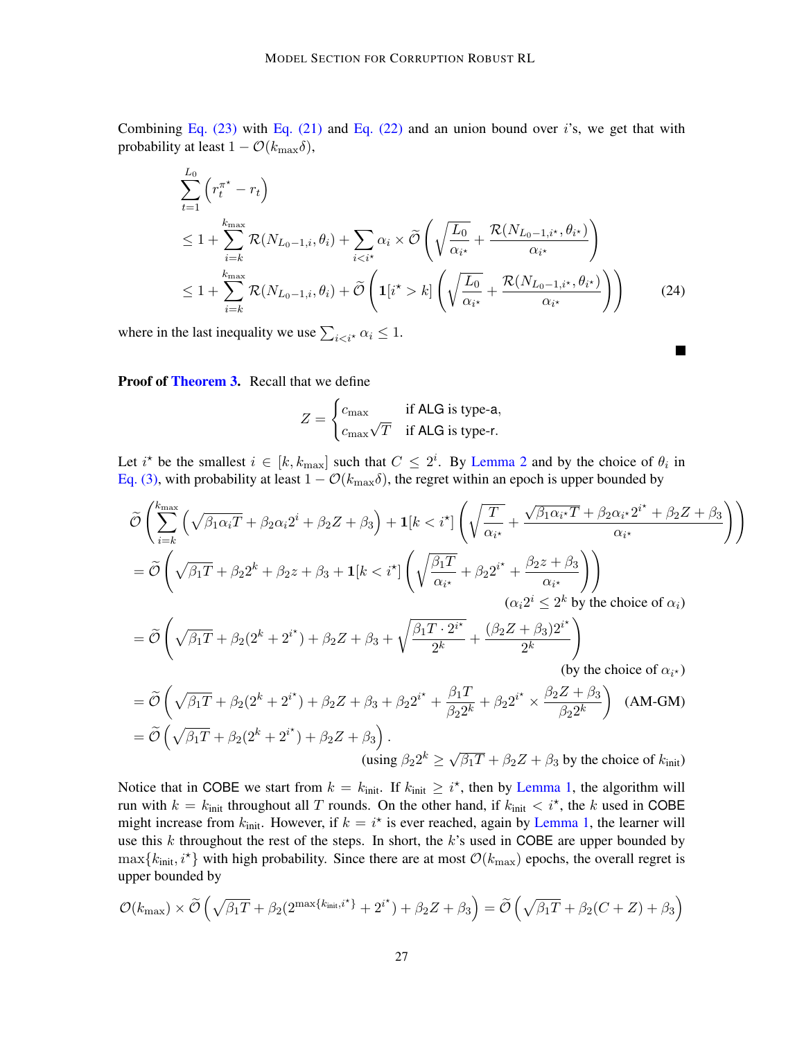Combining Eq.  $(23)$  with Eq.  $(21)$  and Eq.  $(22)$  and an union bound over i's, we get that with probability at least  $1 - \mathcal{O}(k_{\text{max}}\delta)$ ,

$$
\sum_{t=1}^{L_0} \left( r_t^{\pi^*} - r_t \right)
$$
\n
$$
\leq 1 + \sum_{i=k}^{k_{\text{max}}} \mathcal{R}(N_{L_0-1,i}, \theta_i) + \sum_{i < i^*} \alpha_i \times \widetilde{\mathcal{O}} \left( \sqrt{\frac{L_0}{\alpha_{i^*}}} + \frac{\mathcal{R}(N_{L_0-1,i^*}, \theta_{i^*})}{\alpha_{i^*}} \right)
$$
\n
$$
\leq 1 + \sum_{i=k}^{k_{\text{max}}} \mathcal{R}(N_{L_0-1,i}, \theta_i) + \widetilde{\mathcal{O}} \left( \mathbf{1}[i^* > k] \left( \sqrt{\frac{L_0}{\alpha_{i^*}}} + \frac{\mathcal{R}(N_{L_0-1,i^*}, \theta_{i^*})}{\alpha_{i^*}} \right) \right) \tag{24}
$$

 $\blacksquare$ 

where in the last inequality we use  $\sum_{i \leq i^*} \alpha_i \leq 1$ .

Proof of [Theorem 3.](#page-10-5) Recall that we define

$$
Z = \begin{cases} c_{\text{max}} & \text{if ALG is type-a,} \\ c_{\text{max}}\sqrt{T} & \text{if ALG is type-r.} \end{cases}
$$

Let i<sup>\*</sup> be the smallest  $i \in [k, k_{\text{max}}]$  such that  $C \leq 2^i$ . By [Lemma 2](#page-9-3) and by the choice of  $\theta_i$  in [Eq. \(3\),](#page-9-1) with probability at least  $1 - \mathcal{O}(k_{\text{max}}\delta)$ , the regret within an epoch is upper bounded by

$$
\widetilde{\mathcal{O}}\left(\sum_{i=k}^{k_{\text{max}}}\left(\sqrt{\beta_{1}\alpha_{i}T}+\beta_{2}\alpha_{i}2^{i}+\beta_{2}Z+\beta_{3}\right)+\mathbf{1}[k < i^{\star}]\left(\sqrt{\frac{T}{\alpha_{i^{\star}}}}+\frac{\sqrt{\beta_{1}\alpha_{i^{\star}}T}+\beta_{2}\alpha_{i^{\star}}2^{i^{\star}}+\beta_{2}Z+\beta_{3}}{\alpha_{i^{\star}}}\right)\right)
$$
\n
$$
=\widetilde{\mathcal{O}}\left(\sqrt{\beta_{1}T}+\beta_{2}2^{k}+\beta_{2}Z+\beta_{3}+\mathbf{1}[k < i^{\star}]\left(\sqrt{\frac{\beta_{1}T}{\alpha_{i^{\star}}}}+\beta_{2}2^{i^{\star}}+\frac{\beta_{2}Z+\beta_{3}}{\alpha_{i^{\star}}}\right)\right)
$$
\n
$$
(\alpha_{i}2^{i} \leq 2^{k} \text{ by the choice of } \alpha_{i})
$$

$$
= \widetilde{\mathcal{O}}\left(\sqrt{\beta_1 T} + \beta_2 (2^k + 2^{i^*}) + \beta_2 Z + \beta_3 + \sqrt{\frac{\beta_1 T \cdot 2^{i^*}}{2^k}} + \frac{(\beta_2 Z + \beta_3) 2^{i^*}}{2^k}\right)
$$
  
(by the choice of  $\alpha_{i^*}$ )

$$
= \widetilde{\mathcal{O}}\left(\sqrt{\beta_1 T} + \beta_2 (2^k + 2^{i^*}) + \beta_2 Z + \beta_3 + \beta_2 2^{i^*} + \frac{\beta_1 T}{\beta_2 2^k} + \beta_2 2^{i^*} \times \frac{\beta_2 Z + \beta_3}{\beta_2 2^k}\right)
$$
 (AM-GM)  
=  $\widetilde{\mathcal{O}}\left(\sqrt{\beta_1 T} + \beta_2 (2^k + 2^{i^*}) + \beta_2 Z + \beta_3\right)$ .  
(using  $\beta_2 2^k \ge \sqrt{\beta_1 T} + \beta_2 Z + \beta_3$  by the choice of  $k_{\text{init}}$ )

Notice that in COBE we start from  $k = k_{init}$ . If  $k_{init} \geq i^*$ , then by [Lemma 1,](#page-8-1) the algorithm will run with  $k = k_{init}$  throughout all T rounds. On the other hand, if  $k_{init} < i^*$ , the k used in COBE might increase from  $k_{init}$ . However, if  $k = i^*$  is ever reached, again by [Lemma 1,](#page-8-1) the learner will use this  $k$  throughout the rest of the steps. In short, the  $k$ 's used in COBE are upper bounded by  $\max\{k_{\text{init}}, i^*\}$  with high probability. Since there are at most  $\mathcal{O}(k_{\text{max}})$  epochs, the overall regret is upper bounded by

$$
\mathcal{O}(k_{\max}) \times \widetilde{\mathcal{O}}\left(\sqrt{\beta_1 T} + \beta_2 (2^{\max\{k_{\text{init}}, i^\star\}} + 2^{i^\star}) + \beta_2 Z + \beta_3\right) = \widetilde{\mathcal{O}}\left(\sqrt{\beta_1 T} + \beta_2 (C + Z) + \beta_3\right)
$$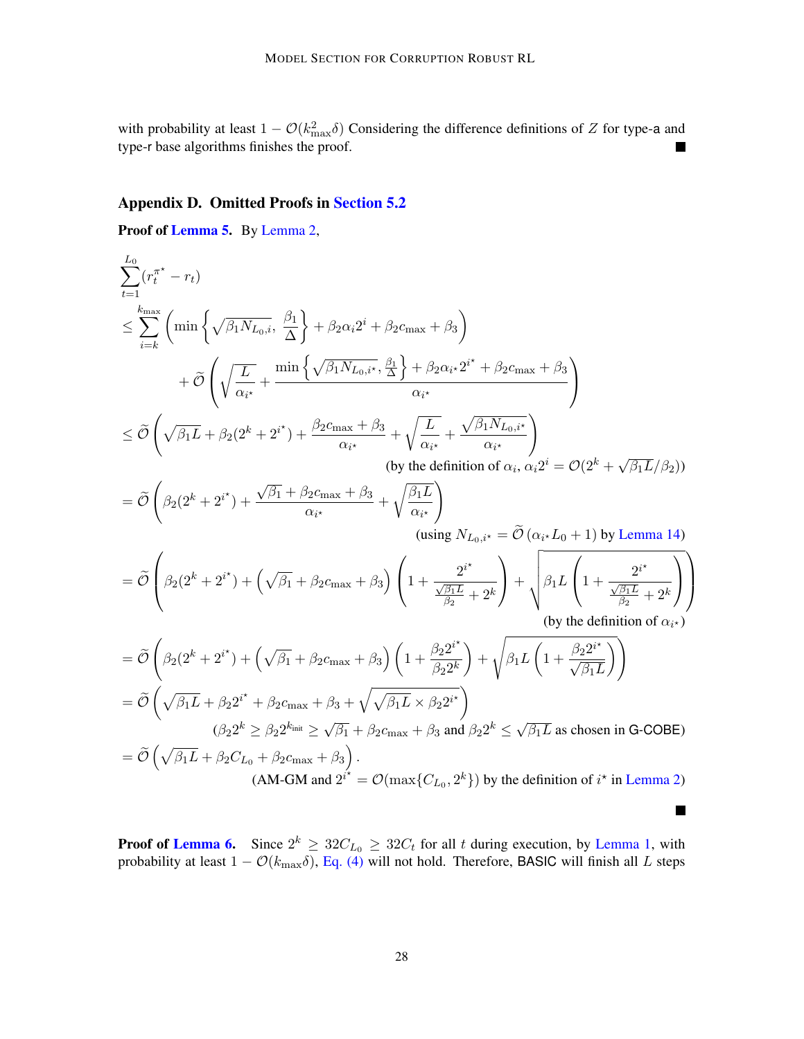with probability at least  $1 - \mathcal{O}(k_{\text{max}}^2 \delta)$  Considering the difference definitions of Z for type-a and type-r base algorithms finishes the proof.  $\blacksquare$ 

### Appendix D. Omitted Proofs in [Section 5.2](#page-12-2)

Proof of [Lemma 5.](#page-12-5) By [Lemma 2,](#page-9-3)

$$
\sum_{i=1}^{L_0} (r_i^{\pi^*} - r_i)
$$
\n
$$
\leq \sum_{i=k}^{k_{\text{max}}} \left( \min \left\{ \sqrt{\beta_1 N_{L_0,i}}, \frac{\beta_1}{\Delta} \right\} + \beta_2 \alpha_i 2^i + \beta_2 c_{\text{max}} + \beta_3 \right)
$$
\n
$$
+ \widetilde{\mathcal{O}} \left( \sqrt{\frac{L}{\alpha_{i^*}}} + \frac{\min \left\{ \sqrt{\beta_1 N_{L_0,i^*}}, \frac{\beta_1}{\Delta} \right\} + \beta_2 \alpha_i 2^{i^*} + \beta_2 c_{\text{max}} + \beta_3}{\alpha_{i^*}} \right)
$$
\n
$$
\leq \widetilde{\mathcal{O}} \left( \sqrt{\beta_1 L} + \beta_2 (2^k + 2^{i^*}) + \frac{\beta_2 c_{\text{max}} + \beta_3}{\alpha_{i^*}} + \sqrt{\frac{L}{\alpha_{i^*}}} + \frac{\sqrt{\beta_1 N_{L_0,i^*}}}{\alpha_{i^*}} \right)
$$
\n(by the definition of  $\alpha_i, \alpha_i 2^i = \mathcal{O}(2^k + \sqrt{\beta_1 L}/\beta_2)$ )\n
$$
= \widetilde{\mathcal{O}} \left( \beta_2 (2^k + 2^{i^*}) + \frac{\sqrt{\beta_1 + \beta_2 c_{\text{max}} + \beta_3}}{\alpha_{i^*}} + \sqrt{\frac{\beta_1 L}{\alpha_{i^*}}} \right)
$$
\n(susing  $N_{L_0,i^*} = \widetilde{\mathcal{O}} (\alpha_{i^*} L_0 + 1)$  by Lemma 14)\n
$$
= \widetilde{\mathcal{O}} \left( \beta_2 (2^k + 2^{i^*}) + (\sqrt{\beta_1} + \beta_2 c_{\text{max}} + \beta_3) \left( 1 + \frac{2^{i^*}}{\frac{\beta_1 L}{\beta_2}} \right) + \sqrt{\beta_1 L \left( 1 + \frac{2^{i^*}}{\frac{\beta_1 L}{\beta_2}} + 2^k \right)} \right)
$$
\n(by the definition of  $\alpha_i$ .)\n
$$
= \widetilde{\mathcal{O}} \left( \beta_2 (2^k + 2^{i^*}) + (\sqrt{\beta_1} + \beta_2 c_{\text{max}} +
$$

**Proof of [Lemma 6.](#page-13-1)** Since  $2^k \ge 32C_{L_0} \ge 32C_t$  for all t during execution, by [Lemma 1,](#page-8-1) with probability at least  $1 - \mathcal{O}(k_\text{max} \delta)$ , [Eq. \(4\)](#page-9-2) will not hold. Therefore, BASIC will finish all L steps

 $\blacksquare$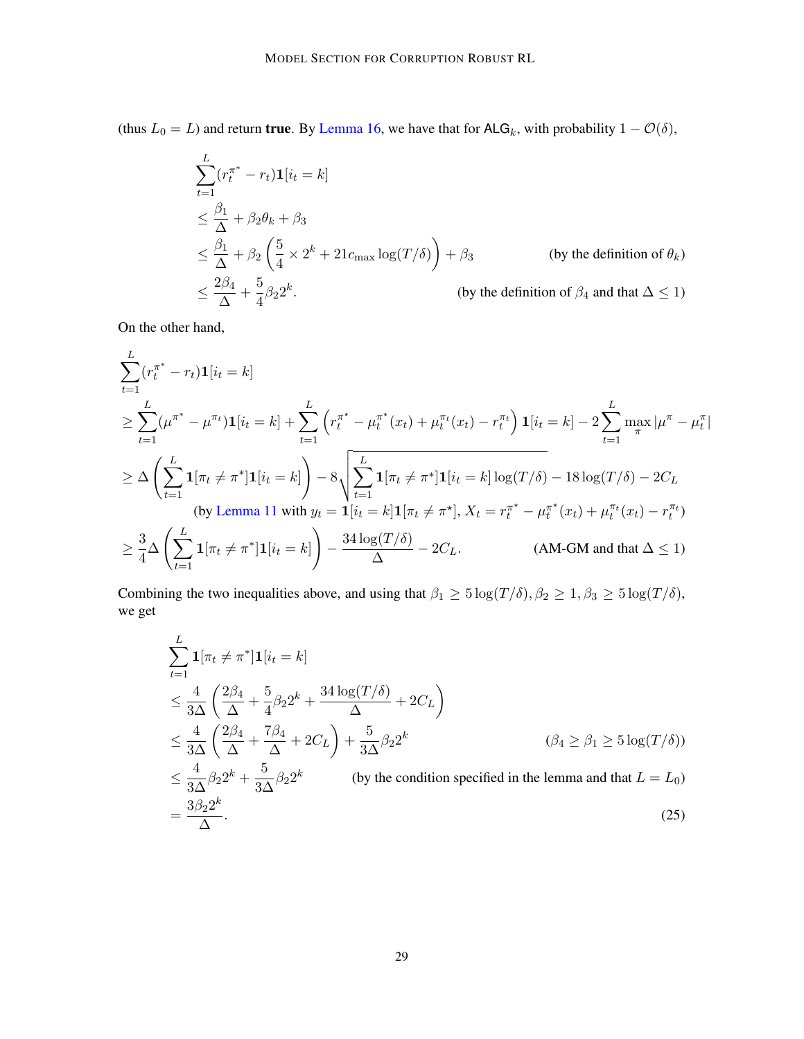(thus  $L_0 = L$ ) and return **true**. By [Lemma 16,](#page-23-1) we have that for ALG<sub>k</sub>, with probability  $1 - \mathcal{O}(\delta)$ ,

$$
\sum_{t=1}^{L} (r_t^{\pi^*} - r_t) \mathbf{1}[i_t = k]
$$
\n
$$
\leq \frac{\beta_1}{\Delta} + \beta_2 \theta_k + \beta_3
$$
\n
$$
\leq \frac{\beta_1}{\Delta} + \beta_2 \left(\frac{5}{4} \times 2^k + 21c_{\text{max}} \log(T/\delta)\right) + \beta_3 \qquad \text{(by the definition of } \theta_k)
$$
\n
$$
\leq \frac{2\beta_4}{\Delta} + \frac{5}{4} \beta_2 2^k. \qquad \text{(by the definition of } \beta_4 \text{ and that } \Delta \leq 1)
$$

On the other hand,

$$
\sum_{t=1}^{L} (r_t^{\pi^*} - r_t) \mathbf{1}[i_t = k]
$$
\n
$$
\geq \sum_{t=1}^{L} (\mu^{\pi^*} - \mu^{\pi_t}) \mathbf{1}[i_t = k] + \sum_{t=1}^{L} \left( r_t^{\pi^*} - \mu^{\pi^*} (x_t) + \mu^{\pi_t} (x_t) - r_t^{\pi_t} \right) \mathbf{1}[i_t = k] - 2 \sum_{t=1}^{L} \max_{\pi} |\mu^{\pi} - \mu^{\pi}_t|
$$
\n
$$
\geq \Delta \left( \sum_{t=1}^{L} \mathbf{1}[\pi_t \neq \pi^*] \mathbf{1}[i_t = k] \right) - 8 \sqrt{\sum_{t=1}^{L} \mathbf{1}[\pi_t \neq \pi^*] \mathbf{1}[i_t = k] \log(T/\delta) - 18 \log(T/\delta) - 2C_L}
$$
\n(by Lemma 11 with  $y_t = \mathbf{1}[i_t = k] \mathbf{1}[\pi_t \neq \pi^*]$ ,  $X_t = r_t^{\pi^*} - \mu_t^{\pi^*} (x_t) + \mu_t^{\pi_t} (x_t) - r_t^{\pi_t}$ )\n
$$
\geq \frac{3}{4} \Delta \left( \sum_{t=1}^{L} \mathbf{1}[\pi_t \neq \pi^*] \mathbf{1}[i_t = k] \right) - \frac{34 \log(T/\delta)}{\Delta} - 2C_L.
$$
\n(AM-GM and that  $\Delta \leq 1$ )

Combining the two inequalities above, and using that  $\beta_1 \geq 5 \log(T/\delta)$ ,  $\beta_2 \geq 1$ ,  $\beta_3 \geq 5 \log(T/\delta)$ , we get

<span id="page-28-0"></span>
$$
\sum_{t=1}^{L} \mathbf{1}[\pi_t \neq \pi^*] \mathbf{1}[i_t = k]
$$
\n
$$
\leq \frac{4}{3\Delta} \left( \frac{2\beta_4}{\Delta} + \frac{5}{4} \beta_2 2^k + \frac{34 \log(T/\delta)}{\Delta} + 2C_L \right)
$$
\n
$$
\leq \frac{4}{3\Delta} \left( \frac{2\beta_4}{\Delta} + \frac{7\beta_4}{\Delta} + 2C_L \right) + \frac{5}{3\Delta} \beta_2 2^k \qquad (\beta_4 \geq \beta_1 \geq 5 \log(T/\delta))
$$
\n
$$
\leq \frac{4}{3\Delta} \beta_2 2^k + \frac{5}{3\Delta} \beta_2 2^k \qquad \text{(by the condition specified in the lemma and that } L = L_0)
$$
\n
$$
= \frac{3\beta_2 2^k}{\Delta}. \qquad (25)
$$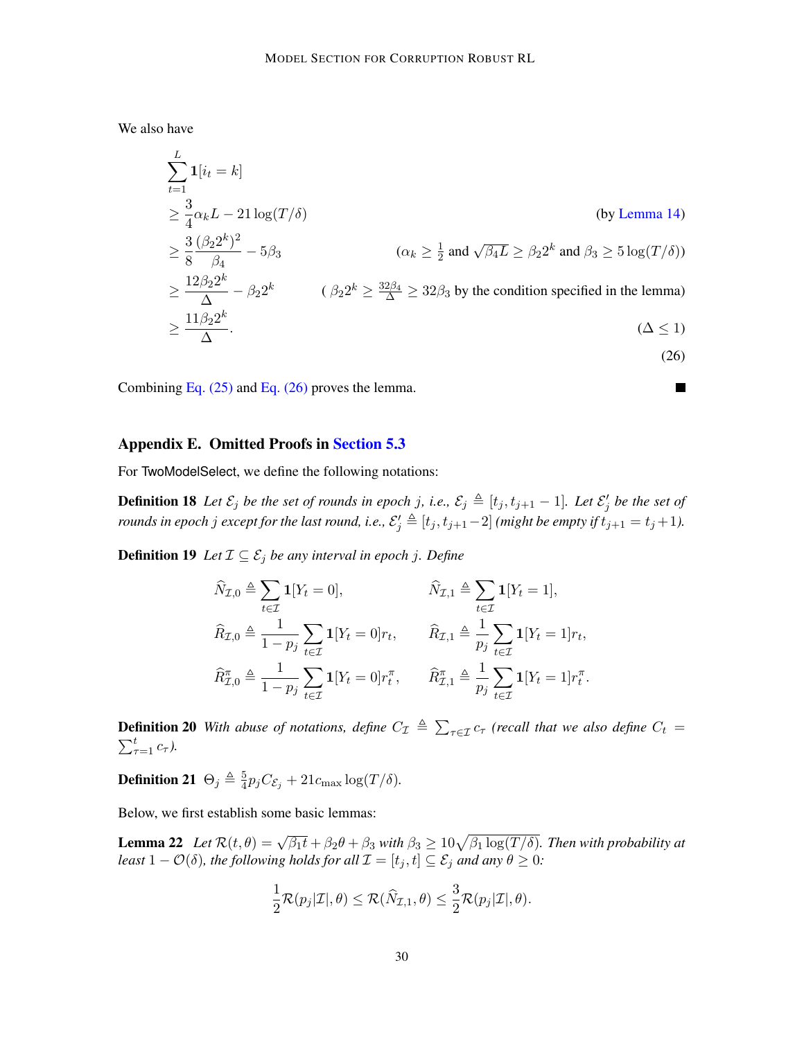We also have

$$
\sum_{t=1}^{L} \mathbf{1}[i_t = k]
$$
\n
$$
\geq \frac{3}{4} \alpha_k L - 21 \log(T/\delta)
$$
\n
$$
\geq \frac{3}{8} \frac{(\beta_2 2^k)^2}{\beta_4} - 5\beta_3
$$
\n
$$
\geq \frac{12\beta_2 2^k}{\Delta} - \beta_2 2^k
$$
\n
$$
\alpha_k \geq \frac{1}{2} \text{ and } \sqrt{\beta_4 L} \geq \beta_2 2^k \text{ and } \beta_3 \geq 5 \log(T/\delta))
$$
\n
$$
\geq \frac{12\beta_2 2^k}{\Delta} - \beta_2 2^k
$$
\n
$$
\beta_2 2^k \geq \frac{32\beta_4}{\Delta} \geq 32\beta_3 \text{ by the condition specified in the lemma)}
$$
\n
$$
\geq \frac{11\beta_2 2^k}{\Delta}.
$$
\n
$$
\tag{26}
$$

<span id="page-29-1"></span> $\blacksquare$ 

Combining Eq.  $(25)$  and Eq.  $(26)$  proves the lemma.

#### <span id="page-29-0"></span>Appendix E. Omitted Proofs in [Section 5.3](#page-13-0)

For TwoModelSelect, we define the following notations:

**Definition 18** Let  $\mathcal{E}_j$  be the set of rounds in epoch j, i.e.,  $\mathcal{E}_j \triangleq [t_j, t_{j+1} - 1]$ . Let  $\mathcal{E}'_j$  be the set of *rounds in epoch j except for the last round, i.e.,*  $\mathcal{E}'_j \triangleq [t_j, t_{j+1}-2]$  *(might be empty if*  $t_{j+1} = t_j + 1$ *).* 

**Definition 19** *Let*  $I ⊆ E_j$  *be any interval in epoch j. Define* 

$$
\widehat{N}_{\mathcal{I},0} \triangleq \sum_{t \in \mathcal{I}} \mathbf{1}[Y_t = 0], \qquad \widehat{N}_{\mathcal{I},1} \triangleq \sum_{t \in \mathcal{I}} \mathbf{1}[Y_t = 1],
$$
\n
$$
\widehat{R}_{\mathcal{I},0} \triangleq \frac{1}{1 - p_j} \sum_{t \in \mathcal{I}} \mathbf{1}[Y_t = 0]r_t, \qquad \widehat{R}_{\mathcal{I},1} \triangleq \frac{1}{p_j} \sum_{t \in \mathcal{I}} \mathbf{1}[Y_t = 1]r_t,
$$
\n
$$
\widehat{R}_{\mathcal{I},0}^{\pi} \triangleq \frac{1}{1 - p_j} \sum_{t \in \mathcal{I}} \mathbf{1}[Y_t = 0]r_t^{\pi}, \qquad \widehat{R}_{\mathcal{I},1}^{\pi} \triangleq \frac{1}{p_j} \sum_{t \in \mathcal{I}} \mathbf{1}[Y_t = 1]r_t^{\pi}.
$$

**Definition 20** With abuse of notations, define  $C_{\mathcal{I}} \triangleq \sum_{\tau \in \mathcal{I}} c_{\tau}$  (recall that we also define  $C_t$  =  $\sum_{\tau=1}^t c_{\tau}$ ).

**Definition 21**  $\Theta_j \triangleq \frac{5}{4}$  $\frac{5}{4}p_jC_{\mathcal{E}_j} + 21c_{\text{max}}\log(T/\delta).$ 

Below, we first establish some basic lemmas:

**Lemma 22** Let  $\mathcal{R}(t, \theta) = \sqrt{\beta_1 t} + \beta_2 \theta + \beta_3$  with  $\beta_3 \ge 10\sqrt{\beta_1 \log(T/\delta)}$ . Then with probability at *least*  $1 - \mathcal{O}(\delta)$ *, the following holds for all*  $\mathcal{I} = [t_j, t] \subseteq \mathcal{E}_j$  *and any*  $\theta \geq 0$ *:* 

<span id="page-29-2"></span>
$$
\frac{1}{2}\mathcal{R}(p_j|\mathcal{I}|,\theta) \leq \mathcal{R}(\widehat{N}_{\mathcal{I},1},\theta) \leq \frac{3}{2}\mathcal{R}(p_j|\mathcal{I}|,\theta).
$$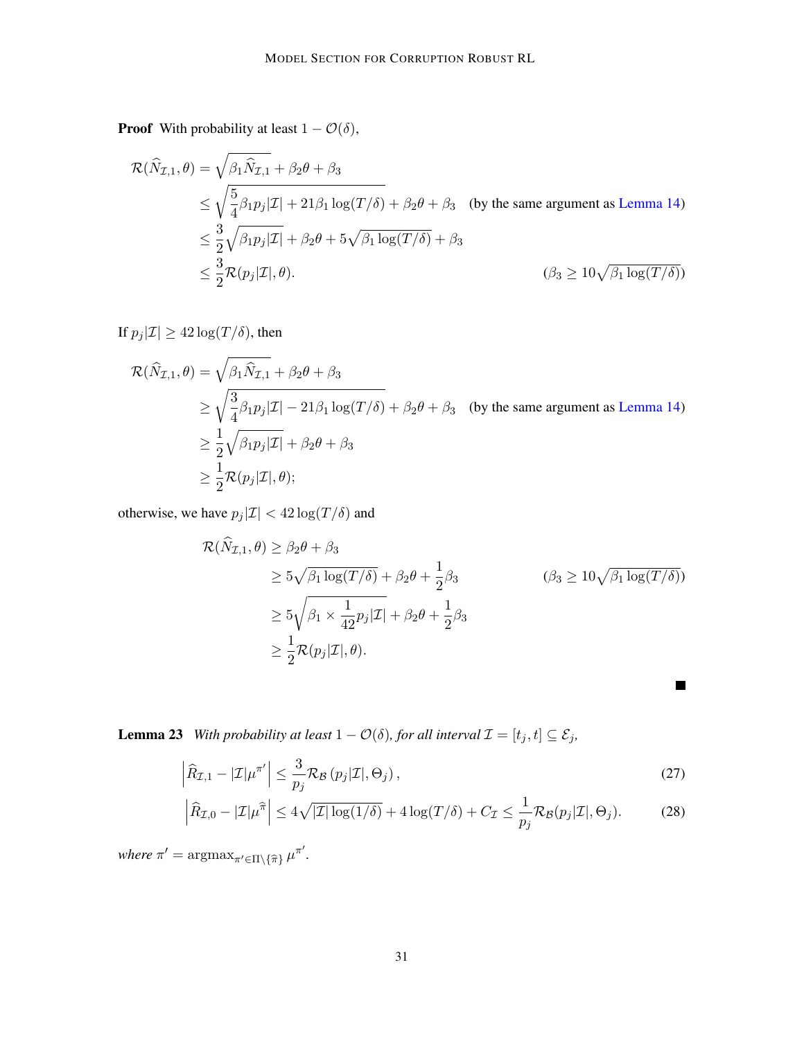**Proof** With probability at least  $1 - \mathcal{O}(\delta)$ ,

$$
\mathcal{R}(\widehat{N}_{\mathcal{I},1},\theta) = \sqrt{\beta_1 \widehat{N}_{\mathcal{I},1}} + \beta_2 \theta + \beta_3
$$
\n
$$
\leq \sqrt{\frac{5}{4} \beta_1 p_j |\mathcal{I}| + 21 \beta_1 \log(T/\delta)} + \beta_2 \theta + \beta_3 \quad \text{(by the same argument as Lemma 14)}
$$
\n
$$
\leq \frac{3}{2} \sqrt{\beta_1 p_j |\mathcal{I}|} + \beta_2 \theta + 5 \sqrt{\beta_1 \log(T/\delta)} + \beta_3
$$
\n
$$
\leq \frac{3}{2} \mathcal{R}(p_j |\mathcal{I}|, \theta).
$$
\n
$$
\tag{3.10}\n\sqrt{\beta_1 \log(T/\delta)}
$$

If  $p_j|\mathcal{I}| \geq 42 \log(T/\delta)$ , then

$$
\mathcal{R}(\widehat{N}_{\mathcal{I},1},\theta) = \sqrt{\beta_1 \widehat{N}_{\mathcal{I},1}} + \beta_2 \theta + \beta_3
$$
\n
$$
\geq \sqrt{\frac{3}{4} \beta_1 p_j |\mathcal{I}| - 21 \beta_1 \log(T/\delta)} + \beta_2 \theta + \beta_3 \quad \text{(by the same argument as Lemma 14)}
$$
\n
$$
\geq \frac{1}{2} \sqrt{\beta_1 p_j |\mathcal{I}|} + \beta_2 \theta + \beta_3
$$
\n
$$
\geq \frac{1}{2} \mathcal{R}(p_j |\mathcal{I}|, \theta);
$$

otherwise, we have  $p_j |\mathcal{I}| < 42 \log(T/\delta)$  and

$$
\mathcal{R}(\hat{N}_{\mathcal{I},1}, \theta) \ge \beta_2 \theta + \beta_3
$$
  
\n
$$
\ge 5\sqrt{\beta_1 \log(T/\delta)} + \beta_2 \theta + \frac{1}{2}\beta_3
$$
  
\n
$$
\ge 5\sqrt{\beta_1 \times \frac{1}{42}p_j|\mathcal{I}|} + \beta_2 \theta + \frac{1}{2}\beta_3
$$
  
\n
$$
\ge \frac{1}{2}\mathcal{R}(p_j|\mathcal{I}|, \theta).
$$
  
\n(10.62)

<span id="page-30-1"></span><span id="page-30-0"></span> $\blacksquare$ 

<span id="page-30-2"></span>**Lemma 23** *With probability at least*  $1 - \mathcal{O}(\delta)$ *, for all interval*  $\mathcal{I} = [t_j, t] \subseteq \mathcal{E}_j$ *,* 

$$
\left| \widehat{R}_{\mathcal{I},1} - |\mathcal{I}| \mu^{\pi'} \right| \leq \frac{3}{p_j} \mathcal{R}_{\mathcal{B}}\left(p_j|\mathcal{I}|,\Theta_j\right),\tag{27}
$$

$$
\left| \widehat{R}_{\mathcal{I},0} - |\mathcal{I}| \mu^{\widehat{\pi}} \right| \le 4\sqrt{|\mathcal{I}| \log(1/\delta)} + 4\log(T/\delta) + C_{\mathcal{I}} \le \frac{1}{p_j} \mathcal{R}_{\mathcal{B}}(p_j|\mathcal{I}|, \Theta_j). \tag{28}
$$

*where*  $\pi' = \argmax_{\pi' \in \Pi \setminus \{\widehat{\pi}\}} \mu^{\pi'}$ .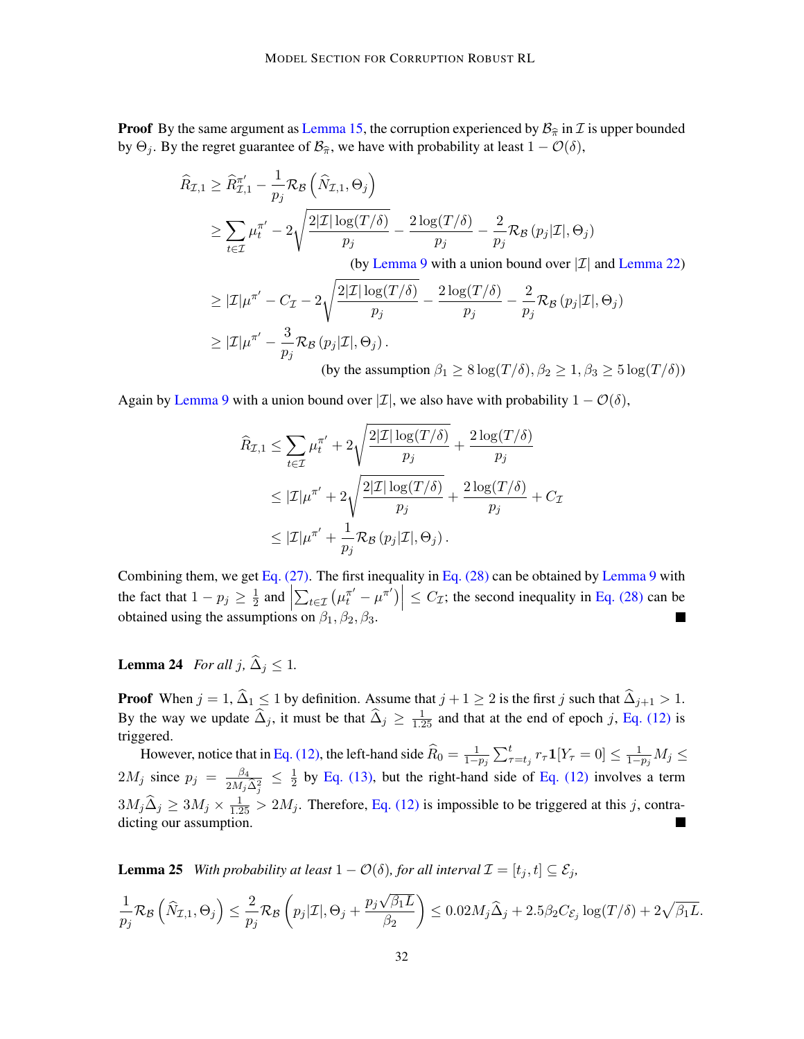**Proof** By the same argument as [Lemma 15,](#page-23-0) the corruption experienced by  $B_{\hat{\pi}}$  in *I* is upper bounded by  $\Theta_i$ . By the regret guarantee of  $\mathcal{B}_{\hat{\pi}}$ , we have with probability at least  $1 - \mathcal{O}(\delta)$ ,

$$
\widehat{R}_{\mathcal{I},1} \geq \widehat{R}_{\mathcal{I},1}^{\pi'} - \frac{1}{p_j} \mathcal{R}_{\mathcal{B}} \left( \widehat{N}_{\mathcal{I},1}, \Theta_j \right)
$$
\n
$$
\geq \sum_{t \in \mathcal{I}} \mu_t^{\pi'} - 2 \sqrt{\frac{2|\mathcal{I}| \log(T/\delta)}{p_j}} - \frac{2 \log(T/\delta)}{p_j} - \frac{2}{p_j} \mathcal{R}_{\mathcal{B}} \left( p_j|\mathcal{I}|, \Theta_j \right)
$$

(by [Lemma 9](#page-21-3) with a union bound over  $|\mathcal{I}|$  and [Lemma 22\)](#page-29-2)

$$
\geq |\mathcal{I}|\mu^{\pi'} - C_{\mathcal{I}} - 2\sqrt{\frac{2|\mathcal{I}| \log(T/\delta)}{p_j}} - \frac{2 \log(T/\delta)}{p_j} - \frac{2}{p_j} \mathcal{R}_{\mathcal{B}}(p_j|\mathcal{I}|, \Theta_j)
$$
  
\n
$$
\geq |\mathcal{I}|\mu^{\pi'} - \frac{3}{p_j} \mathcal{R}_{\mathcal{B}}(p_j|\mathcal{I}|, \Theta_j).
$$
  
\n(by the assumption  $\beta_1 \geq 8 \log(T/\delta), \beta_2 \geq 1, \beta_3 \geq 5 \log(T/\delta)$ )

Again by [Lemma 9](#page-21-3) with a union bound over  $|\mathcal{I}|$ , we also have with probability  $1 - \mathcal{O}(\delta)$ ,

$$
\widehat{R}_{\mathcal{I},1} \leq \sum_{t \in \mathcal{I}} \mu_t^{\pi'} + 2\sqrt{\frac{2|\mathcal{I}| \log(T/\delta)}{p_j}} + \frac{2\log(T/\delta)}{p_j}
$$
\n
$$
\leq |\mathcal{I}| \mu^{\pi'} + 2\sqrt{\frac{2|\mathcal{I}| \log(T/\delta)}{p_j}} + \frac{2\log(T/\delta)}{p_j} + C_{\mathcal{I}}
$$
\n
$$
\leq |\mathcal{I}| \mu^{\pi'} + \frac{1}{p_j} \mathcal{R}_{\mathcal{B}}(p_j|\mathcal{I}|, \Theta_j).
$$

Combining them, we get Eq.  $(27)$ . The first inequality in Eq.  $(28)$  can be obtained by [Lemma 9](#page-21-3) with the fact that  $1 - p_j \geq \frac{1}{2}$  $rac{1}{2}$  and  $\Big|$  $\left| \sum_{t \in \mathcal{I}} \left( \mu_t^{\pi'} - \mu^{\pi'} \right) \right| \leq C_{\mathcal{I}}$ ; the second inequality in [Eq. \(28\)](#page-30-1) can be obtained using the assumptions on  $\beta_1, \beta_2, \beta_3$ 

# <span id="page-31-0"></span>**Lemma 24** *For all*  $j, \hat{\Delta}_j \leq 1$ *.*

**Proof** When  $j = 1$ ,  $\Delta_1 \leq 1$  by definition. Assume that  $j + 1 \geq 2$  is the first j such that  $\Delta_{j+1} > 1$ . By the way we update  $\hat{\Delta}_j$ , it must be that  $\hat{\Delta}_j \ge \frac{1}{1.25}$  and that at the end of epoch j, [Eq. \(12\)](#page-14-3) is triggered.

However, notice that in [Eq. \(12\),](#page-14-3) the left-hand side  $\widehat{R}_0 = \frac{1}{1-p_j} \sum_{\tau=t_j}^t r_\tau \mathbf{1}[Y_\tau = 0] \leq \frac{1}{1-p_j} M_j \leq$  $2M_j$  since  $p_j = \frac{\beta_4}{2M}$  $\frac{\beta_4}{2M_j\widehat{\Delta}_j^2} \leq \frac{1}{2}$  $\frac{1}{2}$  by [Eq. \(13\),](#page-14-4) but the right-hand side of [Eq. \(12\)](#page-14-3) involves a term  $3M_j\hat{\Delta}_j \ge 3M_j \times \frac{1}{1.25} > 2M_j$ . Therefore, [Eq. \(12\)](#page-14-3) is impossible to be triggered at this j, contradicting our assumption. **T** 

<span id="page-31-1"></span>**Lemma 25** *With probability at least*  $1 - \mathcal{O}(\delta)$ *, for all interval*  $\mathcal{I} = [t_j, t] \subseteq \mathcal{E}_j$ *,* 

$$
\frac{1}{p_j} \mathcal{R}_{\mathcal{B}}\left(\widehat{N}_{\mathcal{I},1},\Theta_j\right) \leq \frac{2}{p_j} \mathcal{R}_{\mathcal{B}}\left(p_j|\mathcal{I}|,\Theta_j+\frac{p_j\sqrt{\beta_1 L}}{\beta_2}\right) \leq 0.02 M_j \widehat{\Delta}_j + 2.5 \beta_2 C_{\mathcal{E}_j} \log(T/\delta) + 2\sqrt{\beta_1 L}.
$$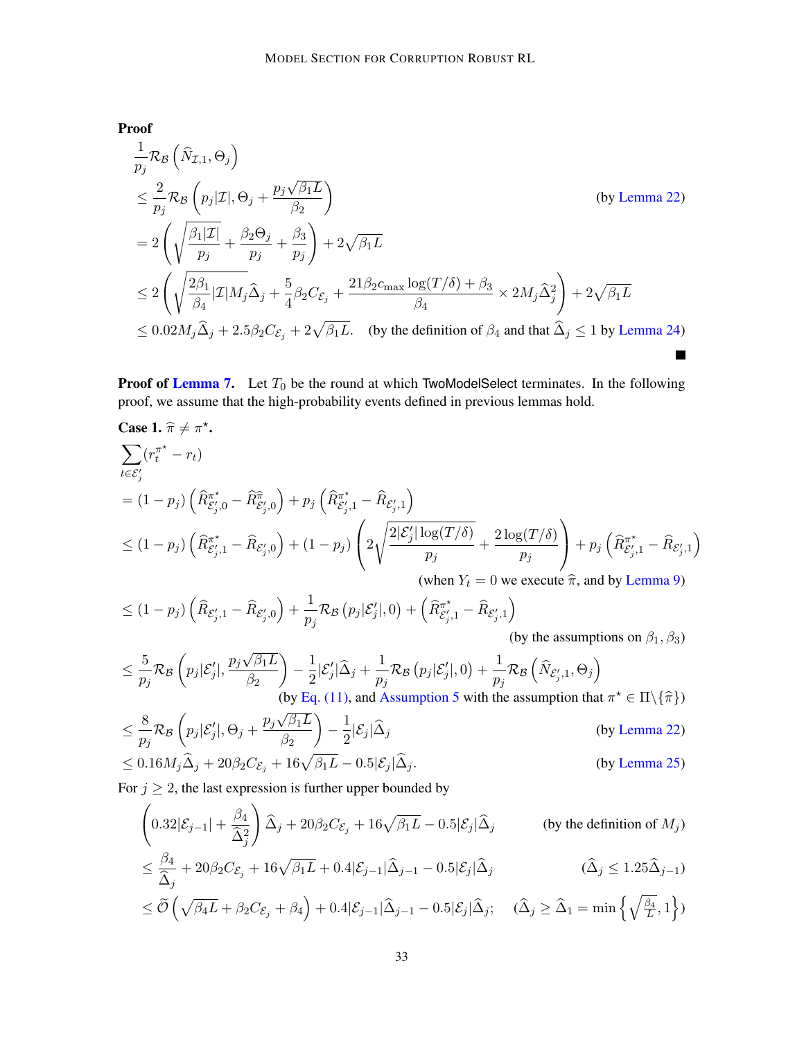Proof

$$
\frac{1}{p_j} \mathcal{R}_{\mathcal{B}} \left( \hat{N}_{\mathcal{I},1}, \Theta_j \right)
$$
\n
$$
\leq \frac{2}{p_j} \mathcal{R}_{\mathcal{B}} \left( p_j | \mathcal{I} |, \Theta_j + \frac{p_j \sqrt{\beta_1 L}}{\beta_2} \right) \qquad \text{(by Lemma 22)}
$$
\n
$$
= 2 \left( \sqrt{\frac{\beta_1 |\mathcal{I}|}{p_j} + \frac{\beta_2 \Theta_j}{p_j} + \frac{\beta_3}{p_j}} \right) + 2\sqrt{\beta_1 L}
$$
\n
$$
\leq 2 \left( \sqrt{\frac{2\beta_1}{\beta_4} |\mathcal{I}| M_j \hat{\Delta}_j + \frac{5}{4} \beta_2 C_{\mathcal{E}_j} + \frac{21\beta_2 c_{\max} \log(T/\delta) + \beta_3}{\beta_4} \times 2M_j \hat{\Delta}_j^2 \right) + 2\sqrt{\beta_1 L}
$$
\n
$$
\leq 0.02 M_j \hat{\Delta}_j + 2.5 \beta_2 C_{\mathcal{E}_j} + 2\sqrt{\beta_1 L}. \quad \text{(by the definition of } \beta_4 \text{ and that } \hat{\Delta}_j \leq 1 \text{ by Lemma 24})
$$

**Proof of [Lemma 7.](#page-13-4)** Let  $T_0$  be the round at which TwoModelSelect terminates. In the following proof, we assume that the high-probability events defined in previous lemmas hold.

Case 1. 
$$
\hat{\pi} \neq \pi^*
$$
.  
\n
$$
\sum_{t \in \mathcal{E}'_j} (r_t^{\pi^*} - r_t)
$$
\n
$$
= (1 - p_j) \left( \hat{R}_{\mathcal{E}'_j,0}^{\pi^*} - \hat{R}_{\mathcal{E}'_j,0}^{\pi} \right) + p_j \left( \hat{R}_{\mathcal{E}'_j,1}^{\pi^*} - \hat{R}_{\mathcal{E}'_j,1} \right)
$$
\n
$$
\leq (1 - p_j) \left( \hat{R}_{\mathcal{E}'_j,1}^{\pi^*} - \hat{R}_{\mathcal{E}'_j,0} \right) + (1 - p_j) \left( 2 \sqrt{\frac{2|\mathcal{E}'_j| \log(T/\delta)}{p_j}} + \frac{2 \log(T/\delta)}{p_j} \right) + p_j \left( \hat{R}_{\mathcal{E}'_j,1}^{\pi^*} - \hat{R}_{\mathcal{E}'_j,1} \right)
$$
\n(when  $Y_t = 0$  we execute  $\hat{\pi}$ , and by Lemma 9)

$$
\leq (1-p_j)\left(\widehat{R}_{\mathcal{E}'_{j},1} - \widehat{R}_{\mathcal{E}'_{j},0}\right) + \frac{1}{p_j}\mathcal{R}_{\mathcal{B}}\left(p_j|\mathcal{E}'_j|,0\right) + \left(\widehat{R}_{\mathcal{E}'_{j},1}^{\pi^*} - \widehat{R}_{\mathcal{E}'_{j},1}\right)
$$
\n(by the

(by the assumptions on  $\beta_1, \beta_3$ )

$$
\leq \frac{5}{p_j} \mathcal{R}_{\mathcal{B}}\left(p_j|\mathcal{E}_j'|, \frac{p_j\sqrt{\beta_1 L}}{\beta_2}\right) - \frac{1}{2}|\mathcal{E}_j'|\widehat{\Delta}_j + \frac{1}{p_j} \mathcal{R}_{\mathcal{B}}\left(p_j|\mathcal{E}_j'|, 0\right) + \frac{1}{p_j} \mathcal{R}_{\mathcal{B}}\left(\widehat{N}_{\mathcal{E}_j', 1}, \Theta_j\right)
$$
\n(by Eq. (11), and Assumption 5 with the assumption that  $\pi^* \in \Pi\setminus\{\widehat{\pi}\}$ )

$$
\leq \frac{8}{p_j} \mathcal{R}_{\mathcal{B}} \left( p_j | \mathcal{E}'_j |, \Theta_j + \frac{p_j \sqrt{\beta_1 L}}{\beta_2} \right) - \frac{1}{2} | \mathcal{E}_j | \widehat{\Delta}_j \tag{by Lemma 22}
$$
\n
$$
\leq 8.16 \, \text{MeV} \, \widehat{\Delta} \quad \text{(by Lemma 22)}
$$

$$
\leq 0.16M_j\widehat{\Delta}_j + 20\beta_2C_{\mathcal{E}_j} + 16\sqrt{\beta_1L} - 0.5|\mathcal{E}_j|\widehat{\Delta}_j.
$$
 (by Lemma 25)

For  $j \geq 2$ , the last expression is further upper bounded by

$$
\left(0.32|\mathcal{E}_{j-1}| + \frac{\beta_4}{\hat{\Delta}_j^2}\right)\hat{\Delta}_j + 20\beta_2C_{\mathcal{E}_j} + 16\sqrt{\beta_1L} - 0.5|\mathcal{E}_j|\hat{\Delta}_j \qquad \text{(by the definition of } M_j)
$$
\n
$$
\leq \frac{\beta_4}{\hat{\Delta}_j} + 20\beta_2C_{\mathcal{E}_j} + 16\sqrt{\beta_1L} + 0.4|\mathcal{E}_{j-1}|\hat{\Delta}_{j-1} - 0.5|\mathcal{E}_j|\hat{\Delta}_j \qquad (\hat{\Delta}_j \leq 1.25\hat{\Delta}_{j-1})
$$
\n
$$
< \tilde{\mathcal{O}}\left(\sqrt{\beta_1L} + \beta_2C_{\mathcal{E}_j} + \beta_1\right) + 0.4|\mathcal{E}_{j-1}|\hat{\Delta}_{j-1} - 0.5|\mathcal{E}_j|\hat{\Delta}_j \qquad (\hat{\Delta}_j > \hat{\Delta}_j = \min_{j} \left\{\sqrt{\beta_4} - 1\right\})
$$

$$
\leq \widetilde{\mathcal{O}}\left(\sqrt{\beta_4 L} + \beta_2 C_{\mathcal{E}_j} + \beta_4\right) + 0.4|\mathcal{E}_{j-1}|\widehat{\Delta}_{j-1} - 0.5|\mathcal{E}_j|\widehat{\Delta}_j; \quad (\widehat{\Delta}_j \geq \widehat{\Delta}_1 = \min\left\{\sqrt{\frac{\beta_4}{L}}, 1\right\})
$$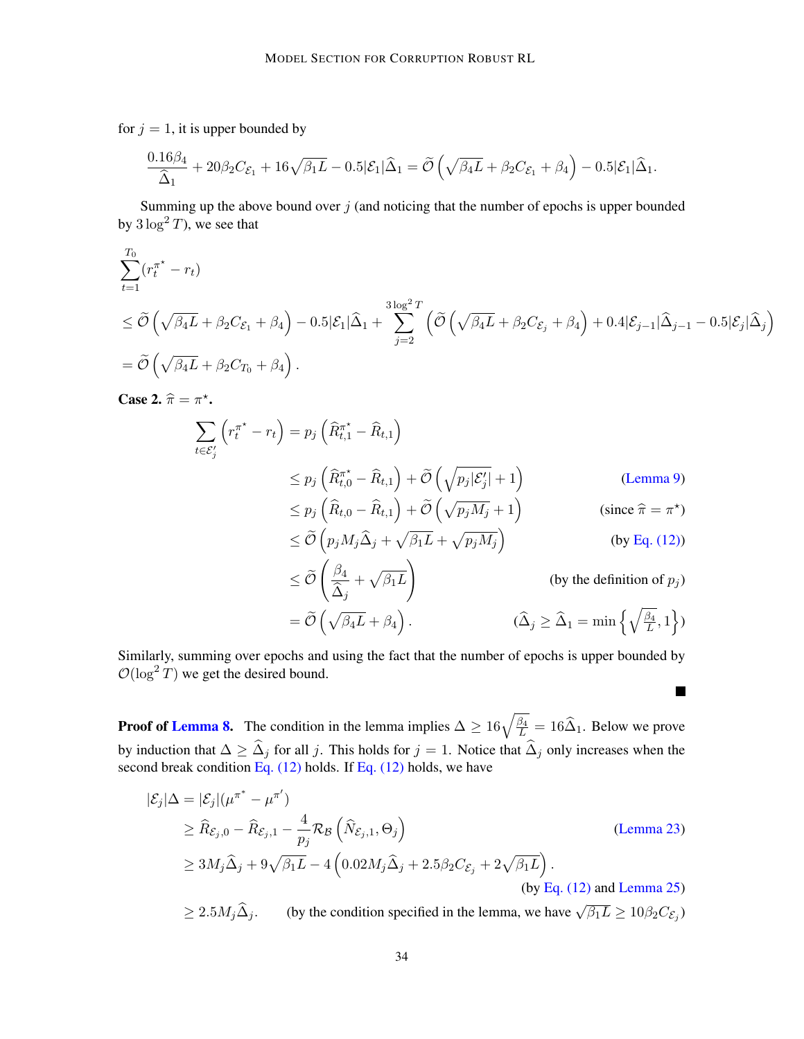for  $j = 1$ , it is upper bounded by

$$
\frac{0.16\beta_4}{\hat{\Delta}_1} + 20\beta_2C_{\mathcal{E}_1} + 16\sqrt{\beta_1L} - 0.5|\mathcal{E}_1|\widehat{\Delta}_1 = \widetilde{\mathcal{O}}\left(\sqrt{\beta_4L} + \beta_2C_{\mathcal{E}_1} + \beta_4\right) - 0.5|\mathcal{E}_1|\widehat{\Delta}_1.
$$

Summing up the above bound over  $j$  (and noticing that the number of epochs is upper bounded by  $3 \log^2 T$ , we see that

$$
\sum_{t=1}^{T_0} (r_t^{\pi^*} - r_t)
$$
\n
$$
\leq \widetilde{\mathcal{O}}\left(\sqrt{\beta_4 L} + \beta_2 C_{\mathcal{E}_1} + \beta_4\right) - 0.5|\mathcal{E}_1|\widehat{\Delta}_1 + \sum_{j=2}^{3\log^2 T} \left(\widetilde{\mathcal{O}}\left(\sqrt{\beta_4 L} + \beta_2 C_{\mathcal{E}_j} + \beta_4\right) + 0.4|\mathcal{E}_{j-1}|\widehat{\Delta}_{j-1} - 0.5|\mathcal{E}_j|\widehat{\Delta}_j\right)
$$
\n
$$
= \widetilde{\mathcal{O}}\left(\sqrt{\beta_4 L} + \beta_2 C_{T_0} + \beta_4\right).
$$

Case 2.  $\widehat{\pi} = \pi^*$ .

$$
\sum_{t \in \mathcal{E}'_j} \left( r_t^{\pi^*} - r_t \right) = p_j \left( \hat{R}_{t,1}^{\pi^*} - \hat{R}_{t,1} \right)
$$
\n
$$
\leq p_j \left( \hat{R}_{t,0}^{\pi^*} - \hat{R}_{t,1} \right) + \tilde{\mathcal{O}} \left( \sqrt{p_j |\mathcal{E}'_j|} + 1 \right) \qquad \text{(Lemma 9)}
$$
\n
$$
\leq p_j \left( \hat{R}_{t,0} - \hat{R}_{t,1} \right) + \tilde{\mathcal{O}} \left( \sqrt{p_j M_j} + 1 \right) \qquad \text{(since } \hat{\pi} = \pi^* \text{)}
$$
\n
$$
\leq \tilde{\mathcal{O}} \left( p_j M_j \hat{\Delta}_j + \sqrt{\beta_1 L} + \sqrt{p_j M_j} \right) \qquad \text{(by Eq. (12))}
$$
\n
$$
\leq \tilde{\mathcal{O}} \left( \frac{\beta_4}{\hat{\Delta}_j} + \sqrt{\beta_1 L} \right) \qquad \text{(by the definition of } p_j \text{)}
$$
\n
$$
= \tilde{\mathcal{O}} \left( \sqrt{\beta_4 L} + \beta_4 \right). \qquad \qquad (\hat{\Delta}_j \geq \hat{\Delta}_1 = \min \left\{ \sqrt{\frac{\beta_4}{L}}, 1 \right\} \text{)}
$$

 $\blacksquare$ 

Similarly, summing over epochs and using the fact that the number of epochs is upper bounded by  $\mathcal{O}(\log^2 T)$  we get the desired bound.

**Proof of [Lemma 8.](#page-13-3)** The condition in the lemma implies  $\Delta \ge 16\sqrt{\frac{\beta_4}{L}} = 16\hat{\Delta}_1$ . Below we prove by induction that  $\Delta \geq \widehat{\Delta}_j$  for all j. This holds for  $j = 1$ . Notice that  $\widehat{\Delta}_j$  only increases when the second break condition Eq.  $(12)$  holds. If Eq.  $(12)$  holds, we have

$$
|\mathcal{E}_j|\Delta = |\mathcal{E}_j|(\mu^{\pi^*} - \mu^{\pi'})
$$
  
\n
$$
\geq \widehat{R}_{\mathcal{E}_j,0} - \widehat{R}_{\mathcal{E}_j,1} - \frac{4}{p_j} \mathcal{R}_{\mathcal{B}} \left( \widehat{N}_{\mathcal{E}_j,1}, \Theta_j \right)
$$
  
\n
$$
\geq 3M_j \widehat{\Delta}_j + 9\sqrt{\beta_1 L} - 4 \left( 0.02 M_j \widehat{\Delta}_j + 2.5 \beta_2 C_{\mathcal{E}_j} + 2\sqrt{\beta_1 L} \right).
$$
  
\n(by Eq. (12) and Lemma 25)  
\n
$$
\geq 35M_j \widehat{\Delta}
$$
 (but the configuration specified in the lemma, we have  $\sqrt{2.5} \geq 10^9 \text{ G}.$ )

 $\geq 2.5 M_j \hat{\Delta}_j$ . (by the condition specified in the lemma, we have  $\sqrt{\beta_1 L} \geq 10 \beta_2 C_{\mathcal{E}_j}$ )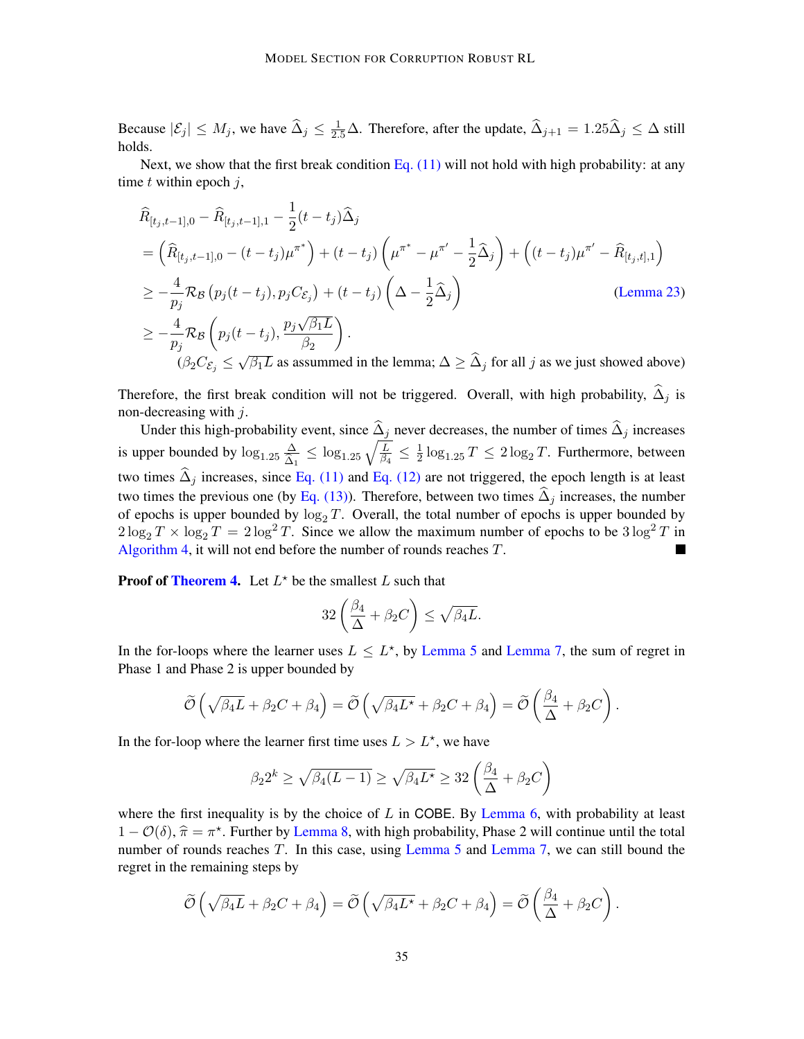Because  $|\mathcal{E}_j| \le M_j$ , we have  $\widehat{\Delta}_j \le \frac{1}{2.5}\Delta$ . Therefore, after the update,  $\widehat{\Delta}_{j+1} = 1.25\widehat{\Delta}_j \le \Delta$  still holds.

Next, we show that the first break condition Eq.  $(11)$  will not hold with high probability: at any time  $t$  within epoch  $i$ ,

$$
\hat{R}_{[t_j, t-1], 0} - \hat{R}_{[t_j, t-1], 1} - \frac{1}{2} (t - t_j) \hat{\Delta}_j
$$
\n
$$
= \left( \hat{R}_{[t_j, t-1], 0} - (t - t_j) \mu^{\pi^*} \right) + (t - t_j) \left( \mu^{\pi^*} - \mu^{\pi'} - \frac{1}{2} \hat{\Delta}_j \right) + \left( (t - t_j) \mu^{\pi'} - \hat{R}_{[t_j, t], 1} \right)
$$
\n
$$
\geq -\frac{4}{p_j} \mathcal{R}_{\mathcal{B}} \left( p_j (t - t_j), p_j C_{\mathcal{E}_j} \right) + (t - t_j) \left( \Delta - \frac{1}{2} \hat{\Delta}_j \right) \qquad \text{(Lemma 23)}
$$
\n
$$
\geq -\frac{4}{p_j} \mathcal{R}_{\mathcal{B}} \left( p_j (t - t_j), \frac{p_j \sqrt{\beta_1 L}}{\beta_2} \right).
$$
\n
$$
\left( \beta_2 C_{\mathcal{E}_j} \leq \sqrt{\beta_1 L} \text{ as assumed in the lemma; } \Delta \geq \hat{\Delta}_j \text{ for all } j \text{ as we just showed above} \right)
$$

Therefore, the first break condition will not be triggered. Overall, with high probability,  $\Delta_i$  is non-decreasing with  $j$ .

Under this high-probability event, since  $\hat{\Delta}_j$  never decreases, the number of times  $\hat{\Delta}_j$  increases is upper bounded by  $\log_{1.25} \frac{\Delta}{\hat{\Delta}}$  $\frac{\Delta}{\widehat{\Delta}_1} \leq \log_{1.25} \sqrt{\frac{L}{\beta_4}} \leq \frac{1}{2}$  $\frac{1}{2} \log_{1.25} T \leq 2 \log_2 T$ . Furthermore, between two times  $\hat{\Delta}_j$  increases, since [Eq. \(11\)](#page-14-2) and [Eq. \(12\)](#page-14-3) are not triggered, the epoch length is at least two times the previous one (by [Eq. \(13\)\)](#page-14-4). Therefore, between two times  $\hat{\Delta}_i$  increases, the number of epochs is upper bounded by  $\log_2 T$ . Overall, the total number of epochs is upper bounded by  $2\log_2 T \times \log_2 T = 2\log^2 T$ . Since we allow the maximum number of epochs to be  $3\log^2 T$  in [Algorithm 4,](#page-14-0) it will not end before the number of rounds reaches T.

**Proof of [Theorem 4.](#page-12-1)** Let  $L^*$  be the smallest L such that

$$
32\left(\frac{\beta_4}{\Delta}+\beta_2C\right)\leq \sqrt{\beta_4L}.
$$

In the for-loops where the learner uses  $L \leq L^*$ , by [Lemma 5](#page-12-5) and [Lemma 7,](#page-13-4) the sum of regret in Phase 1 and Phase 2 is upper bounded by

$$
\widetilde{\mathcal{O}}\left(\sqrt{\beta_4 L} + \beta_2 C + \beta_4\right) = \widetilde{\mathcal{O}}\left(\sqrt{\beta_4 L^{\star}} + \beta_2 C + \beta_4\right) = \widetilde{\mathcal{O}}\left(\frac{\beta_4}{\Delta} + \beta_2 C\right).
$$

In the for-loop where the learner first time uses  $L > L^*$ , we have

$$
\beta_2 2^k \ge \sqrt{\beta_4 (L-1)} \ge \sqrt{\beta_4 L^{\star}} \ge 32 \left(\frac{\beta_4}{\Delta} + \beta_2 C\right)
$$

where the first inequality is by the choice of  $L$  in COBE. By [Lemma 6,](#page-13-1) with probability at least  $1 - \mathcal{O}(\delta)$ ,  $\hat{\pi} = \pi^*$ . Further by [Lemma 8,](#page-13-3) with high probability, Phase 2 will continue until the total<br>number of rounds reaches  $T$ . In this case, using Lemma 5 and Lemma 7, we can still bound the number of rounds reaches T. In this case, using [Lemma 5](#page-12-5) and [Lemma 7,](#page-13-4) we can still bound the regret in the remaining steps by

$$
\widetilde{\mathcal{O}}\left(\sqrt{\beta_4 L} + \beta_2 C + \beta_4\right) = \widetilde{\mathcal{O}}\left(\sqrt{\beta_4 L^{\star}} + \beta_2 C + \beta_4\right) = \widetilde{\mathcal{O}}\left(\frac{\beta_4}{\Delta} + \beta_2 C\right).
$$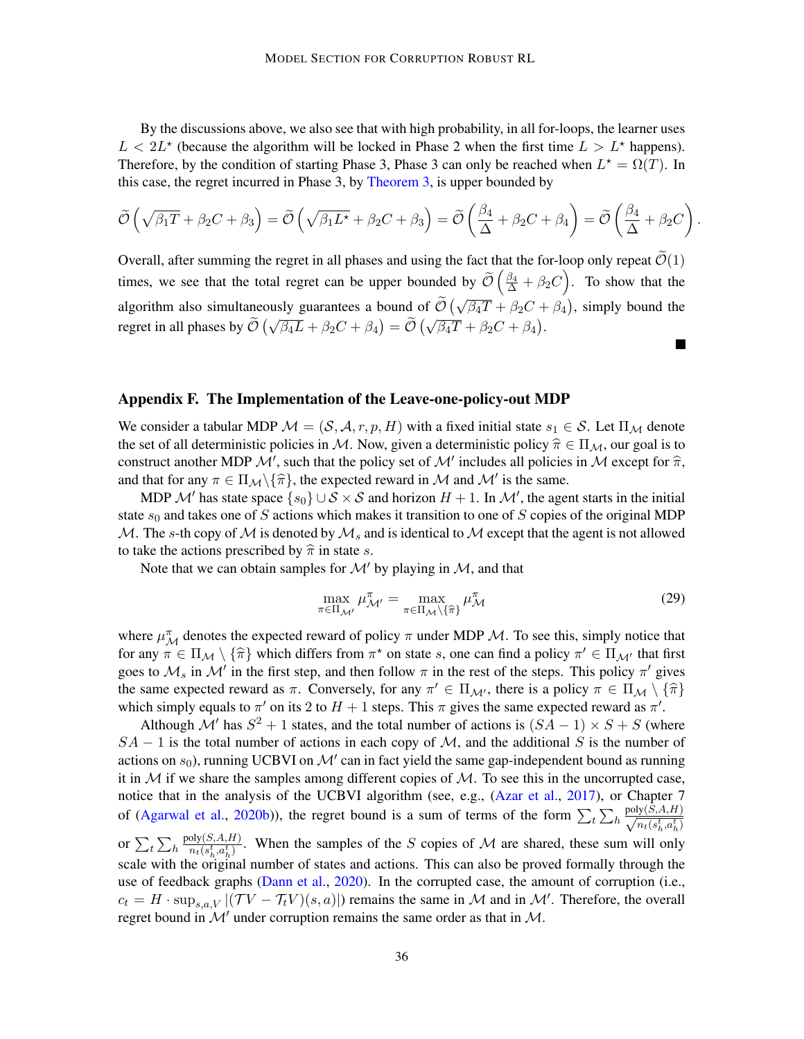By the discussions above, we also see that with high probability, in all for-loops, the learner uses  $L < 2L^*$  (because the algorithm will be locked in Phase 2 when the first time  $L > L^*$  happens). Therefore, by the condition of starting Phase 3, Phase 3 can only be reached when  $L^* = \Omega(T)$ . In this case, the regret incurred in Phase 3, by [Theorem 3,](#page-10-5) is upper bounded by

$$
\widetilde{\mathcal{O}}\left(\sqrt{\beta_1 T} + \beta_2 C + \beta_3\right) = \widetilde{\mathcal{O}}\left(\sqrt{\beta_1 L^{\star}} + \beta_2 C + \beta_3\right) = \widetilde{\mathcal{O}}\left(\frac{\beta_4}{\Delta} + \beta_2 C + \beta_4\right) = \widetilde{\mathcal{O}}\left(\frac{\beta_4}{\Delta} + \beta_2 C\right).
$$

Overall, after summing the regret in all phases and using the fact that the for-loop only repeat  $\mathcal{O}(1)$ times, we see that the total regret can be upper bounded by  $\widetilde{\mathcal{O}}\left(\frac{\beta_4}{\Delta} + \beta_2 C\right)$ . To show that the algorithm also simultaneously guarantees a bound of  $\tilde{\mathcal{O}}\left(\sqrt{\beta_4 T} + \beta_2 C + \beta_4\right)$ , simply bound the regret in all phases by  $\tilde{\mathcal{O}}(\sqrt{\beta_4 L} + \beta_2 C + \beta_4) = \tilde{\mathcal{O}}(\sqrt{\beta_4 T} + \beta_2 C + \beta_4)$ .  $\blacksquare$ 

#### <span id="page-35-0"></span>Appendix F. The Implementation of the Leave-one-policy-out MDP

We consider a tabular MDP  $\mathcal{M} = (\mathcal{S}, \mathcal{A}, r, p, H)$  with a fixed initial state  $s_1 \in \mathcal{S}$ . Let  $\Pi_{\mathcal{M}}$  denote the set of all deterministic policies in M. Now, given a deterministic policy  $\hat{\pi} \in \Pi_{\mathcal{M}}$ , our goal is to construct another MDP  $\mathcal{M}'$ , such that the policy set of  $\mathcal{M}'$  includes all policies in  $\mathcal M$  except for  $\hat{\pi}$ , and that for any  $\pi \in \Pi_{\mathcal{M}} \setminus {\widehat{\pi}}$ , the expected reward in M and M' is the same.<br>MDB  $M'$  here the expected regard for  $\mathcal{M} \setminus S \times S$  and beginn  $H + 1$ . In  $M'$  the expected

MDP  $\mathcal{M}'$  has state space  $\{s_0\} \cup \mathcal{S} \times \mathcal{S}$  and horizon  $H + 1$ . In  $\mathcal{M}'$ , the agent starts in the initial state  $s_0$  and takes one of S actions which makes it transition to one of S copies of the original MDP M. The s-th copy of M is denoted by  $\mathcal{M}_s$  and is identical to M except that the agent is not allowed to take the actions prescribed by  $\hat{\pi}$  in state s.

Note that we can obtain samples for  $\mathcal{M}'$  by playing in  $\mathcal{M}$ , and that

$$
\max_{\pi \in \Pi_{\mathcal{M}'}} \mu_{\mathcal{M}'}^{\pi} = \max_{\pi \in \Pi_{\mathcal{M}} \setminus \{\widehat{\pi}\}} \mu_{\mathcal{M}}^{\pi}
$$
(29)

where  $\mu_M^{\pi}$  denotes the expected reward of policy  $\pi$  under MDP  $\mathcal{M}$ . To see this, simply notice that for any  $\pi \in \Pi_{\mathcal{M}} \setminus {\hat{\pi}}$  which differs from  $\pi^*$  on state s, one can find a policy  $\pi' \in \Pi_{\mathcal{M}'}$  that first goog to  $M$  in the first stap, and than follow  $\pi$  in the rest of the stape. This policy  $\pi'$  give goes to  $\mathcal{M}_s$  in  $\mathcal{M}'$  in the first step, and then follow  $\pi$  in the rest of the steps. This policy  $\pi'$  gives the same expected reward as  $\pi$ . Conversely, for any  $\pi' \in \Pi_{\mathcal{M}'}$ , there is a policy  $\pi \in \Pi_{\mathcal{M}} \setminus {\hat{\pi}}$ which simply equals to  $\pi'$  on its 2 to  $H + 1$  steps. This  $\pi$  gives the same expected reward as  $\pi'$ .

Although M' has  $S^2 + 1$  states, and the total number of actions is  $(SA - 1) \times S + S$  (where  $SA - 1$  is the total number of actions in each copy of M, and the additional S is the number of actions on  $s_0$ ), running UCBVI on  $\mathcal{M}'$  can in fact yield the same gap-independent bound as running it in  $M$  if we share the samples among different copies of  $M$ . To see this in the uncorrupted case, notice that in the analysis of the UCBVI algorithm (see, e.g., [\(Azar et al.,](#page-16-2) [2017\)](#page-16-2), or Chapter 7 of [\(Agarwal et al.,](#page-15-6) [2020b\)](#page-15-6)), the regret bound is a sum of terms of the form  $\sum_{t} \sum_{h} \frac{\text{poly}(S, A, H)}{\sqrt{n_s (s^t - a^t)}}$  $n_t(s_h^t,a_h^t)$ or  $\sum_t \sum_h$  $poly(S, A, H)$  $\frac{\partial y(S, A, H)}{\partial t(s_h^t, a_h^t)}$ . When the samples of the S copies of M are shared, these sum will only scale with the original number of states and actions. This can also be proved formally through the use of feedback graphs [\(Dann et al.,](#page-16-14) [2020\)](#page-16-14). In the corrupted case, the amount of corruption (i.e.,  $c_t = H \cdot \sup_{s,a,V} |(\mathcal{T}V - \mathcal{T}_tV)(s,a)|$  remains the same in M and in M'. Therefore, the overall regret bound in  $\mathcal{M}'$  under corruption remains the same order as that in  $\mathcal{M}$ .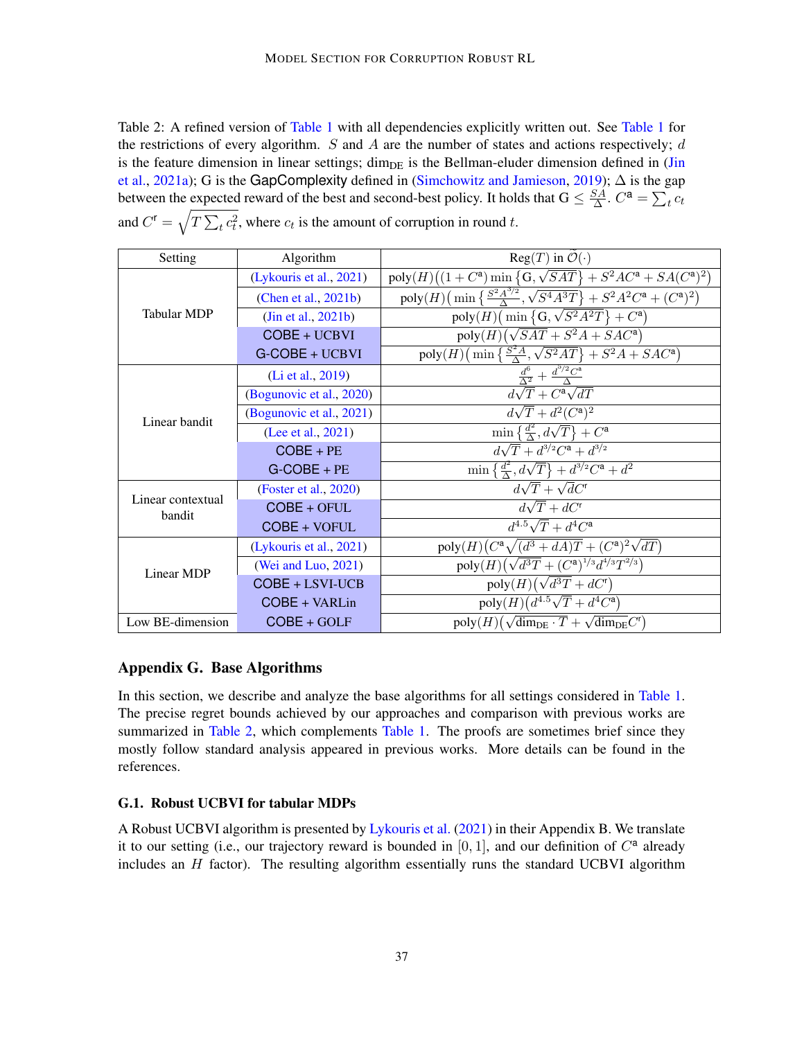<span id="page-36-0"></span>Table 2: A refined version of [Table 1](#page-2-0) with all dependencies explicitly written out. See Table 1 for the restrictions of every algorithm. S and A are the number of states and actions respectively;  $d$ is the feature dimension in linear settings; dim<sub>DE</sub> is the Bellman-eluder dimension defined in [\(Jin](#page-17-9) [et al.,](#page-17-9) [2021a\)](#page-17-9); G is the GapComplexity defined in [\(Simchowitz and Jamieson,](#page-19-6) [2019\)](#page-19-6);  $\Delta$  is the gap between the expected reward of the best and second-best policy. It holds that  $G \leq \frac{SA}{\Delta}$  $\frac{SA}{\Delta}$ .  $C^{\mathbf{a}} = \sum_{t} c_t$ and  $C^{\dagger} = \sqrt{T \sum_t c_t^2}$ , where  $c_t$  is the amount of corruption in round t.

| Setting                     | Algorithm                | $Reg(T)$ in $\mathcal{O}(\cdot)$                                                                               |
|-----------------------------|--------------------------|----------------------------------------------------------------------------------------------------------------|
| <b>Tabular MDP</b>          | (Lykouris et al., 2021)  | $poly(H)((1+C^a) \min {\lbrace G, \sqrt{SAT} \rbrace} + S^2AC^a + SA(C^a)^2)$                                  |
|                             | (Chen et al., 2021b)     | poly(H)(min $\{\frac{S^2 A^{3/2}}{\Delta}, \sqrt{S^4 A^3 T}\} + S^2 A^2 C^{\mathsf{a}} + (C^{\mathsf{a}})^2\}$ |
|                             | (Jin et al., 2021b)      | poly $(H)$ (min {G, $\sqrt{S^2A^2T}$ } + $C^a$ )                                                               |
|                             | COBE + UCBVI             | $poly(H)(\sqrt{SAT} + S^2A + SAC^a)$                                                                           |
|                             | G-COBE + UCBVI           | poly $(H)$ (min $\left\{\frac{S^2A}{\Delta}, \sqrt{S^2AT}\right\}+S^2A+SAC^a$ )                                |
| Linear bandit               | (Li et al., 2019)        | $\frac{\frac{d^6}{\Delta^2} + \frac{d^{5/2}C^a}{\Delta}}{d\sqrt{T} + C^a\sqrt{dT}}$                            |
|                             | (Bogunovic et al., 2020) |                                                                                                                |
|                             | (Bogunovic et al., 2021) | $d\sqrt{T}+d^2(C^{\mathsf{a}})^2$                                                                              |
|                             | (Lee et al., 2021)       | $\min\left\{\frac{d^2}{\Delta},d\sqrt{T}\right\}+C^{\mathsf{a}}$                                               |
|                             | $COBE + PE$              | $d\sqrt{T}+d^{3/2}C^{a}+d^{3/2}$                                                                               |
|                             | $G-COBE + PE$            | $\min \left\{ \frac{d^2}{\Delta}, d\sqrt{T} \right\} + d^{3/2}C^{\mathsf{a}} + d^2$                            |
| Linear contextual<br>bandit | (Foster et al., 2020)    | $d\sqrt{T} + \sqrt{d}C^{\dagger}$                                                                              |
|                             | $COBE + OFUL$            | $\overline{d\sqrt{T}+dC}$ <sup>r</sup>                                                                         |
|                             | COBE + VOFUL             | $d^{4.5}\sqrt{T}+d^4C^{\mathsf{a}}$                                                                            |
| Linear MDP                  | (Lykouris et al., 2021)  | $poly(H)(C^{\mathsf{a}}\sqrt{(d^3+dA)T}+(C^{\mathsf{a}})^2\sqrt{dT})$                                          |
|                             | (Wei and Luo, 2021)      | $poly(H) (\sqrt{d^3T} + (C^{\mathsf{a}})^{1/3} d^{4/3} T^{2/3})$                                               |
|                             | $COBE + LSVI-UCB$        | $poly(H)(\sqrt{d^3T}+dC^r)$                                                                                    |
|                             | COBE + VARLin            | $poly(H)(d^{4.5}\sqrt{T} + d^4C^a)$                                                                            |
| Low BE-dimension            | $COBE + GOLF$            | $poly(H)(\sqrt{\dim_{DE} \cdot T} + \sqrt{\dim_{DE} C^{r}})$                                                   |

#### <span id="page-36-1"></span>Appendix G. Base Algorithms

In this section, we describe and analyze the base algorithms for all settings considered in [Table 1.](#page-2-0) The precise regret bounds achieved by our approaches and comparison with previous works are summarized in [Table 2,](#page-36-0) which complements [Table 1.](#page-2-0) The proofs are sometimes brief since they mostly follow standard analysis appeared in previous works. More details can be found in the references.

#### <span id="page-36-2"></span>G.1. Robust UCBVI for tabular MDPs

A Robust UCBVI algorithm is presented by [Lykouris et al.](#page-18-0) [\(2021\)](#page-18-0) in their Appendix B. We translate it to our setting (i.e., our trajectory reward is bounded in  $[0, 1]$ , and our definition of  $C^a$  already includes an  $H$  factor). The resulting algorithm essentially runs the standard UCBVI algorithm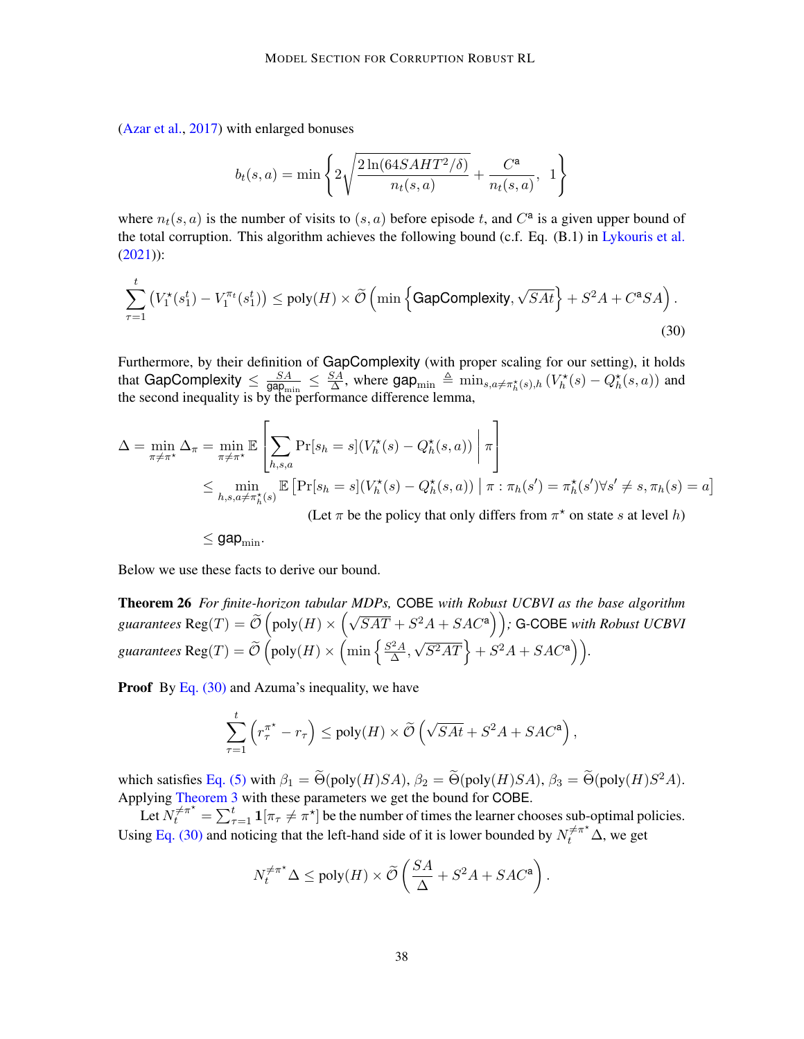[\(Azar et al.,](#page-16-2) [2017\)](#page-16-2) with enlarged bonuses

$$
b_t(s, a) = min \left\{ 2 \sqrt{\frac{2 \ln(64SAHT^2/\delta)}{n_t(s, a)}} + \frac{C^{\mathsf{a}}}{n_t(s, a)}, 1 \right\}
$$

where  $n_t(s, a)$  is the number of visits to  $(s, a)$  before episode t, and  $C^a$  is a given upper bound of the total corruption. This algorithm achieves the following bound (c.f. Eq. (B.1) in [Lykouris et al.](#page-18-0) [\(2021\)](#page-18-0)):

$$
\sum_{\tau=1}^{t} \left( V_1^{\star}(s_1^t) - V_1^{\pi_t}(s_1^t) \right) \le \text{poly}(H) \times \widetilde{\mathcal{O}} \left( \min \left\{ \text{GapComplexity}, \sqrt{SAt} \right\} + S^2 A + C^{\mathbf{a}} SA \right). \tag{30}
$$

Furthermore, by their definition of GapComplexity (with proper scaling for our setting), it holds that GapComplexity  $\leq \frac{SA}{\text{can}}$  $\frac{SA}{\text{gap}_{\min}} \leq \frac{SA}{\Delta}$  $\frac{SA}{\Delta}$ , where  $\text{gap}_{\text{min}} \triangleq \min_{s,a \neq \pi_h^{\star}(s),h} (V_h^{\star}(s) - Q_h^{\star}(s, a))$  and the second inequality is by the performance difference lemma,

$$
\Delta = \min_{\pi \neq \pi^{\star}} \Delta_{\pi} = \min_{\pi \neq \pi^{\star}} \mathbb{E} \left[ \sum_{h,s,a} \Pr[s_h = s] (V_h^{\star}(s) - Q_h^{\star}(s, a)) \middle| \pi \right]
$$
  

$$
\leq \min_{h,s,a \neq \pi_h^{\star}(s)} \mathbb{E} \left[ \Pr[s_h = s] (V_h^{\star}(s) - Q_h^{\star}(s, a)) \middle| \pi : \pi_h(s') = \pi_h^{\star}(s') \forall s' \neq s, \pi_h(s) = a \right]
$$

<span id="page-37-0"></span>(Let  $\pi$  be the policy that only differs from  $\pi^*$  on state s at level h)

 $\leq$  gap<sub>min</sub>.

Below we use these facts to derive our bound.

Theorem 26 *For finite-horizon tabular MDPs,* COBE *with Robust UCBVI as the base algorithm guarantees*  $\text{Reg}(T) = \tilde{O}(\text{poly}(H) \times (\sqrt{SAT} + S^2A + SAC^a))$ ; G-COBE *with Robust UCBVI* guarantees  $\text{Reg}(T) = \widetilde{\mathcal{O}}\left(\text{poly}(H) \times \left(\min\left\{\frac{S^2 A}{\Delta}\right.\right. \right)$  $\frac{A}{\Delta}$ ,  $\sqrt{S^2AT}$  +  $S^2A + SAC^a$  ).

**Proof** By Eq.  $(30)$  and Azuma's inequality, we have

$$
\sum_{\tau=1}^t \left( r_{\tau}^{\pi^*} - r_{\tau} \right) \le \text{poly}(H) \times \widetilde{\mathcal{O}} \left( \sqrt{SAt} + S^2 A + SAC^{\mathsf{a}} \right),
$$

which satisfies [Eq. \(5\)](#page-10-1) with  $\beta_1 = \widetilde{\Theta}(\text{poly}(H)SA)$ ,  $\beta_2 = \widetilde{\Theta}(\text{poly}(H)SA)$ ,  $\beta_3 = \widetilde{\Theta}(\text{poly}(H)S^2A)$ . Applying [Theorem 3](#page-10-5) with these parameters we get the bound for COBE.

Let  $N_t^{\neq \pi^\star} = \sum_{\tau=1}^t \mathbf{1}[\pi_\tau \neq \pi^\star]$  be the number of times the learner chooses sub-optimal policies. Using [Eq. \(30\)](#page-37-0) and noticing that the left-hand side of it is lower bounded by  $N_t^{\neq \pi^\star} \Delta$ , we get

$$
N_t^{\neq \pi^\star} \Delta \le \text{poly}(H) \times \widetilde{\mathcal{O}}\left(\frac{SA}{\Delta} + S^2 A + SAC^{\mathsf{a}}\right).
$$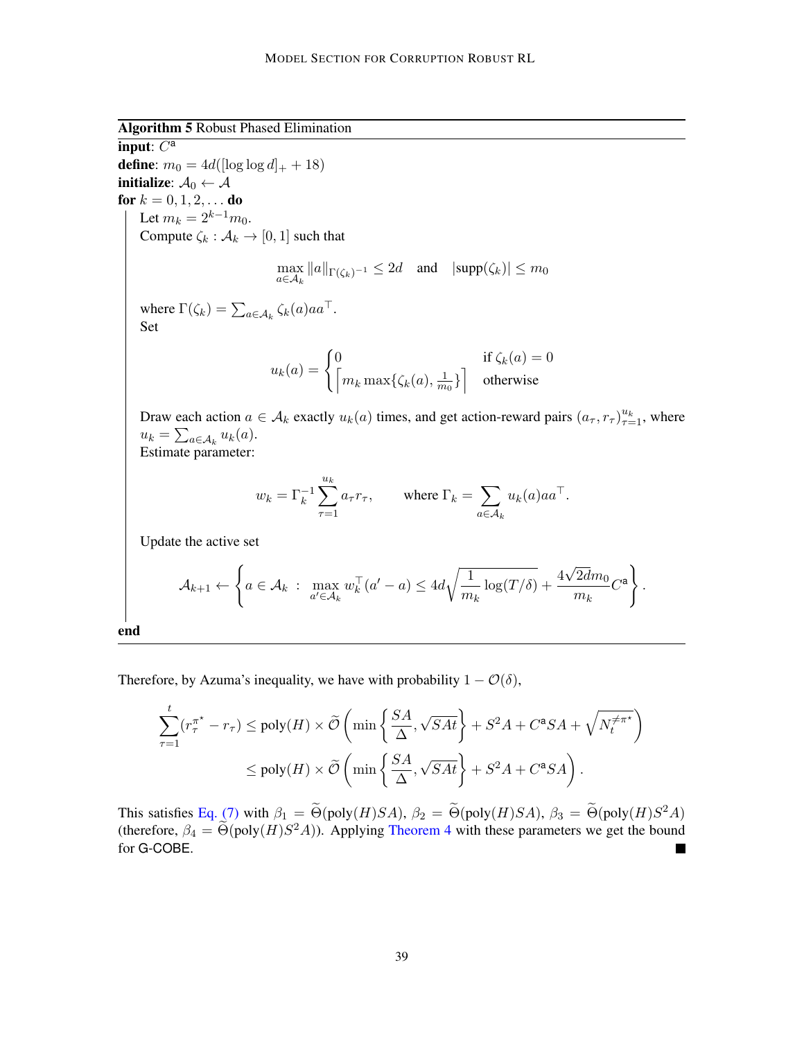<span id="page-38-0"></span>Algorithm 5 Robust Phased Elimination

input:  $C^a$ **define**:  $m_0 = 4d(\log \log d)_+ + 18$ initialize:  $A_0 \leftarrow A$ for  $k = 0, 1, 2, ...$  do Let  $m_k = 2^{k-1}m_0$ . Compute  $\zeta_k : \mathcal{A}_k \to [0, 1]$  such that  $\max_{a \in \mathcal{A}_k} \|a\|_{\Gamma(\zeta_k)^{-1}} \leq 2d$  and  $|\text{supp}(\zeta_k)| \leq m_0$ where  $\Gamma(\zeta_k) = \sum_{a \in \mathcal{A}_k} \zeta_k(a) a a^{\top}.$ Set  $u_k(a) = \begin{cases} 0 & \text{if } \zeta_k(a) = 0 \\ 0 & \text{if } \zeta_k(a) = 0 \end{cases}$  $\left\lceil m_k \max\{\zeta_k(a), \frac{1}{m}\right\rceil$  $\left[\frac{1}{m_0}\right]$  otherwise Draw each action  $a \in A_k$  exactly  $u_k(a)$  times, and get action-reward pairs  $(a_\tau, r_\tau)_{\tau=1}^{u_k}$ , where  $u_k = \sum_{a \in \mathcal{A}_k} u_k(a).$ Estimate parameter:  $w_k = \Gamma_k^{-1} \sum^{u_k}$  $\tau = 1$  $a_{\tau}r_{\tau}$ , where  $\Gamma_k = \sum$  $a \in \mathcal{A}_k$  $u_k(a)aa^{\top}.$ Update the active set  $\mathcal{A}_{k+1} \leftarrow$  $\int$  $a \in \mathcal{A}_k$ :  $\max_{a' \in \mathcal{A}_k} w_k^{\top}(a'-a) \leq 4d \sqrt{\frac{1}{m}}$  $m_k$  $\log(T/\delta) + \frac{4}{\epsilon}$ √  $2dm_0$  $\left\{\frac{2d m_0}{m_k} C^{\mathsf{a}}\right\}$ 

end

Therefore, by Azuma's inequality, we have with probability  $1 - \mathcal{O}(\delta)$ ,

$$
\sum_{\tau=1}^{t} (r_{\tau}^{\pi^{\star}} - r_{\tau}) \le \text{poly}(H) \times \widetilde{\mathcal{O}}\left(\min\left\{\frac{SA}{\Delta}, \sqrt{SAt}\right\} + S^2A + C^{\mathbf{a}}SA + \sqrt{N_t^{\neq \pi^{\star}}}\right)
$$

$$
\le \text{poly}(H) \times \widetilde{\mathcal{O}}\left(\min\left\{\frac{SA}{\Delta}, \sqrt{SAt}\right\} + S^2A + C^{\mathbf{a}}SA\right).
$$

.

This satisfies [Eq. \(7\)](#page-12-3) with  $\beta_1 = \Theta(\text{poly}(H)SA)$ ,  $\beta_2 = \Theta(\text{poly}(H)SA)$ ,  $\beta_3 = \Theta(\text{poly}(H)S^2A)$ (therefore,  $\beta_4 = \tilde{\Theta}(\text{poly}(H)S^2A)$ ). Applying [Theorem 4](#page-12-1) with these parameters we get the bound for G-COBE.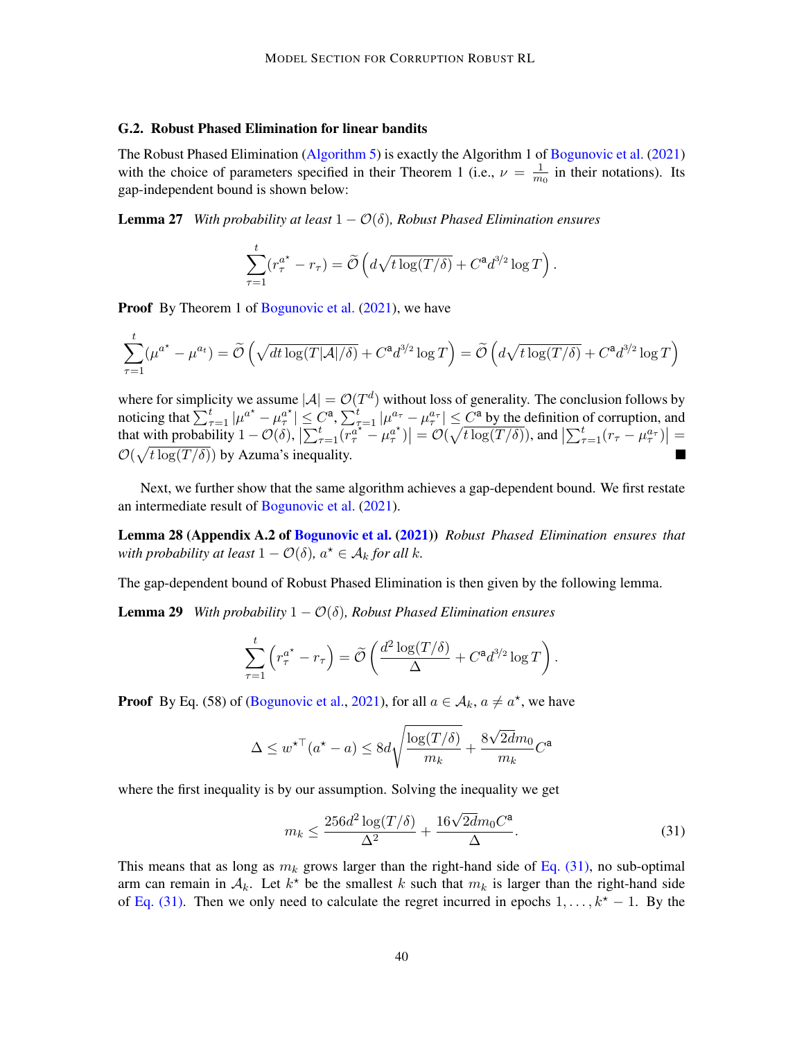#### <span id="page-39-0"></span>G.2. Robust Phased Elimination for linear bandits

The Robust Phased Elimination [\(Algorithm 5\)](#page-38-0) is exactly the Algorithm 1 of [Bogunovic et al.](#page-16-6) [\(2021\)](#page-16-6) with the choice of parameters specified in their Theorem 1 (i.e.,  $\nu = \frac{1}{m}$  $\frac{1}{m_0}$  in their notations). Its gap-independent bound is shown below:

**Lemma 27** *With probability at least*  $1 - \mathcal{O}(\delta)$ *, Robust Phased Elimination ensures* 

<span id="page-39-2"></span>
$$
\sum_{\tau=1}^t (r_\tau^{a^\star} - r_\tau) = \widetilde{\mathcal{O}}\left(d\sqrt{t\log(T/\delta)} + C^{\mathbf{a}}d^{3/2}\log T\right).
$$

**Proof** By Theorem 1 of [Bogunovic et al.](#page-16-6) [\(2021\)](#page-16-6), we have

$$
\sum_{\tau=1}^t (\mu^{a^*} - \mu^{a_t}) = \widetilde{\mathcal{O}}\left(\sqrt{dt \log(T|\mathcal{A}|/\delta)} + C^{\mathbf{a}} d^{3/2} \log T\right) = \widetilde{\mathcal{O}}\left(d\sqrt{t \log(T/\delta)} + C^{\mathbf{a}} d^{3/2} \log T\right)
$$

where for simplicity we assume  $|\mathcal{A}| = \mathcal{O}(T^d)$  without loss of generality. The conclusion follows by noticing that  $\sum_{\tau=1}^t |\mu^{a^*} - \mu^{a^*}_{\tau}| \leq C^{\mathsf{a}}, \sum_{\tau=1}^t |\mu^{a_{\tau}} - \mu^{a_{\tau}}_{\tau}| \leq C^{\mathsf{a}}$  by the definition of corruption, and that with probability  $1 - \mathcal{O}(\delta)$ ,  $\left| \sum_{\tau=1}^t \left( r_\tau^{a^\star - \mu_\tau^{a^\star}} \right) \right| = \mathcal{O}(\sqrt{t \log(T/\delta)})$ , and  $\left| \sum_{\tau=1}^t (r_\tau - \mu_\tau^{a_\tau}) \right| =$  $\mathcal{O}(\sqrt{t \log(T/\delta)})$  by Azuma's inequality.

Next, we further show that the same algorithm achieves a gap-dependent bound. We first restate an intermediate result of [Bogunovic et al.](#page-16-6) [\(2021\)](#page-16-6).

Lemma 28 (Appendix A.2 of [Bogunovic et al.](#page-16-6) [\(2021\)](#page-16-6)) *Robust Phased Elimination ensures that with probability at least*  $1 - \mathcal{O}(\delta)$ *,*  $a^* \in \mathcal{A}_k$  *for all k.* 

The gap-dependent bound of Robust Phased Elimination is then given by the following lemma.

**Lemma 29** *With probability*  $1 - \mathcal{O}(\delta)$ *, Robust Phased Elimination ensures* 

<span id="page-39-3"></span>
$$
\sum_{\tau=1}^t \left( r_{\tau}^{a^{\star}} - r_{\tau} \right) = \widetilde{\mathcal{O}} \left( \frac{d^2 \log(T/\delta)}{\Delta} + C^{\mathbf{a}} d^{3/2} \log T \right).
$$

**Proof** By Eq. (58) of [\(Bogunovic et al.,](#page-16-6) [2021\)](#page-16-6), for all  $a \in A_k$ ,  $a \neq a^*$ , we have

$$
\Delta \leq w^{\star \top}(a^{\star} - a) \leq 8d\sqrt{\frac{\log(T/\delta)}{m_k}} + \frac{8\sqrt{2d}m_0}{m_k}C^{\mathbf{a}}
$$

where the first inequality is by our assumption. Solving the inequality we get

<span id="page-39-1"></span>
$$
m_k \le \frac{256d^2 \log(T/\delta)}{\Delta^2} + \frac{16\sqrt{2d}m_0C^{\mathsf{a}}}{\Delta}.\tag{31}
$$

This means that as long as  $m_k$  grows larger than the right-hand side of [Eq. \(31\),](#page-39-1) no sub-optimal arm can remain in  $A_k$ . Let  $k^*$  be the smallest k such that  $m_k$  is larger than the right-hand side of [Eq. \(31\).](#page-39-1) Then we only need to calculate the regret incurred in epochs  $1, \ldots, k^* - 1$ . By the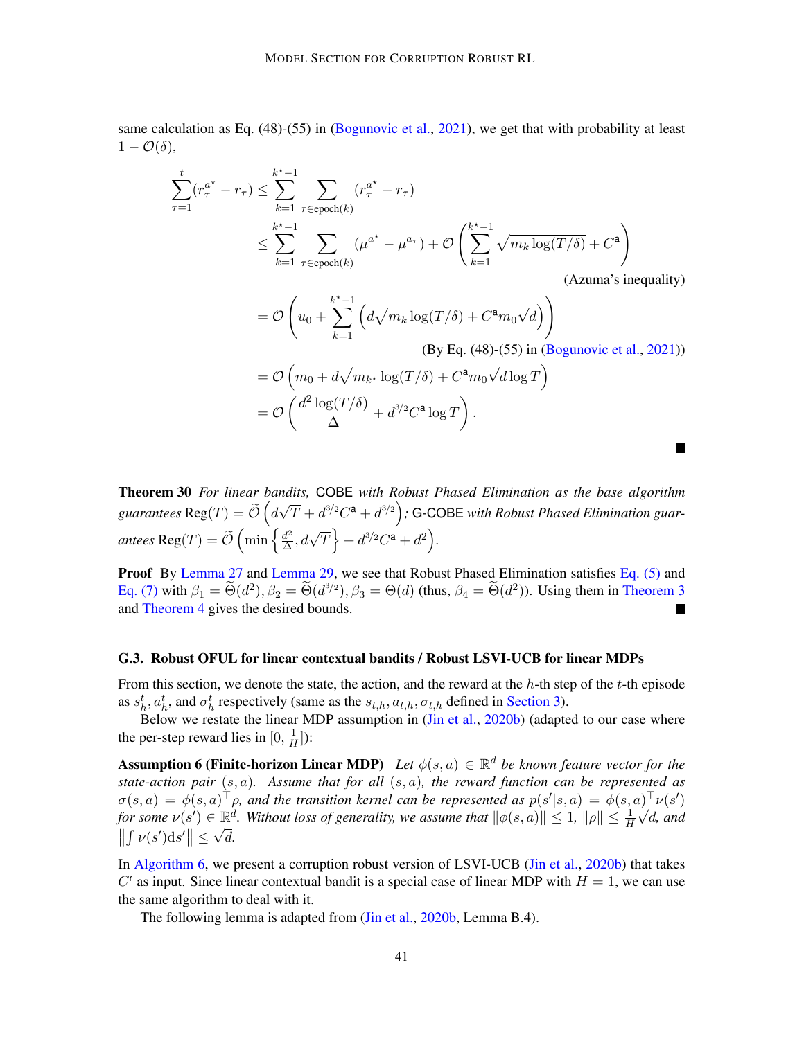same calculation as Eq. (48)-(55) in [\(Bogunovic et al.,](#page-16-6) [2021\)](#page-16-6), we get that with probability at least  $1 - \mathcal{O}(\delta),$ 

$$
\sum_{\tau=1}^{t} (r_{\tau}^{a^{*}} - r_{\tau}) \leq \sum_{k=1}^{k^{*}-1} \sum_{\tau \in \text{epoch}(k)} (r_{\tau}^{a^{*}} - r_{\tau})
$$
\n
$$
\leq \sum_{k=1}^{k^{*}-1} \sum_{\tau \in \text{epoch}(k)} (\mu^{a^{*}} - \mu^{a_{\tau}}) + \mathcal{O}\left(\sum_{k=1}^{k^{*}-1} \sqrt{m_{k} \log(T/\delta)} + C^{a}\right)
$$

(Azuma's inequality)

$$
= \mathcal{O}\left(u_0 + \sum_{k=1}^{k^* - 1} \left(d\sqrt{m_k \log(T/\delta)} + C^{\mathbf{a}} m_0 \sqrt{d}\right)\right)
$$
  
(By Eq. (48)-(55) in (Bogunovic et al., 2021))  

$$
= \mathcal{O}\left(m_0 + d\sqrt{m_{k^*} \log(T/\delta)} + C^{\mathbf{a}} m_0 \sqrt{d} \log T\right)
$$

$$
= \mathcal{O}\left(\frac{d^2 \log(T/\delta)}{\Delta} + d^{3/2} C^{\mathbf{a}} \log T\right).
$$

Theorem 30 *For linear bandits,* COBE *with Robust Phased Elimination as the base algorithm* guarantees  $\text{Reg}(T) = \widetilde{\mathcal{O}}\left(d\right)$ √  $(\overline{T} + d^{3/2}C^{\mathsf{a}} + d^{3/2})$ ; G-COBE with Robust Phased Elimination guarantees  $\text{Reg}(T) = \widetilde{\mathcal{O}}\left(\min\left\{\frac{d^2}{\Delta}\right.$  $\frac{d^2}{\Delta}, d\sqrt{T}$  +  $d^{3/2}C^{\mathbf{a}} + d^2$  ).

Proof By [Lemma 27](#page-39-2) and [Lemma 29,](#page-39-3) we see that Robust Phased Elimination satisfies [Eq. \(5\)](#page-10-1) and [Eq. \(7\)](#page-12-3) with  $\beta_1 = \tilde{\Theta}(d^2), \beta_2 = \tilde{\Theta}(d^{3/2}), \beta_3 = \Theta(d)$  (thus,  $\beta_4 = \tilde{\Theta}(d^2)$ ). Using them in [Theorem 3](#page-10-5) and [Theorem 4](#page-12-1) gives the desired bounds.  $\blacksquare$ 

#### <span id="page-40-0"></span>G.3. Robust OFUL for linear contextual bandits / Robust LSVI-UCB for linear MDPs

From this section, we denote the state, the action, and the reward at the  $h$ -th step of the  $t$ -th episode as  $s_h^t$ ,  $a_h^t$ , and  $\sigma_h^t$  respectively (same as the  $s_{t,h}$ ,  $a_{t,h}$ ,  $\sigma_{t,h}$  defined in [Section 3\)](#page-5-2).

<span id="page-40-1"></span>Below we restate the linear MDP assumption in [\(Jin et al.,](#page-17-2) [2020b\)](#page-17-2) (adapted to our case where the per-step reward lies in [0,  $\frac{1}{H}$  $\frac{1}{H}$ ):

**Assumption 6 (Finite-horizon Linear MDP)** Let  $\phi(s, a) \in \mathbb{R}^d$  be known feature vector for the *state-action pair* (s, a)*. Assume that for all* (s, a)*, the reward function can be represented as*  $\sigma(s,a) = \phi(s,a)^\top \rho$ , and the transition kernel can be represented as  $p(s'|s,a) = \phi(s,a)^\top \nu(s')$ *for some*  $\nu(s') \in \mathbb{R}^d$ . Without loss of generality, we assume that  $\|\phi(s, a)\| \leq 1$ ,  $\|\rho\| \leq \frac{1}{H}\sqrt{d}$ , and  $\left\| \int \nu(s')\mathrm{d}s' \right\| \leq \sqrt{d}.$ 

In [Algorithm 6,](#page-41-0) we present a corruption robust version of LSVI-UCB [\(Jin et al.,](#page-17-2) [2020b\)](#page-17-2) that takes  $C<sup>r</sup>$  as input. Since linear contextual bandit is a special case of linear MDP with  $H = 1$ , we can use the same algorithm to deal with it.

<span id="page-40-2"></span>The following lemma is adapted from (*Jin et al., [2020b,](#page-17-2) Lemma B.4*).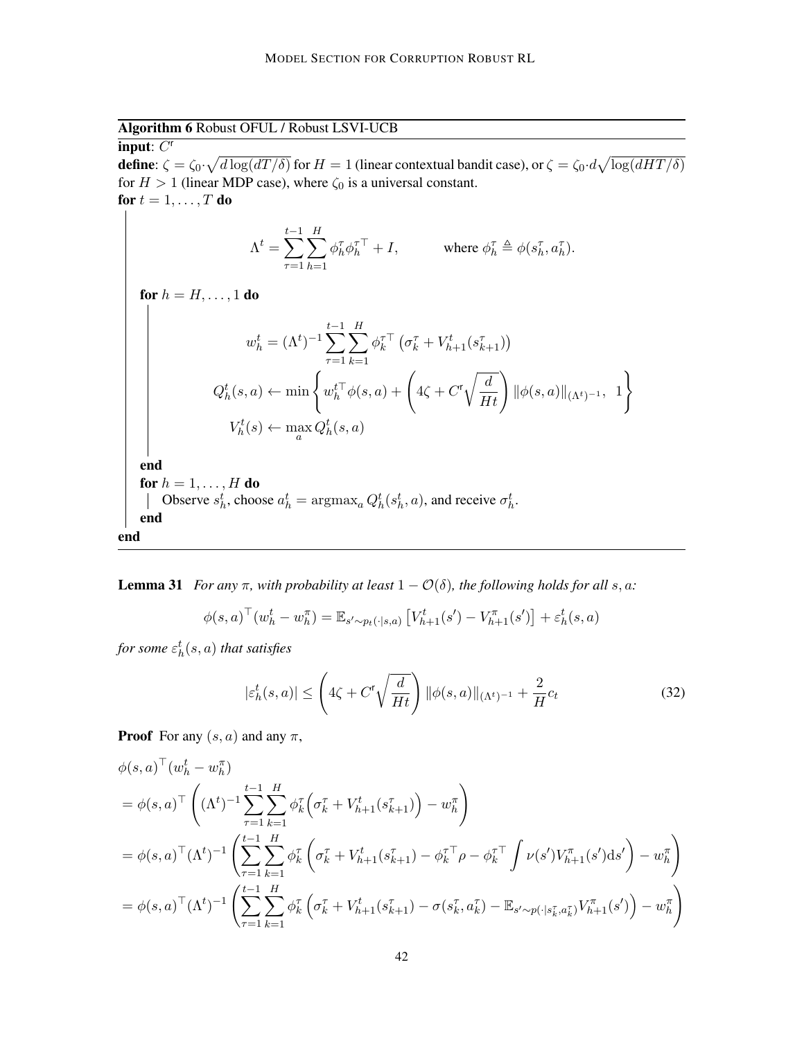<span id="page-41-0"></span>Algorithm 6 Robust OFUL / Robust LSVI-UCB

input:  $C^r$ **define**:  $\zeta = \zeta_0 \cdot \sqrt{d \log(dT/\delta)}$  for  $H=1$  (linear contextual bandit case), or  $\zeta = \zeta_0 \cdot d \sqrt{\log(dHT/\delta)}$ for  $H > 1$  (linear MDP case), where  $\zeta_0$  is a universal constant. for  $t = 1, \ldots, T$  do

$$
\Lambda^t = \sum_{\tau=1}^{t-1} \sum_{h=1}^H \phi_h^{\tau} \phi_h^{\tau \top} + I, \quad \text{where } \phi_h^{\tau} \triangleq \phi(s_h^{\tau}, a_h^{\tau}).
$$

for  $h = H, \ldots, 1$  do  $w_h^t = (\Lambda^t)^{-1} \sum$  $t-1$  $\tau = 1$  $\sum$ H  $k=1$  $\phi_k^{\tau\top}\left(\sigma_k^{\tau}+V_{h+1}^t(s_{k+1}^{\tau})\right)$  $Q_h^t(s,a) \leftarrow \min \left\{ w_h^{t\top} \phi(s,a) + \left( 4\zeta + C^{\mathsf{r}} \sqrt{\frac{d}{Ht}} \right) \Vert \phi(s,a) \Vert_{(\Lambda^t)^{-1}}, \hspace{0.2cm} 1 \right\}.$  $V_h^t(s) \leftarrow \max_a Q_h^t(s, a)$ end for  $h = 1, \ldots, H$  do Observe  $s_h^t$ , choose  $a_h^t = \text{argmax}_a Q_h^t(s_h^t, a)$ , and receive  $\sigma_h^t$ . end end

**Lemma 31** *For any*  $\pi$ *, with probability at least*  $1 - \mathcal{O}(\delta)$ *, the following holds for all* s, a:

$$
\phi(s, a)^{\top} (w_h^t - w_h^{\pi}) = \mathbb{E}_{s' \sim p_t(\cdot | s, a)} \left[ V_{h+1}^t(s') - V_{h+1}^{\pi}(s') \right] + \varepsilon_h^t(s, a)
$$

for some  $\varepsilon_h^t(s,a)$  that satisfies

$$
|\varepsilon_h^t(s, a)| \le \left(4\zeta + C^r \sqrt{\frac{d}{Ht}}\right) \|\phi(s, a)\|_{(\Lambda^t)^{-1}} + \frac{2}{H}c_t \tag{32}
$$

 $\mathcal{L}$ 

**Proof** For any  $(s, a)$  and any  $\pi$ ,

$$
\phi(s, a)^{\top} (w_h^t - w_h^{\pi})
$$
\n
$$
= \phi(s, a)^{\top} \left( (\Lambda^t)^{-1} \sum_{\tau=1}^{t-1} \sum_{k=1}^H \phi_k^{\tau} \left( \sigma_k^{\tau} + V_{h+1}^t(s_{k+1}^{\tau}) \right) - w_h^{\pi} \right)
$$
\n
$$
= \phi(s, a)^{\top} (\Lambda^t)^{-1} \left( \sum_{\tau=1}^{t-1} \sum_{k=1}^H \phi_k^{\tau} \left( \sigma_k^{\tau} + V_{h+1}^t(s_{k+1}^{\tau}) - \phi_k^{\tau} \right) - \phi_k^{\tau} \right) \nu(s') V_{h+1}^{\pi}(s') ds' \right) - w_h^{\pi}
$$
\n
$$
= \phi(s, a)^{\top} (\Lambda^t)^{-1} \left( \sum_{\tau=1}^{t-1} \sum_{k=1}^H \phi_k^{\tau} \left( \sigma_k^{\tau} + V_{h+1}^t(s_{k+1}^{\tau}) - \sigma(s_k^{\tau}, a_k^{\tau}) - \mathbb{E}_{s' \sim p(\cdot | s_k^{\tau}, a_k^{\tau})} V_{h+1}^{\pi}(s') \right) - w_h^{\pi} \right)
$$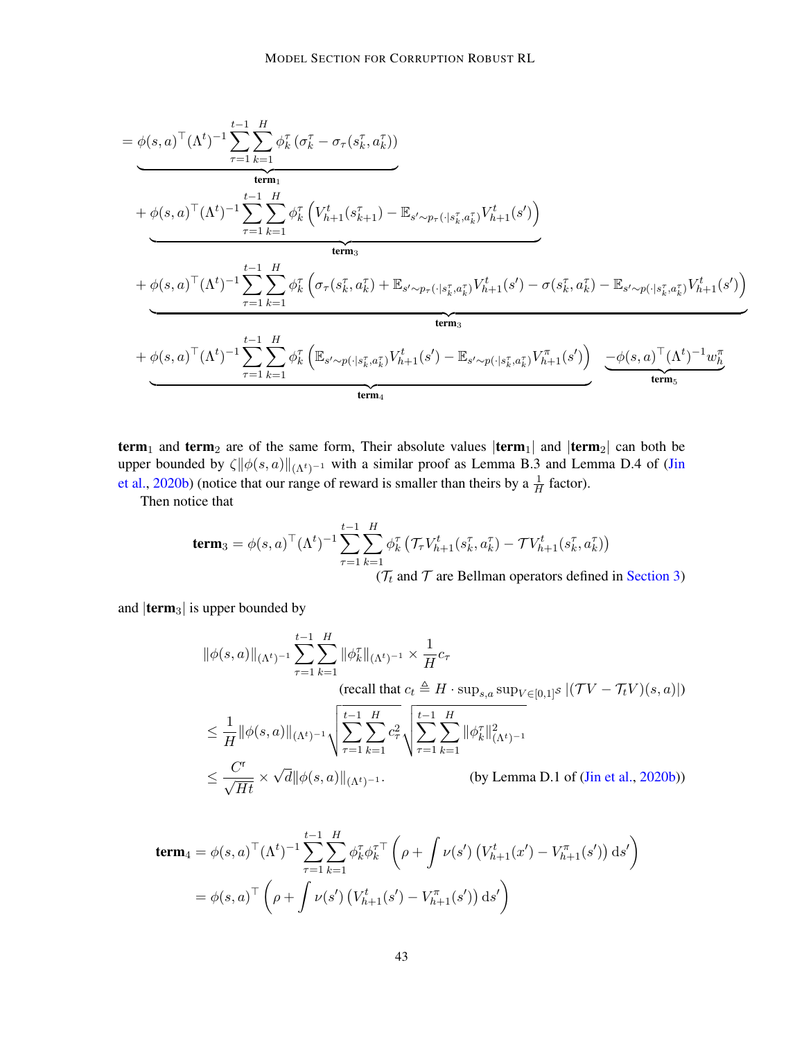$$
= \phi(s, a)^{\top} (\Lambda^{t})^{-1} \sum_{\tau=1}^{t-1} \sum_{k=1}^{H} \phi_{k}^{\tau} (\sigma_{k}^{\tau} - \sigma_{\tau}(s_{k}^{\tau}, a_{k}^{\tau}))
$$
\n
$$
+ \phi(s, a)^{\top} (\Lambda^{t})^{-1} \sum_{\tau=1}^{t-1} \sum_{k=1}^{H} \phi_{k}^{\tau} (V_{h+1}^{t}(s_{k+1}^{\tau}) - \mathbb{E}_{s' \sim p_{\tau}(\cdot | s_{k}^{\tau}, a_{k}^{\tau})} V_{h+1}^{t}(s'))
$$
\n
$$
+ \phi(s, a)^{\top} (\Lambda^{t})^{-1} \sum_{\tau=1}^{t-1} \sum_{k=1}^{H} \phi_{k}^{\tau} (\sigma_{\tau}(s_{k}^{\tau}, a_{k}^{\tau}) + \mathbb{E}_{s' \sim p_{\tau}(\cdot | s_{k}^{\tau}, a_{k}^{\tau})} V_{h+1}^{t}(s') - \sigma(s_{k}^{\tau}, a_{k}^{\tau}) - \mathbb{E}_{s' \sim p(\cdot | s_{k}^{\tau}, a_{k}^{\tau})} V_{h+1}^{t}(s'))
$$
\n
$$
+ \phi(s, a)^{\top} (\Lambda^{t})^{-1} \sum_{\tau=1}^{t-1} \sum_{k=1}^{H} \phi_{k}^{\tau} (\mathbb{E}_{s' \sim p(\cdot | s_{k}^{\tau}, a_{k}^{\tau})} V_{h+1}^{t}(s') - \mathbb{E}_{s' \sim p(\cdot | s_{k}^{\tau}, a_{k}^{\tau})} V_{h+1}^{\pi}(s')) \underbrace{-\phi(s, a)^{\top} (\Lambda^{t})^{-1} w_{h}^{\pi}}_{\text{term}_{5}}
$$

term<sub>1</sub> and term<sub>2</sub> are of the same form, Their absolute values  $|\text{term}_1|$  and  $|\text{term}_2|$  can both be upper bounded by  $\zeta$ || $\phi(s, a)$ ||<sub>( $\Lambda^t$ )</sub>−1 with a similar proof as Lemma B.3 and Lemma D.4 of [\(Jin](#page-17-2) [et al.,](#page-17-2) [2020b\)](#page-17-2) (notice that our range of reward is smaller than theirs by a  $\frac{1}{H}$  factor).

Then notice that

$$
\mathbf{term}_3 = \phi(s, a)^\top (\Lambda^t)^{-1} \sum_{\tau=1}^{t-1} \sum_{k=1}^H \phi_k^\tau \left( \mathcal{T}_\tau V_{h+1}^t(s_k^\tau, a_k^\tau) - \mathcal{T} V_{h+1}^t(s_k^\tau, a_k^\tau) \right)
$$
  

$$
\left( \mathcal{T}_t \text{ and } \mathcal{T} \text{ are Bellman operators defined in Section 3} \right)
$$

and  $|\textbf{term}_3|$  is upper bounded by

$$
\|\phi(s,a)\|_{(\Lambda^t)^{-1}} \sum_{\tau=1}^{t-1} \sum_{k=1}^H \|\phi_k^{\tau}\|_{(\Lambda^t)^{-1}} \times \frac{1}{H} c_{\tau}
$$
\n
$$
\text{(recall that } c_t \triangleq H \cdot \sup_{s,a} \sup_{V \in [0,1]^S} |(\mathcal{T}V - \mathcal{T}_t V)(s,a)|)
$$
\n
$$
\leq \frac{1}{H} \|\phi(s,a)\|_{(\Lambda^t)^{-1}} \sqrt{\sum_{\tau=1}^{t-1} \sum_{k=1}^H c_{\tau}^2} \sqrt{\sum_{\tau=1}^{t-1} \sum_{k=1}^H \|\phi_k^{\tau}\|_{(\Lambda^t)^{-1}}^2}
$$
\n
$$
\leq \frac{C^{\mathsf{r}}}{\sqrt{H\mathsf{t}}} \times \sqrt{d} \|\phi(s,a)\|_{(\Lambda^t)^{-1}}. \qquad \text{(by Lemma D.1 of (Jin et al., 2020b))}
$$

$$
\begin{split} \mathbf{term}_{4} &= \phi(s,a)^{\top} (\Lambda^{t})^{-1} \sum_{\tau=1}^{t-1} \sum_{k=1}^{H} \phi_{k}^{\tau} \phi_{k}^{\tau \top} \left( \rho + \int \nu(s') \left( V_{h+1}^{t}(x') - V_{h+1}^{\pi}(s') \right) \mathrm{d}s' \right) \\ &= \phi(s,a)^{\top} \left( \rho + \int \nu(s') \left( V_{h+1}^{t}(s') - V_{h+1}^{\pi}(s') \right) \mathrm{d}s' \right) \end{split}
$$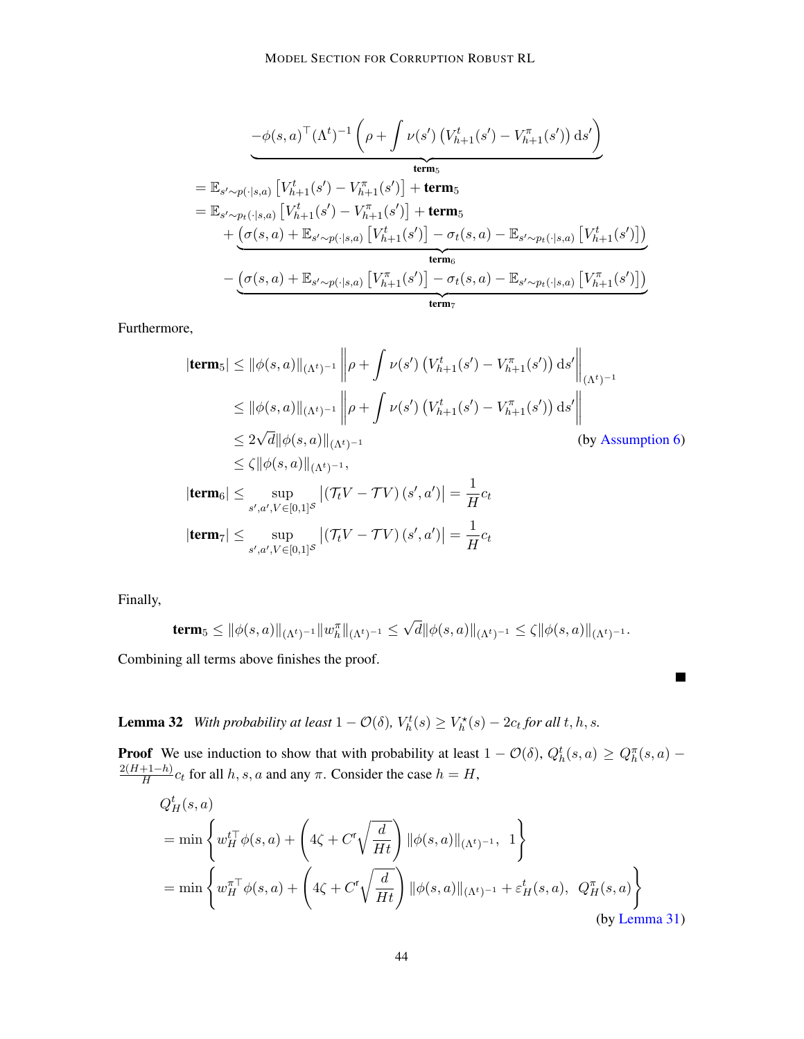$$
-\phi(s, a)^{\top} (\Lambda^{t})^{-1} (\rho + \int \nu(s') (V_{h+1}^{t}(s') - V_{h+1}^{\pi}(s')) ds')
$$
  
\n
$$
= \mathbb{E}_{s' \sim p(\cdot|s,a)} [V_{h+1}^{t}(s') - V_{h+1}^{\pi}(s')] + \text{term}_{5}
$$
  
\n
$$
= \mathbb{E}_{s' \sim p_{t}(\cdot|s,a)} [V_{h+1}^{t}(s') - V_{h+1}^{\pi}(s')] + \text{term}_{5}
$$
  
\n
$$
+ (\sigma(s, a) + \mathbb{E}_{s' \sim p(\cdot|s,a)} [V_{h+1}^{t}(s')] - \sigma_{t}(s, a) - \mathbb{E}_{s' \sim p_{t}(\cdot|s,a)} [V_{h+1}^{t}(s')])
$$
  
\n
$$
- (\sigma(s, a) + \mathbb{E}_{s' \sim p(\cdot|s,a)} [V_{h+1}^{\pi}(s')] - \sigma_{t}(s, a) - \mathbb{E}_{s' \sim p_{t}(\cdot|s,a)} [V_{h+1}^{\pi}(s')])
$$
  
\n
$$
\text{term}_{7}
$$

Furthermore,

$$
|\text{term}_{5}| \leq ||\phi(s, a)||_{(\Lambda^{t})^{-1}} \left\| \rho + \int \nu(s') \left( V_{h+1}^{t}(s') - V_{h+1}^{\pi}(s') \right) ds' \right\|_{(\Lambda^{t})^{-1}}
$$
  
\n
$$
\leq ||\phi(s, a)||_{(\Lambda^{t})^{-1}} \left\| \rho + \int \nu(s') \left( V_{h+1}^{t}(s') - V_{h+1}^{\pi}(s') \right) ds' \right\|
$$
  
\n
$$
\leq 2\sqrt{d} ||\phi(s, a)||_{(\Lambda^{t})^{-1}}
$$
 (by Assumption 6)  
\n
$$
\leq \zeta ||\phi(s, a)||_{(\Lambda^{t})^{-1}},
$$

$$
|\mathbf{term}_6| \le \sup_{s',a',V \in [0,1]^S} |(\mathcal{T}_t V - \mathcal{T} V)(s',a')| = \frac{1}{H}c_t
$$
  

$$
|\mathbf{term}_7| \le \sup_{s',a',V \in [0,1]^S} |(\mathcal{T}_t V - \mathcal{T} V)(s',a')| = \frac{1}{H}c_t
$$

Finally,

$$
\mathbf{term}_5\leq \|\phi(s,a)\|_{(\Lambda^t)^{-1}}\|w_h^\pi\|_{(\Lambda^t)^{-1}}\leq \sqrt{d}\|\phi(s,a)\|_{(\Lambda^t)^{-1}}\leq \zeta\|\phi(s,a)\|_{(\Lambda^t)^{-1}}.
$$

 $\blacksquare$ 

Combining all terms above finishes the proof.

<span id="page-43-0"></span>**Lemma 32** *With probability at least*  $1 - \mathcal{O}(\delta)$ ,  $V_h^t(s) \geq V_h^*(s) - 2c_t$  for all t, h, s.

**Proof** We use induction to show that with probability at least  $1 - \mathcal{O}(\delta)$ ,  $Q_h^t(s, a) \geq Q_h^{\pi}(s, a) 2(H+1-h)$  $\frac{H^{(n+1)}(t)}{H}$  c<sub>t</sub> for all h, s, a and any  $\pi$ . Consider the case  $h = H$ ,

$$
Q_H^t(s, a)
$$
  
= min 
$$
\left\{ w_H^t \phi(s, a) + \left( 4\zeta + C'\sqrt{\frac{d}{Ht}} \right) ||\phi(s, a)||_{(\Lambda^t)^{-1}}, 1 \right\}
$$
  
= min 
$$
\left\{ w_H^{\pi \top} \phi(s, a) + \left( 4\zeta + C'\sqrt{\frac{d}{Ht}} \right) ||\phi(s, a)||_{(\Lambda^t)^{-1}} + \varepsilon_H^t(s, a), Q_H^{\pi}(s, a) \right\}
$$
  
(by Lemma 31)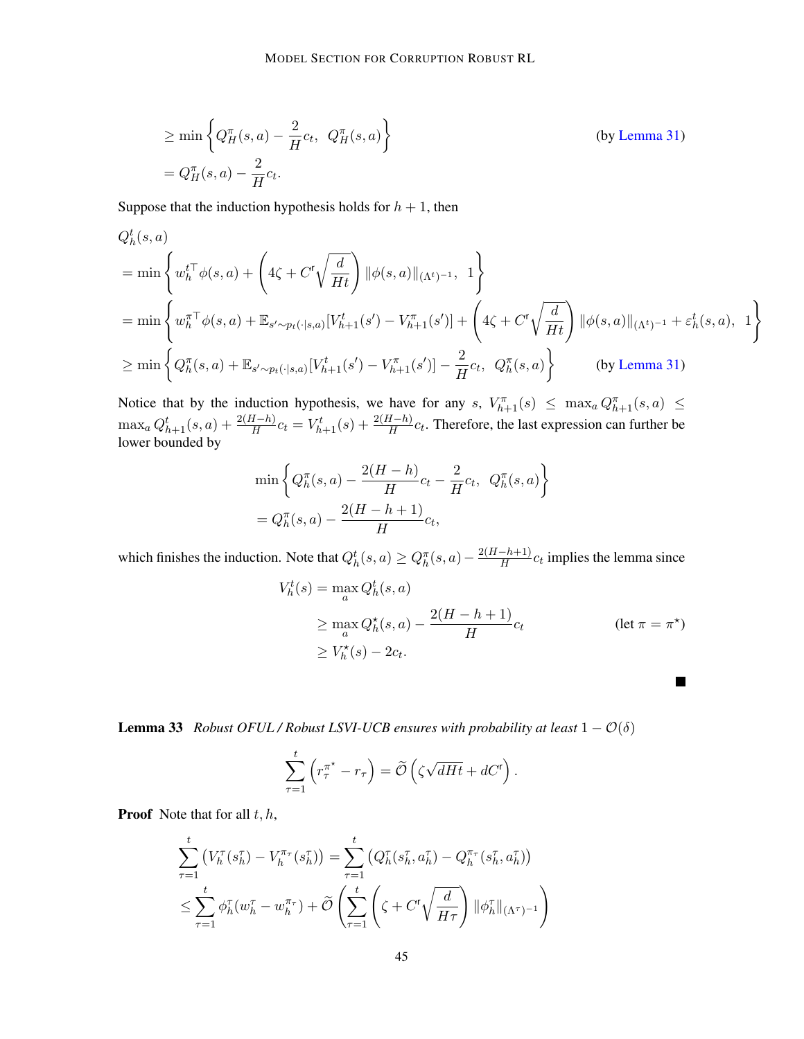$$
\geq \min \left\{ Q_H^{\pi}(s, a) - \frac{2}{H} c_t, Q_H^{\pi}(s, a) \right\}
$$
 (by Lemma 31)  
=  $Q_H^{\pi}(s, a) - \frac{2}{H} c_t.$ 

Suppose that the induction hypothesis holds for  $h + 1$ , then

$$
Q_h^t(s, a)
$$
  
= min  $\left\{ w_h^{t\top} \phi(s, a) + \left( 4\zeta + C^{\mathsf{T}} \sqrt{\frac{d}{Ht}} \right) ||\phi(s, a)||_{(\Lambda^t)^{-1}}, 1 \right\}$   
= min  $\left\{ w_h^{\pi\top} \phi(s, a) + \mathbb{E}_{s' \sim p_t(\cdot|s, a)} [V_{h+1}^t(s') - V_{h+1}^{\pi}(s')] + \left( 4\zeta + C^{\mathsf{T}} \sqrt{\frac{d}{Ht}} \right) ||\phi(s, a)||_{(\Lambda^t)^{-1}} + \varepsilon_h^t(s, a), 1 \right\}$   
 $\ge \min \left\{ Q_h^{\pi}(s, a) + \mathbb{E}_{s' \sim p_t(\cdot|s, a)} [V_{h+1}^t(s') - V_{h+1}^{\pi}(s')] - \frac{2}{H} c_t, Q_h^{\pi}(s, a) \right\}$  (by Lemma 31)

Notice that by the induction hypothesis, we have for any s,  $V_{h+1}^{\pi}(s) \leq \max_{a} Q_{h+1}^{\pi}(s, a) \leq$  $\max_a Q_{h+1}^t(s, a) + \frac{2(H-h)}{H}c_t = V_{h+1}^t(s) + \frac{2(H-h)}{H}c_t$ . Therefore, the last expression can further be lower bounded by

$$
\min \left\{ Q_h^{\pi}(s, a) - \frac{2(H - h)}{H}c_t - \frac{2}{H}c_t, \ Q_h^{\pi}(s, a) \right\}
$$

$$
= Q_h^{\pi}(s, a) - \frac{2(H - h + 1)}{H}c_t,
$$

which finishes the induction. Note that  $Q_h^t(s, a) \ge Q_h^{\pi}(s, a) - \frac{2(H - h + 1)}{H}$  $\frac{(-h+1)}{H}c_t$  implies the lemma since

$$
V_h^t(s) = \max_a Q_h^t(s, a)
$$
  
\n
$$
\geq \max_a Q_h^{\star}(s, a) - \frac{2(H - h + 1)}{H}c_t
$$
  
\n
$$
\geq V_h^{\star}(s) - 2c_t.
$$
 (let  $\pi = \pi^{\star}$ )

 $\blacksquare$ 

<span id="page-44-0"></span>**Lemma 33** *Robust OFUL / Robust LSVI-UCB ensures with probability at least*  $1 - \mathcal{O}(\delta)$ 

$$
\sum_{\tau=1}^t \left( r_{\tau}^{\pi^*} - r_{\tau} \right) = \widetilde{\mathcal{O}} \left( \zeta \sqrt{dHt} + dC^{\mathsf{r}} \right).
$$

**Proof** Note that for all  $t, h$ ,

$$
\sum_{\tau=1}^t \left( V_h^{\tau}(s_h^{\tau}) - V_h^{\pi_{\tau}}(s_h^{\tau}) \right) = \sum_{\tau=1}^t \left( Q_h^{\tau}(s_h^{\tau}, a_h^{\tau}) - Q_h^{\pi_{\tau}}(s_h^{\tau}, a_h^{\tau}) \right)
$$
\n
$$
\leq \sum_{\tau=1}^t \phi_h^{\tau}(w_h^{\tau} - w_h^{\pi_{\tau}}) + \widetilde{\mathcal{O}} \left( \sum_{\tau=1}^t \left( \zeta + C^{\tau} \sqrt{\frac{d}{H\tau}} \right) \|\phi_h^{\tau}\|_{(\Lambda^{\tau})^{-1}} \right)
$$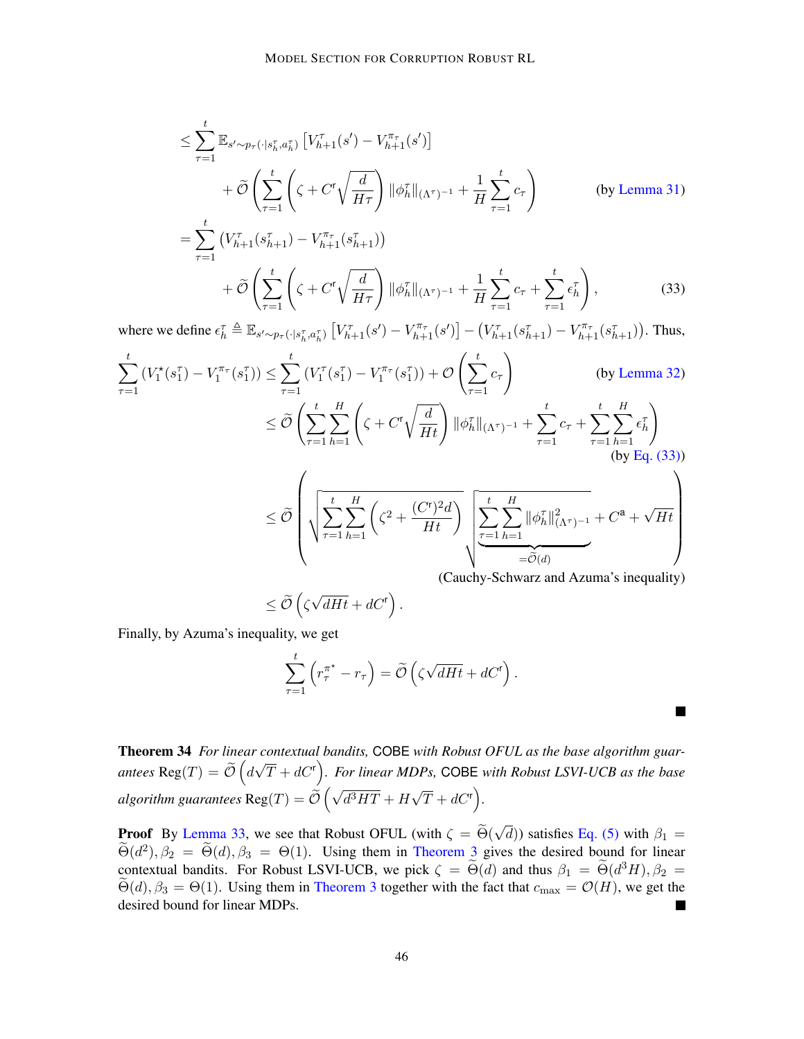$$
\leq \sum_{\tau=1}^{t} \mathbb{E}_{s' \sim p_{\tau}(\cdot | s_{h}^{\tau}, a_{h}^{\tau})} \left[ V_{h+1}^{\tau}(s') - V_{h+1}^{\pi_{\tau}}(s') \right]
$$
  
+  $\tilde{\mathcal{O}} \left( \sum_{\tau=1}^{t} \left( \zeta + C^{\tau} \sqrt{\frac{d}{H\tau}} \right) \|\phi_{h}^{\tau}\|_{(\Lambda^{\tau})^{-1}} + \frac{1}{H} \sum_{\tau=1}^{t} c_{\tau} \right)$  (by Lemma 31)  
=  $\sum_{\tau=1}^{t} \left( V_{h+1}^{\tau}(s_{h+1}^{\tau}) - V_{h+1}^{\pi_{\tau}}(s_{h+1}^{\tau}) \right)$   
+  $\tilde{\mathcal{O}} \left( \sum_{\tau=1}^{t} \left( \zeta + C^{\tau} \sqrt{\frac{d}{H\tau}} \right) \|\phi_{h}^{\tau}\|_{(\Lambda^{\tau})^{-1}} + \frac{1}{H} \sum_{\tau=1}^{t} c_{\tau} + \sum_{\tau=1}^{t} \epsilon_{h}^{\tau} \right),$  (33)

where we define  $\epsilon_{h}^{\tau} \triangleq \mathbb{E}_{s' \sim p_{\tau}(\cdot | s_{h}^{\tau}, a_{h}^{\tau})} \left[ V_{h+1}^{\tau}(s') - V_{h+1}^{\pi_{\tau}}(s') \right] - (V_{h+1}^{\tau}(s_{h+1}^{\tau}) - V_{h+1}^{\pi_{\tau}}(s_{h+1}^{\tau}))$ . Thus,

$$
\sum_{\tau=1}^{t} (V_1^*(s_1^{\tau}) - V_1^{\pi_{\tau}}(s_1^{\tau})) \leq \sum_{\tau=1}^{t} (V_1^{\tau}(s_1^{\tau}) - V_1^{\pi_{\tau}}(s_1^{\tau})) + \mathcal{O}\left(\sum_{\tau=1}^{t} c_{\tau}\right)
$$
\n
$$
\leq \widetilde{\mathcal{O}}\left(\sum_{\tau=1}^{t} \sum_{h=1}^{H} \left(\zeta + C^{\tau}\sqrt{\frac{d}{Ht}}\right) \|\phi_h^{\tau}\|_{(\Lambda^{\tau})^{-1}} + \sum_{\tau=1}^{t} c_{\tau} + \sum_{\tau=1}^{t} \sum_{h=1}^{H} \epsilon_h^{\tau}\right)
$$
\n(by Eq. (33))\n
$$
\leq \widetilde{\mathcal{O}}\left(\sqrt{\sum_{\tau=1}^{t} \sum_{h=1}^{H} \left(\zeta^{2} + \frac{(C^{\tau})^{2}d}{Ht}\right)} \sum_{\tau=1}^{t} \sum_{h=1}^{H} \|\phi_h^{\tau}\|_{(\Lambda^{\tau})^{-1}}^{2} + C^{\mathbf{a}} + \sqrt{Ht}\right)
$$
\n(Cauchy-Schwarz and Azuma's inequality)

$$
\leq \widetilde{\mathcal{O}}\left(\zeta\sqrt{dHt}+dC^{\mathsf{r}}\right).
$$

Finally, by Azuma's inequality, we get

$$
\sum_{\tau=1}^t \left( r_{\tau}^{\pi^*} - r_{\tau} \right) = \widetilde{\mathcal{O}} \left( \zeta \sqrt{dHt} + dC^{\mathsf{r}} \right).
$$

<span id="page-45-0"></span>**Talent** 

Theorem 34 *For linear contextual bandits,* COBE *with Robust OFUL as the base algorithm guarantees*  $\text{Reg}(T) = \widetilde{\mathcal{O}}\left(d\right)$ √  $(\overline{T} + dC^r)$ . For linear MDPs, COBE with Robust LSVI-UCB as the base  $algorithms$  guarantees  $\text{Reg}(T) = \mathcal{O}$  $\left(\sqrt{d^3HT}+H\right)$ √  $\overline{T} + dC^{\mathsf{r}}$ .

**Proof** By [Lemma 33,](#page-44-0) we see that Robust OFUL (with  $\zeta = \Theta(\hat{\zeta} \cdot \hat{\zeta})$ ) and  $\widetilde{\zeta}$  (even) and  $\zeta = \Theta(\hat{\zeta})$ √ d)) satisfies [Eq. \(5\)](#page-10-1) with  $\beta_1 =$  $\widetilde{\Theta}(d^2), \beta_2 = \widetilde{\Theta}(d), \beta_3 = \Theta(1)$ . Using them in [Theorem 3](#page-10-5) gives the desired bound for linear contextual bandits. For Robust LSVI-UCB, we pick  $\zeta = \widetilde{\Theta}(d)$  and thus  $\beta_1 = \widetilde{\Theta}(d^3H), \beta_2 = \widetilde{\Theta}(d)$ .  $\widetilde{\Theta}(d)$ ,  $\beta_3 = \Theta(1)$ . Using them in [Theorem 3](#page-10-5) together with the fact that  $c_{\text{max}} = \mathcal{O}(H)$ , we get the desired bound for linear MDPs desired bound for linear MDPs.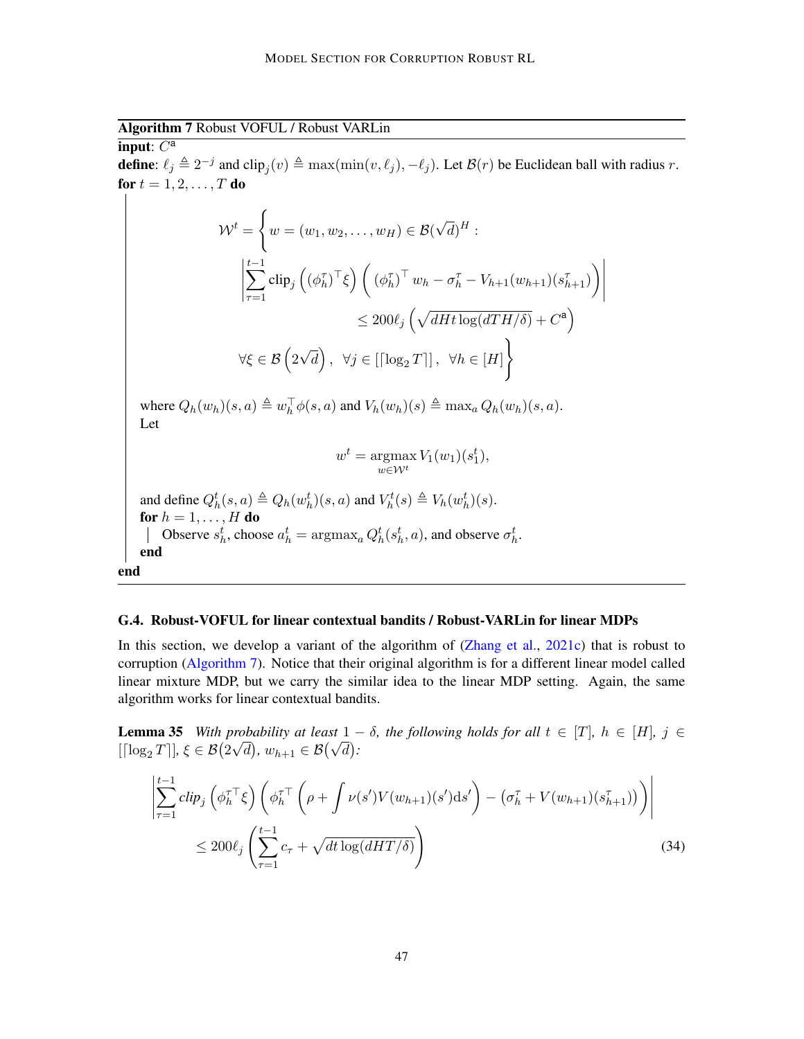<span id="page-46-1"></span>Algorithm 7 Robust VOFUL / Robust VARLin

input:  $C^a$ **define**:  $\ell_j \triangleq 2^{-j}$  and  $\text{clip}_j(v) \triangleq \max(\min(v, \ell_j), -\ell_j)$ . Let  $\mathcal{B}(r)$  be Euclidean ball with radius r. for  $t = 1, 2, \ldots, T$  do

$$
\mathcal{W}^{t} = \left\{ w = (w_1, w_2, \dots, w_H) \in \mathcal{B}(\sqrt{d})^H : \left| \sum_{\tau=1}^{t-1} \text{clip}_j \left( (\phi_h^{\tau})^{\top} \xi \right) \left( (\phi_h^{\tau})^{\top} w_h - \sigma_h^{\tau} - V_{h+1}(w_{h+1})(s_{h+1}^{\tau}) \right) \right|
$$
  

$$
\leq 200 \ell_j \left( \sqrt{dHt \log(dTH/\delta)} + C^{\mathsf{a}} \right)
$$
  

$$
\forall \xi \in \mathcal{B} \left( 2\sqrt{d} \right), \ \forall j \in [[\log_2 T]], \ \forall h \in [H] \right\}
$$

 $\bigg\}$  $\Big\}$  $\begin{array}{c} \end{array}$  $\begin{array}{c} \end{array}$ 

where  $Q_h(w_h)(s, a) \triangleq w_h^{\top} \phi(s, a)$  and  $V_h(w_h)(s) \triangleq \max_a Q_h(w_h)(s, a)$ . Let

$$
w^t = \operatorname*{argmax}_{w \in \mathcal{W}^t} V_1(w_1)(s_1^t),
$$

.

and define 
$$
Q_h^t(s, a) \triangleq Q_h(w_h^t)(s, a)
$$
 and  $V_h^t(s) \triangleq V_h(w_h^t)(s)$ .  
\n**for**  $h = 1, ..., H$  **do**  
\nObserve  $s_h^t$ , choose  $a_h^t = \operatorname{argmax}_a Q_h^t(s_h^t, a)$ , and observe  $\sigma_h^t$   
\n**end**

#### <span id="page-46-0"></span>G.4. Robust-VOFUL for linear contextual bandits / Robust-VARLin for linear MDPs

In this section, we develop a variant of the algorithm of [\(Zhang et al.,](#page-20-1) [2021c\)](#page-20-1) that is robust to corruption [\(Algorithm 7\)](#page-46-1). Notice that their original algorithm is for a different linear model called linear mixture MDP, but we carry the similar idea to the linear MDP setting. Again, the same algorithm works for linear contextual bandits.

<span id="page-46-2"></span>**Lemma 35** *With probability at least*  $1 - \delta$ *, the following holds for all*  $t \in [T]$ *,*  $h \in [H]$ *,*  $j \in \mathbb{R}$ **Lemma 55** with probability at least 1 –<br>[[ $\log_2 T$ ],  $\xi \in \mathcal{B}(2\sqrt{d})$ ,  $w_{h+1} \in \mathcal{B}(\sqrt{d})$ :

$$
\left| \sum_{\tau=1}^{t-1} \text{clip}_j \left( \phi_h^{\tau \top} \xi \right) \left( \phi_h^{\tau \top} \left( \rho + \int \nu(s') V(w_{h+1})(s') \text{d}s' \right) - \left( \sigma_h^{\tau} + V(w_{h+1})(s_{h+1}^{\tau}) \right) \right) \right|
$$
  
 
$$
\leq 200 \ell_j \left( \sum_{\tau=1}^{t-1} c_{\tau} + \sqrt{dt \log(dHT/\delta)} \right) \tag{34}
$$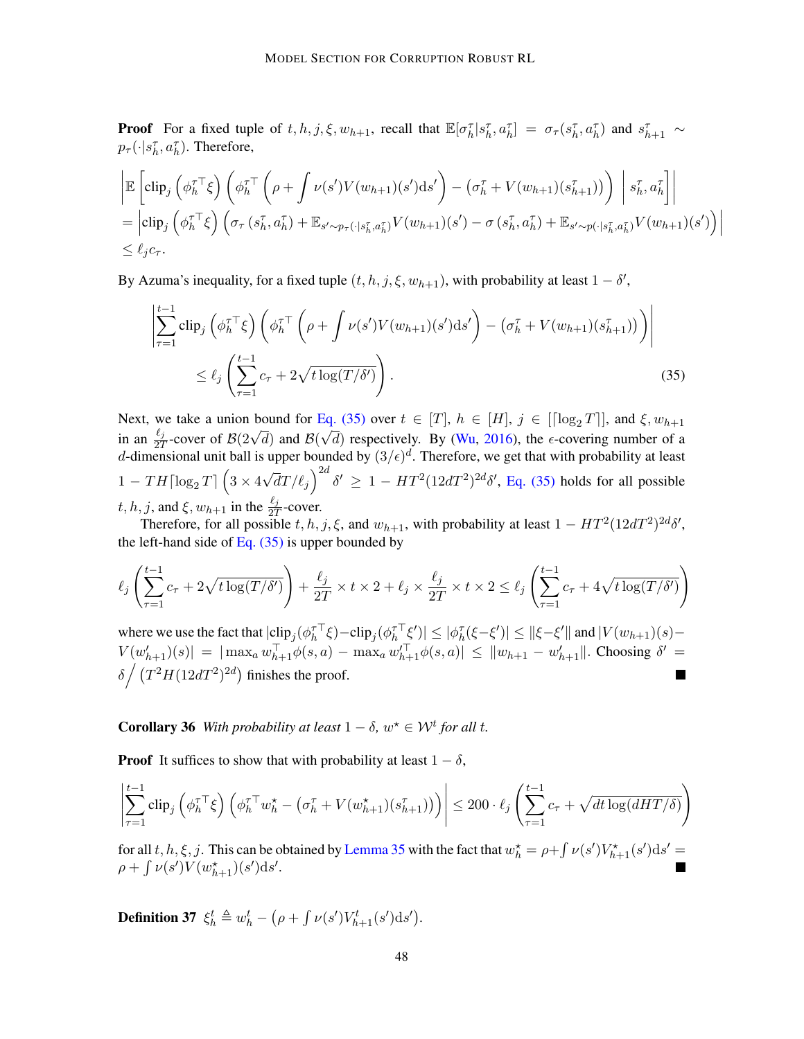**Proof** For a fixed tuple of  $t, h, j, \xi, w_{h+1}$ , recall that  $\mathbb{E}[\sigma_h^{\tau} | s_h^{\tau}, a_h^{\tau}] = \sigma_{\tau}(s_h^{\tau}, a_h^{\tau})$  and  $s_{h+1}^{\tau} \sim$  $p_{\tau}(\cdot|s_h^{\tau}, a_h^{\tau}).$  Therefore,

$$
\begin{split} & \left| \mathbb{E} \left[ \text{clip}_{j} \left( \phi_{h}^{\tau \top} \xi \right) \left( \phi_{h}^{\tau \top} \left( \rho + \int \nu(s') V(w_{h+1})(s') \text{d}s' \right) - \left( \sigma_{h}^{\tau} + V(w_{h+1})(s_{h+1}^{\tau}) \right) \right) \right| s_{h}^{\tau}, a_{h}^{\tau} \right] \right| \\ &= \left| \text{clip}_{j} \left( \phi_{h}^{\tau \top} \xi \right) \left( \sigma_{\tau} \left( s_{h}^{\tau}, a_{h}^{\tau} \right) + \mathbb{E}_{s' \sim p_{\tau}(\cdot | s_{h}^{\tau}, a_{h}^{\tau})} V(w_{h+1})(s') - \sigma \left( s_{h}^{\tau}, a_{h}^{\tau} \right) + \mathbb{E}_{s' \sim p(\cdot | s_{h}^{\tau}, a_{h}^{\tau})} V(w_{h+1})(s') \right) \right| \\ &\leq \ell_{j} c_{\tau}. \end{split}
$$

By Azuma's inequality, for a fixed tuple  $(t, h, j, \xi, w_{h+1})$ , with probability at least  $1 - \delta'$ ,

<span id="page-47-0"></span>
$$
\left| \sum_{\tau=1}^{t-1} \text{clip}_j \left( \phi_h^{\tau \top} \xi \right) \left( \phi_h^{\tau \top} \left( \rho + \int \nu(s') V(w_{h+1})(s') \text{d}s' \right) - \left( \sigma_h^{\tau} + V(w_{h+1})(s_{h+1}^{\tau}) \right) \right) \right|
$$
  
 
$$
\leq \ell_j \left( \sum_{\tau=1}^{t-1} c_{\tau} + 2\sqrt{t \log(T/\delta')} \right). \tag{35}
$$

Next, we take a union bound for [Eq. \(35\)](#page-47-0) over  $t \in [T]$ ,  $h \in [H]$ ,  $j \in [[\log_2 T]]$ , and  $\xi$ ,  $w_{h+1}$ in an  $\frac{\ell_j}{2T}$ -cover of  $\mathcal{B}(2\sqrt{d})$  and  $\mathcal{B}(\sqrt{d})$  respectively. By [\(Wu,](#page-19-14) [2016\)](#page-19-14), the  $\epsilon$ -covering number of a  $d$ -dimensional unit ball is upper bounded by  $(3/\epsilon)^d$ . Therefore, we get that with probability at least  $1 - TH \lceil \log_2 T \rceil \left( 3 \times 4 \right)$ √  $\overline{d}T/\ell_j\Big)^{2d}$   $\delta' \geq 1 - HT^2(12dT^2)^{2d}\delta'$ , [Eq. \(35\)](#page-47-0) holds for all possible t, h, j, and  $\xi$ ,  $w_{h+1}$  in the  $\frac{\ell_j}{2T}$ -cover.

Therefore, for all possible  $t, h, j, \xi$ , and  $w_{h+1}$ , with probability at least  $1 - HT^2(12dT^2)^{2d}\delta'$ , the left-hand side of Eq.  $(35)$  is upper bounded by

$$
\ell_j\left(\sum_{\tau=1}^{t-1}c_\tau + 2\sqrt{t\log(T/\delta')}\right) + \frac{\ell_j}{2T} \times t \times 2 + \ell_j \times \frac{\ell_j}{2T} \times t \times 2 \leq \ell_j\left(\sum_{\tau=1}^{t-1}c_\tau + 4\sqrt{t\log(T/\delta')}\right)
$$

where we use the fact that  $|\text{clip}_j(\phi_h^{\tau\top}\xi) - \text{clip}_j(\phi_h^{\tau\top}\xi')| \leq |\phi_h^{\tau}(\xi - \xi')| \leq ||\xi - \xi'||$  and  $|V(w_{h+1})(s) V(w'_{h+1})(s)| = |\max_a w_{h+1}^{\top} \phi(s, a) - \max_a w_{h+1}^{\top} \phi(s, a)| \leq ||w_{h+1} - w'_{h+1}||$ . Choosing  $\delta' =$  $\delta \int (T^2 H (12dT^2)^{2d})$  finishes the proof.

**Corollary 36** With probability at least  $1 - \delta$ ,  $w^* \in \mathcal{W}^t$  for all t.

**Proof** It suffices to show that with probability at least  $1 - \delta$ ,

$$
\left| \sum_{\tau=1}^{t-1} \text{clip}_j\left( \phi_h^{\tau \top} \xi \right) \left( \phi_h^{\tau \top} w_h^{\star} - \left( \sigma_h^{\tau} + V(w_{h+1}^{\star})(s_{h+1}^{\tau}) \right) \right) \right| \leq 200 \cdot \ell_j \left( \sum_{\tau=1}^{t-1} c_{\tau} + \sqrt{dt \log(dHT/\delta)} \right)
$$

for all t, h,  $\xi$ , j. This can be obtained by [Lemma 35](#page-46-2) with the fact that  $w_h^* = \rho + \int \nu(s') V_{h+1}^*(s') ds' =$  $\rho + \int \nu(s') V(w_{h+1}^{\star})(s') ds'.$ 

<span id="page-47-1"></span>**Definition 37**  $\xi_h^t \triangleq w_h^t - (\rho + \int \nu(s')V_{h+1}^t(s')ds').$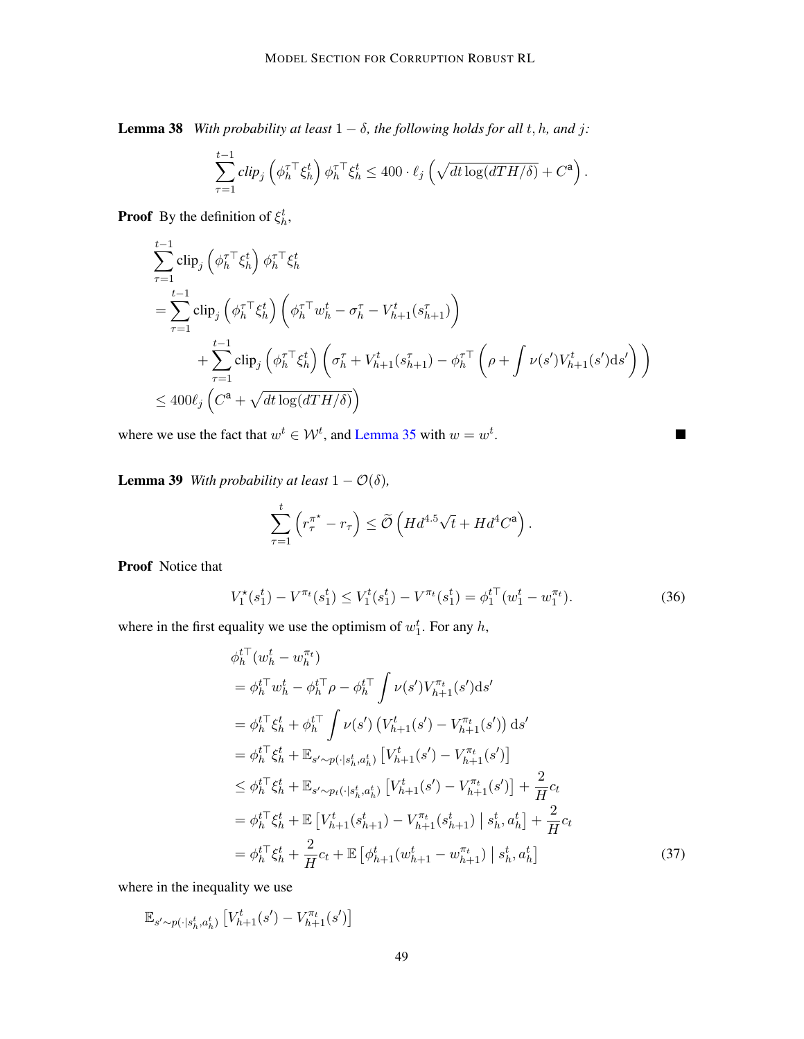**Lemma 38** *With probability at least*  $1 - \delta$ *, the following holds for all t, h, and j:* 

$$
\sum_{\tau=1}^{t-1} \operatorname{clip}_j \left( \phi_h^{\tau \top} \xi_h^t \right) \phi_h^{\tau \top} \xi_h^t \le 400 \cdot \ell_j \left( \sqrt{\operatorname{dt} \log(\operatorname{d} T H / \delta)} + C^{\mathbf{a}} \right).
$$

**Proof** By the definition of  $\xi_h^t$ ,

$$
\sum_{\tau=1}^{t-1} \text{clip}_{j} \left( \phi_{h}^{\tau \top} \xi_{h}^{t} \right) \phi_{h}^{\tau \top} \xi_{h}^{t}
$$
\n
$$
= \sum_{\tau=1}^{t-1} \text{clip}_{j} \left( \phi_{h}^{\tau \top} \xi_{h}^{t} \right) \left( \phi_{h}^{\tau \top} w_{h}^{t} - \sigma_{h}^{\tau} - V_{h+1}^{t}(\mathbf{s}_{h+1}^{\tau}) \right)
$$
\n
$$
+ \sum_{\tau=1}^{t-1} \text{clip}_{j} \left( \phi_{h}^{\tau \top} \xi_{h}^{t} \right) \left( \sigma_{h}^{\tau} + V_{h+1}^{t}(\mathbf{s}_{h+1}^{\tau}) - \phi_{h}^{\tau \top} \left( \rho + \int \nu(s') V_{h+1}^{t}(s') \mathrm{d}s' \right) \right)
$$
\n
$$
\leq 400 \ell_{j} \left( C^{a} + \sqrt{dt \log(dTH/\delta)} \right)
$$

where we use the fact that  $w^t \in \mathcal{W}^t$ , and [Lemma 35](#page-46-2) with  $w = w^t$ .

**Lemma 39** *With probability at least*  $1 - \mathcal{O}(\delta)$ *,* 

$$
\sum_{\tau=1}^t \left( r_{\tau}^{\pi^*} - r_{\tau} \right) \le \widetilde{\mathcal{O}} \left( H d^{4.5} \sqrt{t} + H d^4 C^{\mathbf{a}} \right).
$$

Proof Notice that

$$
V_1^{\star}(s_1^t) - V^{\pi_t}(s_1^t) \le V_1^{\star}(s_1^t) - V^{\pi_t}(s_1^t) = \phi_1^{t\top}(w_1^t - w_1^{\pi_t}).\tag{36}
$$

<span id="page-48-1"></span><span id="page-48-0"></span> $\blacksquare$ 

where in the first equality we use the optimism of  $w_1^t$ . For any h,

$$
\phi_h^{t\top}(w_h^t - w_h^{\pi_t})
$$
\n
$$
= \phi_h^{t\top} w_h^t - \phi_h^{t\top} \rho - \phi_h^{t\top} \int \nu(s') V_{h+1}^{\pi_t}(s') ds'
$$
\n
$$
= \phi_h^{t\top} \xi_h^t + \phi_h^{t\top} \int \nu(s') \left( V_{h+1}^t(s') - V_{h+1}^{\pi_t}(s') \right) ds'
$$
\n
$$
= \phi_h^{t\top} \xi_h^t + \mathbb{E}_{s' \sim p(\cdot | s_h^t, a_h^t)} \left[ V_{h+1}^t(s') - V_{h+1}^{\pi_t}(s') \right]
$$
\n
$$
\leq \phi_h^{t\top} \xi_h^t + \mathbb{E}_{s' \sim p_t(\cdot | s_h^t, a_h^t)} \left[ V_{h+1}^t(s') - V_{h+1}^{\pi_t}(s') \right] + \frac{2}{H} c_t
$$
\n
$$
= \phi_h^{t\top} \xi_h^t + \mathbb{E} \left[ V_{h+1}^t(s_{h+1}^t) - V_{h+1}^{\pi_t}(s_{h+1}^t) \mid s_h^t, a_h^t \right] + \frac{2}{H} c_t
$$
\n
$$
= \phi_h^{t\top} \xi_h^t + \frac{2}{H} c_t + \mathbb{E} \left[ \phi_{h+1}^t(w_{h+1}^t - w_{h+1}^{\pi_t}) \mid s_h^t, a_h^t \right]
$$
\n(37)

where in the inequality we use

$$
\mathbb{E}_{s' \sim p(\cdot|s_h^t, a_h^t)} \left[ V_{h+1}^t(s') - V_{h+1}^{\pi_t}(s') \right]
$$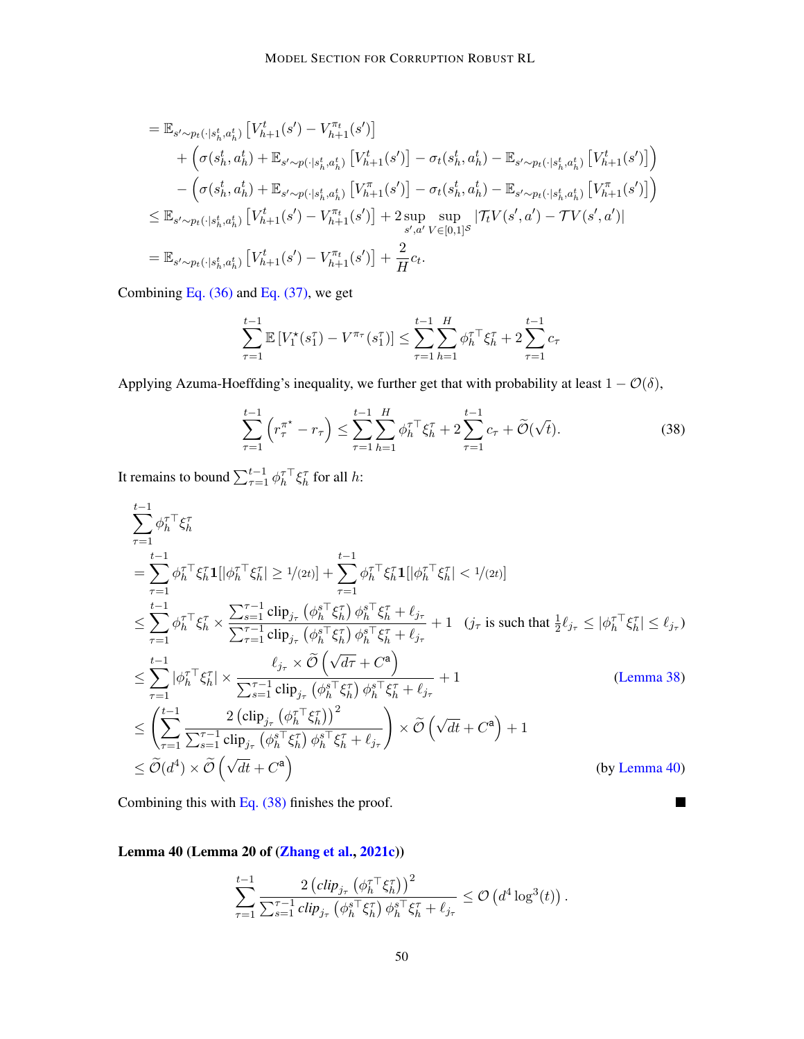$$
= \mathbb{E}_{s' \sim p_t(\cdot | s_h^t, a_h^t)} \left[ V_{h+1}^t(s') - V_{h+1}^{\pi_t}(s') \right] + \left( \sigma(s_h^t, a_h^t) + \mathbb{E}_{s' \sim p(\cdot | s_h^t, a_h^t)} \left[ V_{h+1}^t(s') \right] - \sigma_t(s_h^t, a_h^t) - \mathbb{E}_{s' \sim p_t(\cdot | s_h^t, a_h^t)} \left[ V_{h+1}^t(s') \right] \right) - \left( \sigma(s_h^t, a_h^t) + \mathbb{E}_{s' \sim p(\cdot | s_h^t, a_h^t)} \left[ V_{h+1}^{\pi}(s') \right] - \sigma_t(s_h^t, a_h^t) - \mathbb{E}_{s' \sim p_t(\cdot | s_h^t, a_h^t)} \left[ V_{h+1}^{\pi}(s') \right] \right) \leq \mathbb{E}_{s' \sim p_t(\cdot | s_h^t, a_h^t)} \left[ V_{h+1}^t(s') - V_{h+1}^{\pi_t}(s') \right] + 2 \sup_{s', a'} \sup_{V \in [0,1]^S} \left| \mathcal{T}_t V(s', a') - \mathcal{T} V(s', a') \right| = \mathbb{E}_{s' \sim p_t(\cdot | s_h^t, a_h^t)} \left[ V_{h+1}^t(s') - V_{h+1}^{\pi_t}(s') \right] + \frac{2}{H} c_t.
$$

Combining Eq.  $(36)$  and Eq.  $(37)$ , we get

$$
\sum_{\tau=1}^{t-1} \mathbb{E}\left[V_1^*(s_1^{\tau}) - V^{\pi_{\tau}}(s_1^{\tau})\right] \le \sum_{\tau=1}^{t-1} \sum_{h=1}^{H} \phi_h^{\tau \top} \xi_h^{\tau} + 2 \sum_{\tau=1}^{t-1} c_{\tau}
$$

Applying Azuma-Hoeffding's inequality, we further get that with probability at least  $1 - \mathcal{O}(\delta)$ ,

$$
\sum_{\tau=1}^{t-1} \left( r_{\tau}^{\pi^*} - r_{\tau} \right) \le \sum_{\tau=1}^{t-1} \sum_{h=1}^{H} \phi_h^{\tau \top} \xi_h^{\tau} + 2 \sum_{\tau=1}^{t-1} c_{\tau} + \widetilde{\mathcal{O}}(\sqrt{t}). \tag{38}
$$

<span id="page-49-1"></span> $\blacksquare$ 

It remains to bound  $\sum_{\tau=1}^{t-1} \phi_h^{\tau \top} \xi_h^{\tau}$  for all h:

$$
\sum_{\tau=1}^{t-1} \phi_h^{\tau \top} \xi_h^{\tau}
$$
\n
$$
= \sum_{\tau=1}^{t-1} \phi_h^{\tau \top} \xi_h^{\tau} \mathbf{1} [\phi_h^{\tau \top} \xi_h^{\tau}] \ge 1/(2t) + \sum_{\tau=1}^{t-1} \phi_h^{\tau \top} \xi_h^{\tau} \mathbf{1} [\phi_h^{\tau \top} \xi_h^{\tau}] < 1/(2t) \n\le \sum_{\tau=1}^{t-1} \phi_h^{\tau \top} \xi_h^{\tau} \times \frac{\sum_{s=1}^{t-1} \text{clip}_{j_{\tau}} (\phi_h^{\tau \top} \xi_h^{\tau}) \phi_h^{\tau \top} \xi_h^{\tau} + \ell_{j_{\tau}}}{\sum_{\tau=1}^{\tau-1} \text{clip}_{j_{\tau}} (\phi_h^{\tau \top} \xi_h^{\tau}) \phi_h^{\tau \top} \xi_h^{\tau} + \ell_{j_{\tau}} } + 1 \quad (j_{\tau} \text{ is such that } \frac{1}{2} \ell_{j_{\tau}} \le |\phi_h^{\tau \top} \xi_h^{\tau}| \le \ell_{j_{\tau}})\n\le \sum_{\tau=1}^{t-1} |\phi_h^{\tau \top} \xi_h^{\tau}| \times \frac{\ell_{j_{\tau}} \times \tilde{\mathcal{O}} (\sqrt{d\tau} + C^{\mathbf{a}})}{\sum_{s=1}^{\tau-1} \text{clip}_{j_{\tau}} (\phi_h^{\tau \top} \xi_h^{\tau}) \phi_h^{\tau \top} \xi_h^{\tau} + \ell_{j_{\tau}} } + 1 \quad \text{(Lemma 38)}\n\le \left(\sum_{\tau=1}^{t-1} \frac{2 (\text{clip}_{j_{\tau}} (\phi_h^{\tau \top} \xi_h^{\tau}))^2}{\sum_{s=1}^{\tau-1} \text{clip}_{j_{\tau}} (\phi_h^{\tau \top} \xi_h^{\tau}) \phi_h^{\tau \top} \xi_h^{\tau} + \ell_{j_{\tau}} }\right) \times \tilde{\mathcal{O}} (\sqrt{d}t + C^{\mathbf{a}}) + 1 \quad \text{(by Lemma 40)}
$$

Combining this with [Eq. \(38\)](#page-49-1) finishes the proof.

<span id="page-49-0"></span>Lemma 40 (Lemma 20 of [\(Zhang et al.,](#page-20-1) [2021c\)](#page-20-1))

$$
\sum_{\tau=1}^{t-1} \frac{2 \left( \mathrm{clip}_{j_{\tau}} \left( \phi_{h}^{\tau \top} \xi_{h}^{\tau} \right) \right)^2}{\sum_{s=1}^{\tau-1} \mathrm{clip}_{j_{\tau}} \left( \phi_{h}^{s \top} \xi_{h}^{\tau} \right) \phi_{h}^{s \top} \xi_{h}^{\tau} + \ell_{j_{\tau}}} \leq \mathcal{O} \left( d^4 \log^3(t) \right).
$$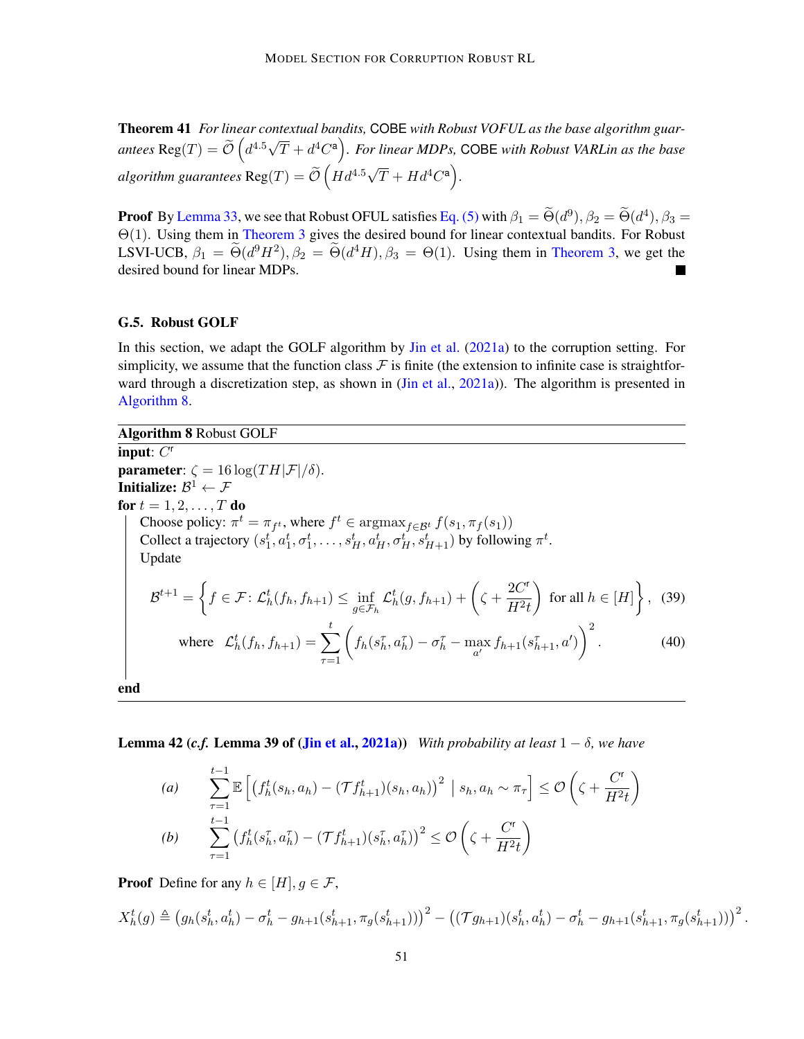Theorem 41 *For linear contextual bandits,* COBE *with Robust VOFUL as the base algorithm guarantees* Reg $(T) = \tilde{\mathcal{O}} \left( d^{4.5} \sqrt{\frac{d^{4.5}}{T}} \right)$  $(\overline{T} + d^4C^{\mathsf{a}})$ . For linear MDPs, COBE with Robust VARLin as the base *algorithm guarantees*  $\text{Reg}(T) = \widetilde{\mathcal{O}}\left(Hd^{4.5}\sqrt{T} + Hd^4C^a\right)$ .

**Proof** By [Lemma 33,](#page-44-0) we see that Robust OFUL satisfies [Eq. \(5\)](#page-10-1) with  $\beta_1 = \tilde{\Theta}(d^9)$ ,  $\beta_2 = \tilde{\Theta}(d^4)$ ,  $\beta_3 = \tilde{\Theta}(d^4)$ Θ(1). Using them in [Theorem 3](#page-10-5) gives the desired bound for linear contextual bandits. For Robust LSVI-UCB,  $\beta_1 = \tilde{\Theta}(d^9 H^2), \beta_2 = \tilde{\Theta}(d^4 H), \beta_3 = \Theta(1)$ . Using them in [Theorem 3,](#page-10-5) we get the desired bound for linear MDPs.

#### <span id="page-50-0"></span>G.5. Robust GOLF

In this section, we adapt the GOLF algorithm by [Jin et al.](#page-17-9) [\(2021a\)](#page-17-9) to the corruption setting. For simplicity, we assume that the function class  $\mathcal F$  is finite (the extension to infinite case is straightfor-ward through a discretization step, as shown in [\(Jin et al.,](#page-17-9) [2021a\)](#page-17-9)). The algorithm is presented in [Algorithm 8.](#page-50-1)

<span id="page-50-1"></span>Algorithm 8 Robust GOLF input:  $C^r$ **parameter:**  $\zeta = 16 \log(T H |\mathcal{F}|/\delta)$ . Initialize:  $\mathcal{B}^1 \leftarrow \mathcal{F}$ for  $t = 1, 2, \ldots, T$  do Choose policy:  $\pi^t = \pi_{f^t}$ , where  $f^t \in \text{argmax}_{f \in \mathcal{B}^t} f(s_1, \pi_f(s_1))$ Collect a trajectory  $(s_1^t, a_1^t, \sigma_1^t, \ldots, s_H^t, a_H^t, \sigma_H^t, s_{H+1}^t)$  by following  $\pi^t$ . Update  $\mathcal{B}^{t+1} = \bigg\{ f \in \mathcal{F} \colon \mathcal{L}_h^t(f_h, f_{h+1}) \leq \inf_{g \in \mathcal{F}_h} \mathcal{L}_h^t(g, f_{h+1}) + \bigg(\zeta + \frac{2C^r}{H^2t}\bigg) \bigg\}$  $H^2t$ for all  $h \in [H]$ , (39) where  $\mathcal{L}_h^t(f_h, f_{h+1}) = \sum$ t  $\tau = 1$  $\left(f_h(s_h^{\tau}, a_h^{\tau}) - \sigma_h^{\tau} - \max_{a'} f_{h+1}(s_{h+1}^{\tau}, a')\right)^2$  $(40)$ end

<span id="page-50-2"></span>**Lemma 42 (***c.f.* **Lemma 39 of [\(Jin et al.,](#page-17-9) [2021a\)](#page-17-9))** *With probability at least*  $1 - \delta$ *, we have* 

(a) 
$$
\sum_{\tau=1}^{t-1} \mathbb{E}\left[\left(f_h^t(s_h, a_h) - (\mathcal{T}f_{h+1}^t)(s_h, a_h)\right)^2 \middle| s_h, a_h \sim \pi_{\tau}\right] \leq \mathcal{O}\left(\zeta + \frac{C^{\tau}}{H^2 t}\right)
$$
  
\n(b) 
$$
\sum_{\tau=1}^{t-1} \left(f_h^t(s_h^{\tau}, a_h^{\tau}) - (\mathcal{T}f_{h+1}^t)(s_h^{\tau}, a_h^{\tau})\right)^2 \leq \mathcal{O}\left(\zeta + \frac{C^{\tau}}{H^2 t}\right)
$$

**Proof** Define for any  $h \in [H], g \in \mathcal{F}$ ,

$$
X_h^t(g) \triangleq (g_h(s_h^t, a_h^t) - \sigma_h^t - g_{h+1}(s_{h+1}^t, \pi_g(s_{h+1}^t)))^2 - ((\mathcal{T}g_{h+1})(s_h^t, a_h^t) - \sigma_h^t - g_{h+1}(s_{h+1}^t, \pi_g(s_{h+1}^t)))^2.
$$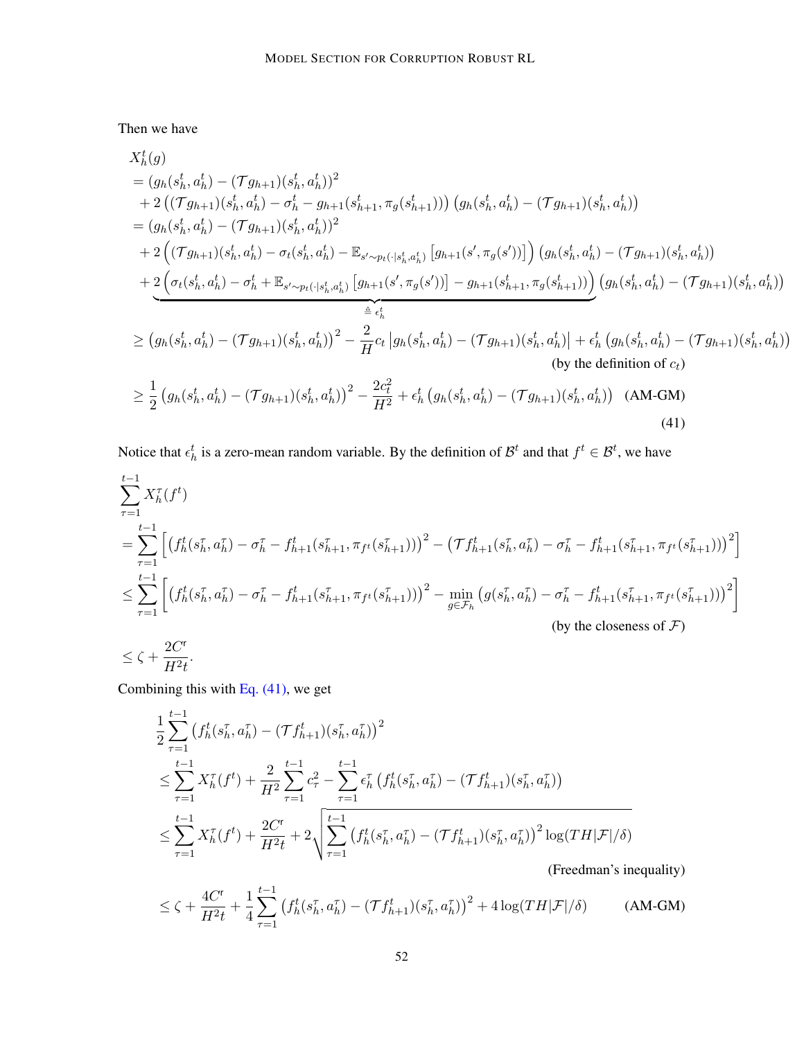Then we have

$$
X_{h}^{t}(g)
$$
\n
$$
= (g_{h}(s_{h}^{t}, a_{h}^{t}) - (\mathcal{T}g_{h+1})(s_{h}^{t}, a_{h}^{t}))^{2}
$$
\n
$$
+ 2 ((\mathcal{T}g_{h+1})(s_{h}^{t}, a_{h}^{t}) - \sigma_{h}^{t} - g_{h+1}(s_{h+1}^{t}, \pi_{g}(s_{h+1}^{t})))) (g_{h}(s_{h}^{t}, a_{h}^{t}) - (\mathcal{T}g_{h+1})(s_{h}^{t}, a_{h}^{t}))
$$
\n
$$
= (g_{h}(s_{h}^{t}, a_{h}^{t}) - (\mathcal{T}g_{h+1})(s_{h}^{t}, a_{h}^{t}))^{2}
$$
\n
$$
+ 2 ((\mathcal{T}g_{h+1})(s_{h}^{t}, a_{h}^{t}) - \sigma_{t}(s_{h}^{t}, a_{h}^{t}) - \mathbb{E}_{s' \sim p_{t}(\cdot | s_{h}^{t}, a_{h}^{t})} [g_{h+1}(s', \pi_{g}(s'))]) (g_{h}(s_{h}^{t}, a_{h}^{t}) - (\mathcal{T}g_{h+1})(s_{h}^{t}, a_{h}^{t}))
$$
\n
$$
+ \underbrace{2 (\sigma_{t}(s_{h}^{t}, a_{h}^{t}) - \sigma_{h}^{t} + \mathbb{E}_{s' \sim p_{t}(\cdot | s_{h}^{t}, a_{h}^{t})} [g_{h+1}(s', \pi_{g}(s'))] - g_{h+1}(s_{h+1}^{t}, \pi_{g}(s_{h+1}^{t})))}_{\triangleq \epsilon_{h}^{t}} (g_{h}(s_{h}^{t}, a_{h}^{t}) - (\mathcal{T}g_{h+1})(s_{h}^{t}, a_{h}^{t}))
$$
\n
$$
\geq (g_{h}(s_{h}^{t}, a_{h}^{t}) - (\mathcal{T}g_{h+1})(s_{h}^{t}, a_{h}^{t}))^{2} - \frac{2}{H}c_{t} |g_{h}(s_{h}^{t}, a_{h}^{t}) - (\mathcal{T}g_{h+1})(s_{h}^{t}, a_{h}^{t}) - (\mathcal{T}g_{h+1})(s_{h}^{t}, a_{h}^{t}))
$$
\n(by the definition of  $c_{t}$ )\n
$$
\geq \frac{1
$$

<span id="page-51-0"></span>Notice that  $\epsilon_h^t$  is a zero-mean random variable. By the definition of  $\mathcal{B}^t$  and that  $f^t \in \mathcal{B}^t$ , we have

$$
\sum_{\tau=1}^{t-1} X_h^{\tau}(f^t)
$$
\n
$$
= \sum_{\tau=1}^{t-1} \left[ \left( f_h^t(s_h^{\tau}, a_h^{\tau}) - \sigma_h^{\tau} - f_{h+1}^t(s_{h+1}^{\tau}, \pi_{f^t}(s_{h+1}^{\tau})) \right)^2 - \left( \mathcal{T} f_{h+1}^t(s_h^{\tau}, a_h^{\tau}) - \sigma_h^{\tau} - f_{h+1}^t(s_{h+1}^{\tau}, \pi_{f^t}(s_{h+1}^{\tau})) \right)^2 \right]
$$
\n
$$
\leq \sum_{\tau=1}^{t-1} \left[ \left( f_h^t(s_h^{\tau}, a_h^{\tau}) - \sigma_h^{\tau} - f_{h+1}^t(s_{h+1}^{\tau}, \pi_{f^t}(s_{h+1}^{\tau})) \right)^2 - \min_{g \in \mathcal{F}_h} \left( g(s_h^{\tau}, a_h^{\tau}) - \sigma_h^{\tau} - f_{h+1}^t(s_{h+1}^{\tau}, \pi_{f^t}(s_{h+1}^{\tau})) \right)^2 \right]
$$
\n(by the closeness of  $\mathcal{F}$ )

$$
\leq \zeta + \frac{2C^\mathsf{r}}{H^2 t}.
$$

Combining this with [Eq. \(41\),](#page-51-0) we get

$$
\frac{1}{2} \sum_{\tau=1}^{t-1} \left( f_h^t(s_h^{\tau}, a_h^{\tau}) - (\mathcal{T} f_{h+1}^t)(s_h^{\tau}, a_h^{\tau}) \right)^2
$$
\n
$$
\leq \sum_{\tau=1}^{t-1} X_h^{\tau}(f^t) + \frac{2}{H^2} \sum_{\tau=1}^{t-1} c_{\tau}^2 - \sum_{\tau=1}^{t-1} \epsilon_h^{\tau} \left( f_h^t(s_h^{\tau}, a_h^{\tau}) - (\mathcal{T} f_{h+1}^t)(s_h^{\tau}, a_h^{\tau}) \right)
$$
\n
$$
\leq \sum_{\tau=1}^{t-1} X_h^{\tau}(f^t) + \frac{2C^{\tau}}{H^2 t} + 2 \sqrt{\sum_{\tau=1}^{t-1} \left( f_h^t(s_h^{\tau}, a_h^{\tau}) - (\mathcal{T} f_{h+1}^t)(s_h^{\tau}, a_h^{\tau}) \right)^2 \log(TH|\mathcal{F}|/\delta)}
$$
\n(Freedman's inequality)

$$
\leq \zeta + \frac{4C^{\mathsf{r}}}{H^2 t} + \frac{1}{4} \sum_{\tau=1}^{t-1} \left( f_h^t(s_h^{\tau}, a_h^{\tau}) - (\mathcal{T} f_{h+1}^t)(s_h^{\tau}, a_h^{\tau}) \right)^2 + 4 \log(TH|\mathcal{F}|/\delta) \tag{AM-GM}
$$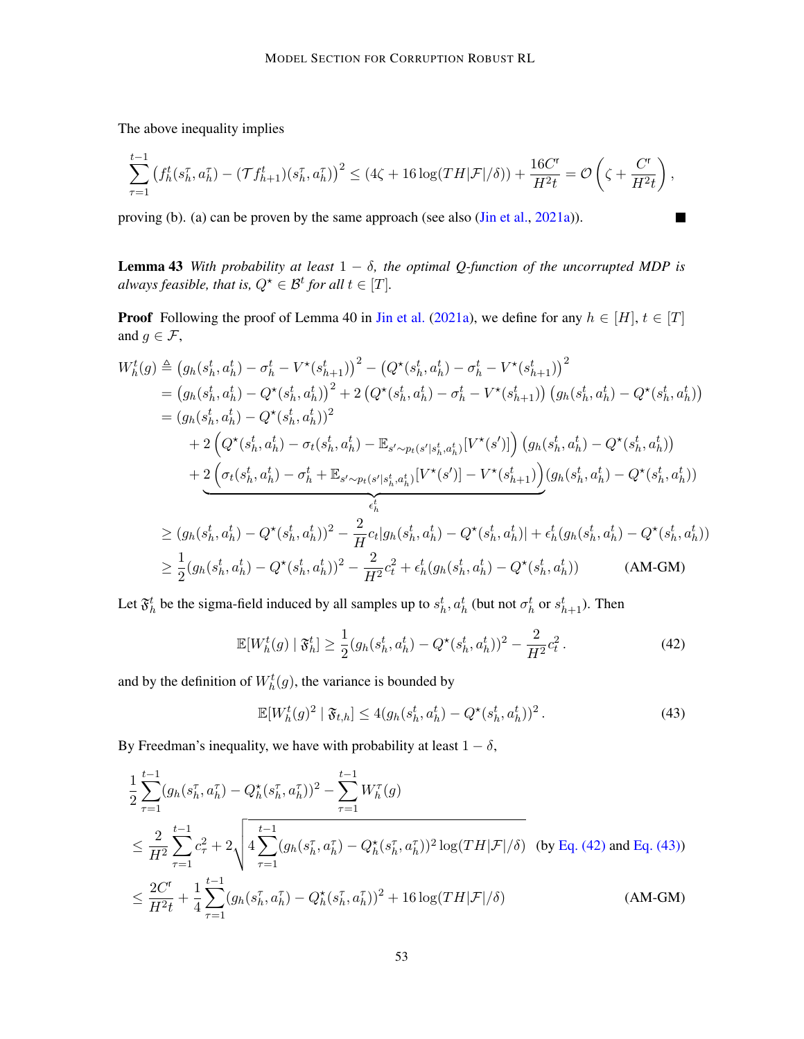The above inequality implies

$$
\sum_{\tau=1}^{t-1} \left( f_h^t(s_h^{\tau}, a_h^{\tau}) - (\mathcal{T} f_{h+1}^t)(s_h^{\tau}, a_h^{\tau}) \right)^2 \leq (4\zeta + 16\log(TH|\mathcal{F}|/\delta)) + \frac{16C^{\tau}}{H^2t} = \mathcal{O}\left(\zeta + \frac{C^{\tau}}{H^2t}\right),
$$

П

proving (b). (a) can be proven by the same approach (see also [\(Jin et al.,](#page-17-9) [2021a\)](#page-17-9)).

**Lemma 43** *With probability at least*  $1 - \delta$ *, the optimal Q-function of the uncorrupted MDP is always feasible, that is,*  $Q^{\star} \in \mathcal{B}^t$  for all  $t \in [T]$ .

**Proof** Following the proof of Lemma 40 in [Jin et al.](#page-17-9) [\(2021a\)](#page-17-9), we define for any  $h \in [H], t \in [T]$ and  $g \in \mathcal{F}$ ,

$$
W_{h}^{t}(g) \triangleq (g_{h}(s_{h}^{t}, a_{h}^{t}) - \sigma_{h}^{t} - V^{\star}(s_{h+1}^{t}))^{2} - (Q^{\star}(s_{h}^{t}, a_{h}^{t}) - \sigma_{h}^{t} - V^{\star}(s_{h+1}^{t}))^{2}
$$
  
\n
$$
= (g_{h}(s_{h}^{t}, a_{h}^{t}) - Q^{\star}(s_{h}^{t}, a_{h}^{t}))^{2} + 2 (Q^{\star}(s_{h}^{t}, a_{h}^{t}) - \sigma_{h}^{t} - V^{\star}(s_{h+1}^{t})) (g_{h}(s_{h}^{t}, a_{h}^{t}) - Q^{\star}(s_{h}^{t}, a_{h}^{t}))
$$
  
\n
$$
+ 2 (Q^{\star}(s_{h}^{t}, a_{h}^{t}) - \sigma_{t}(s_{h}^{t}, a_{h}^{t}) - \mathbb{E}_{s' \sim p_{t}(s'|s_{h}^{t}, a_{h}^{t})}[V^{\star}(s')])(g_{h}(s_{h}^{t}, a_{h}^{t}) - Q^{\star}(s_{h}^{t}, a_{h}^{t}))
$$
  
\n
$$
+ \underbrace{2 (\sigma_{t}(s_{h}^{t}, a_{h}^{t}) - \sigma_{h}^{t} + \mathbb{E}_{s' \sim p_{t}(s'|s_{h}^{t}, a_{h}^{t})}[V^{\star}(s')] - V^{\star}(s_{h+1}^{t}))(g_{h}(s_{h}^{t}, a_{h}^{t}) - Q^{\star}(s_{h}^{t}, a_{h}^{t}))
$$
  
\n
$$
\geq (g_{h}(s_{h}^{t}, a_{h}^{t}) - Q^{\star}(s_{h}^{t}, a_{h}^{t}))^{2} - \frac{2}{H} c_{t}[g_{h}(s_{h}^{t}, a_{h}^{t}) - Q^{\star}(s_{h}^{t}, a_{h}^{t})] + \epsilon_{h}^{t}(g_{h}(s_{h}^{t}, a_{h}^{t}) - Q^{\star}(s_{h}^{t}, a_{h}^{t}))
$$
  
\n
$$
\geq \frac{1}{2} (g_{h}(s_{h}^{t}, a_{h}^{t}) - Q^{\star}(s_{h}^{t}, a_{h}^{t}))^{2} - \frac{2}{H^{2}} c_{t}^{2} + \epsilon_{h}^{
$$

Let  $\mathfrak{F}^t_h$  be the sigma-field induced by all samples up to  $s^t_h$ ,  $a^t_h$  (but not  $\sigma^t_h$  or  $s^t_{h+1}$ ). Then

$$
\mathbb{E}[W_h^t(g) | \mathfrak{F}_h^t] \ge \frac{1}{2} (g_h(s_h^t, a_h^t) - Q^\star(s_h^t, a_h^t))^2 - \frac{2}{H^2} c_t^2.
$$
 (42)

and by the definition of  $W_h^t(g)$ , the variance is bounded by

<span id="page-52-1"></span><span id="page-52-0"></span>
$$
\mathbb{E}[W_h^t(g)^2 \mid \mathfrak{F}_{t,h}] \le 4(g_h(s_h^t, a_h^t) - Q^\star(s_h^t, a_h^t))^2. \tag{43}
$$

By Freedman's inequality, we have with probability at least  $1 - \delta$ ,

$$
\frac{1}{2} \sum_{\tau=1}^{t-1} (g_h(s_h^{\tau}, a_h^{\tau}) - Q_h^{\star}(s_h^{\tau}, a_h^{\tau}))^2 - \sum_{\tau=1}^{t-1} W_h^{\tau}(g)
$$
\n
$$
\leq \frac{2}{H^2} \sum_{\tau=1}^{t-1} c_{\tau}^2 + 2 \sqrt{4 \sum_{\tau=1}^{t-1} (g_h(s_h^{\tau}, a_h^{\tau}) - Q_h^{\star}(s_h^{\tau}, a_h^{\tau}))^2 \log(TH|\mathcal{F}|/\delta)}
$$
 (by Eq. (42) and Eq. (43))\n
$$
\leq \frac{2C^{\tau}}{H^2 t} + \frac{1}{4} \sum_{\tau=1}^{t-1} (g_h(s_h^{\tau}, a_h^{\tau}) - Q_h^{\star}(s_h^{\tau}, a_h^{\tau}))^2 + 16 \log(TH|\mathcal{F}|/\delta)
$$
 (AM-GM)